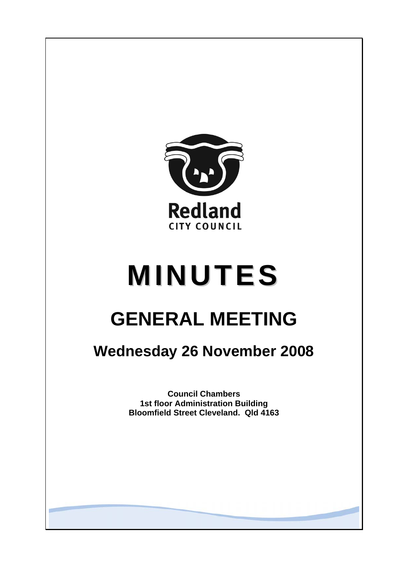

# **MINUTES**

# **GENERAL MEETING**

## **Wednesday 26 November 2008**

**Council Chambers 1st floor Administration Building Bloomfield Street Cleveland. Qld 4163**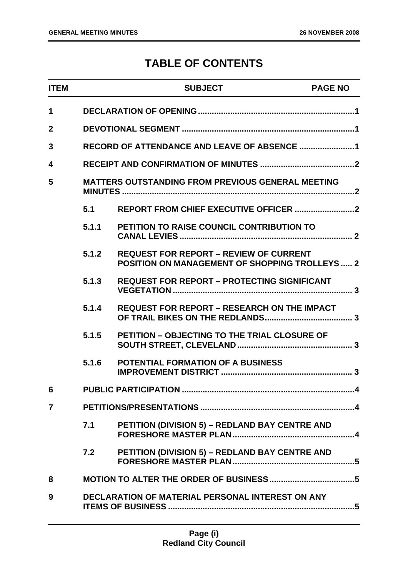### **TABLE OF CONTENTS**

| <b>ITEM</b>    |                                                          | <b>SUBJECT</b>                                                                                         | <b>PAGE NO</b> |
|----------------|----------------------------------------------------------|--------------------------------------------------------------------------------------------------------|----------------|
| $\mathbf 1$    |                                                          |                                                                                                        |                |
| $\mathbf 2$    |                                                          |                                                                                                        |                |
| 3              |                                                          |                                                                                                        |                |
| 4              |                                                          |                                                                                                        |                |
| 5              | <b>MATTERS OUTSTANDING FROM PREVIOUS GENERAL MEETING</b> |                                                                                                        |                |
|                | 5.1                                                      |                                                                                                        |                |
|                | 5.1.1                                                    | <b>PETITION TO RAISE COUNCIL CONTRIBUTION TO</b>                                                       |                |
|                | 5.1.2                                                    | <b>REQUEST FOR REPORT - REVIEW OF CURRENT</b><br><b>POSITION ON MANAGEMENT OF SHOPPING TROLLEYS  2</b> |                |
|                | 5.1.3                                                    | <b>REQUEST FOR REPORT - PROTECTING SIGNIFICANT</b>                                                     |                |
|                | 5.1.4                                                    | <b>REQUEST FOR REPORT – RESEARCH ON THE IMPACT</b>                                                     |                |
|                | 5.1.5                                                    | <b>PETITION - OBJECTING TO THE TRIAL CLOSURE OF</b>                                                    |                |
|                | 5.1.6                                                    | <b>POTENTIAL FORMATION OF A BUSINESS</b>                                                               |                |
| 6              |                                                          |                                                                                                        |                |
| $\overline{7}$ |                                                          |                                                                                                        |                |
|                | 7.1                                                      | <b>PETITION (DIVISION 5) - REDLAND BAY CENTRE AND</b>                                                  |                |
|                | 7.2                                                      | PETITION (DIVISION 5) - REDLAND BAY CENTRE AND                                                         |                |
| 8              |                                                          |                                                                                                        |                |
| 9              | DECLARATION OF MATERIAL PERSONAL INTEREST ON ANY         |                                                                                                        |                |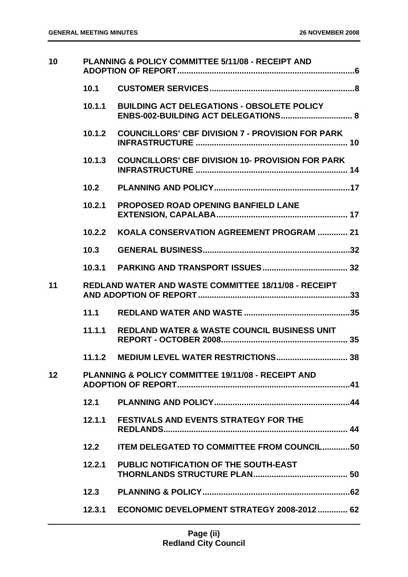| 10 | <b>PLANNING &amp; POLICY COMMITTEE 5/11/08 - RECEIPT AND</b> |                                                             |
|----|--------------------------------------------------------------|-------------------------------------------------------------|
|    | 10.1                                                         |                                                             |
|    | 10.1.1                                                       | <b>BUILDING ACT DELEGATIONS - OBSOLETE POLICY</b>           |
|    | 10.1.2                                                       | <b>COUNCILLORS' CBF DIVISION 7 - PROVISION FOR PARK</b>     |
|    | 10.1.3                                                       | <b>COUNCILLORS' CBF DIVISION 10- PROVISION FOR PARK</b>     |
|    | 10.2                                                         |                                                             |
|    | 10.2.1                                                       | <b>PROPOSED ROAD OPENING BANFIELD LANE</b>                  |
|    | 10.2.2                                                       | <b>KOALA CONSERVATION AGREEMENT PROGRAM  21</b>             |
|    | 10.3                                                         |                                                             |
|    |                                                              |                                                             |
| 11 |                                                              | <b>REDLAND WATER AND WASTE COMMITTEE 18/11/08 - RECEIPT</b> |
|    | 11.1                                                         |                                                             |
|    | 11.1.1                                                       | <b>REDLAND WATER &amp; WASTE COUNCIL BUSINESS UNIT</b>      |
|    | 11.1.2                                                       |                                                             |
| 12 |                                                              | PLANNING & POLICY COMMITTEE 19/11/08 - RECEIPT AND          |
|    | 12.1                                                         |                                                             |
|    | 12.1.1                                                       | <b>FESTIVALS AND EVENTS STRATEGY FOR THE</b>                |
|    | 12.2                                                         | <b>ITEM DELEGATED TO COMMITTEE FROM COUNCIL50</b>           |
|    | 12.2.1                                                       | <b>PUBLIC NOTIFICATION OF THE SOUTH-EAST</b>                |
|    |                                                              |                                                             |
|    |                                                              | 12.3.1 ECONOMIC DEVELOPMENT STRATEGY 2008-2012  62          |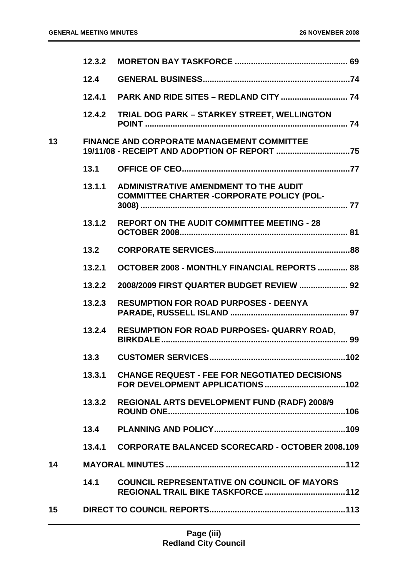|    | 12.3.2 |                                                                                            |  |
|----|--------|--------------------------------------------------------------------------------------------|--|
|    | 12.4   |                                                                                            |  |
|    | 12.4.1 |                                                                                            |  |
|    | 12.4.2 | <b>TRIAL DOG PARK - STARKEY STREET, WELLINGTON</b>                                         |  |
| 13 |        | <b>FINANCE AND CORPORATE MANAGEMENT COMMITTEE</b>                                          |  |
|    | 13.1   |                                                                                            |  |
|    | 13.1.1 | ADMINISTRATIVE AMENDMENT TO THE AUDIT<br><b>COMMITTEE CHARTER - CORPORATE POLICY (POL-</b> |  |
|    | 13.1.2 | <b>REPORT ON THE AUDIT COMMITTEE MEETING - 28</b>                                          |  |
|    | 13.2   |                                                                                            |  |
|    | 13.2.1 | OCTOBER 2008 - MONTHLY FINANCIAL REPORTS  88                                               |  |
|    | 13.2.2 | 2008/2009 FIRST QUARTER BUDGET REVIEW  92                                                  |  |
|    | 13.2.3 | <b>RESUMPTION FOR ROAD PURPOSES - DEENYA</b>                                               |  |
|    | 13.2.4 | <b>RESUMPTION FOR ROAD PURPOSES- QUARRY ROAD,</b>                                          |  |
|    | 13.3   |                                                                                            |  |
|    | 13.3.1 | <b>CHANGE REQUEST - FEE FOR NEGOTIATED DECISIONS</b>                                       |  |
|    | 13.3.2 | <b>REGIONAL ARTS DEVELOPMENT FUND (RADF) 2008/9</b>                                        |  |
|    | 13.4   |                                                                                            |  |
|    | 13.4.1 | <b>CORPORATE BALANCED SCORECARD - OCTOBER 2008.109</b>                                     |  |
| 14 |        |                                                                                            |  |
|    | 14.1   | <b>COUNCIL REPRESENTATIVE ON COUNCIL OF MAYORS</b>                                         |  |
| 15 |        |                                                                                            |  |
|    |        |                                                                                            |  |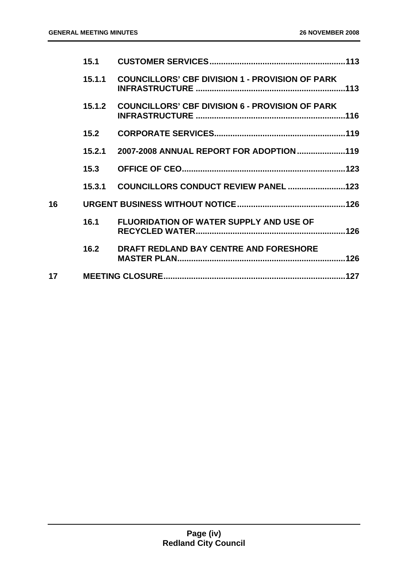|    | 15.1   |                                                        |  |
|----|--------|--------------------------------------------------------|--|
|    | 15.1.1 | <b>COUNCILLORS' CBF DIVISION 1 - PROVISION OF PARK</b> |  |
|    | 15.1.2 | <b>COUNCILLORS' CBF DIVISION 6 - PROVISION OF PARK</b> |  |
|    | 15.2   |                                                        |  |
|    | 15.2.1 | 2007-2008 ANNUAL REPORT FOR ADOPTION119                |  |
|    | 15.3   |                                                        |  |
|    | 15.3.1 |                                                        |  |
| 16 |        |                                                        |  |
|    | 16.1   | <b>FLUORIDATION OF WATER SUPPLY AND USE OF</b>         |  |
|    | 16.2   | DRAFT REDLAND BAY CENTRE AND FORESHORE                 |  |
| 17 |        |                                                        |  |
|    |        |                                                        |  |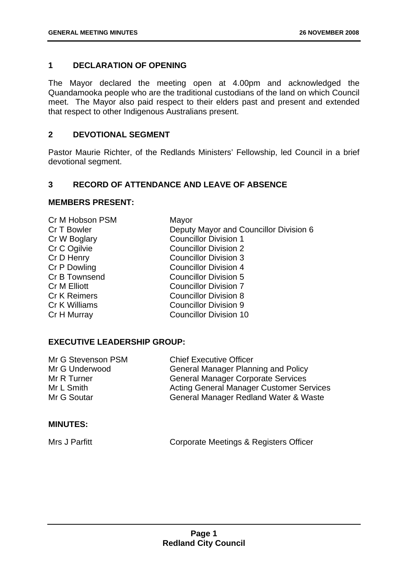#### <span id="page-5-0"></span>**1 DECLARATION OF OPENING**

The Mayor declared the meeting open at 4.00pm and acknowledged the Quandamooka people who are the traditional custodians of the land on which Council meet. The Mayor also paid respect to their elders past and present and extended that respect to other Indigenous Australians present.

#### <span id="page-5-1"></span>**2 DEVOTIONAL SEGMENT**

Pastor Maurie Richter, of the Redlands Ministers' Fellowship, led Council in a brief devotional segment.

#### <span id="page-5-2"></span>**3 RECORD OF ATTENDANCE AND LEAVE OF ABSENCE**

#### **MEMBERS PRESENT:**

| Cr M Hobson PSM     | Mayor                                  |
|---------------------|----------------------------------------|
| Cr T Bowler         | Deputy Mayor and Councillor Division 6 |
| Cr W Boglary        | <b>Councillor Division 1</b>           |
| Cr C Ogilvie        | <b>Councillor Division 2</b>           |
| Cr D Henry          | <b>Councillor Division 3</b>           |
| Cr P Dowling        | <b>Councillor Division 4</b>           |
| Cr B Townsend       | <b>Councillor Division 5</b>           |
| Cr M Elliott        | Councillor Division 7                  |
| <b>Cr K Reimers</b> | <b>Councillor Division 8</b>           |
| Cr K Williams       | <b>Councillor Division 9</b>           |
| Cr H Murray         | <b>Councillor Division 10</b>          |
|                     |                                        |

#### **EXECUTIVE LEADERSHIP GROUP:**

| <b>Chief Executive Officer</b>                  |
|-------------------------------------------------|
| <b>General Manager Planning and Policy</b>      |
| <b>General Manager Corporate Services</b>       |
| <b>Acting General Manager Customer Services</b> |
| General Manager Redland Water & Waste           |
|                                                 |

#### **MINUTES:**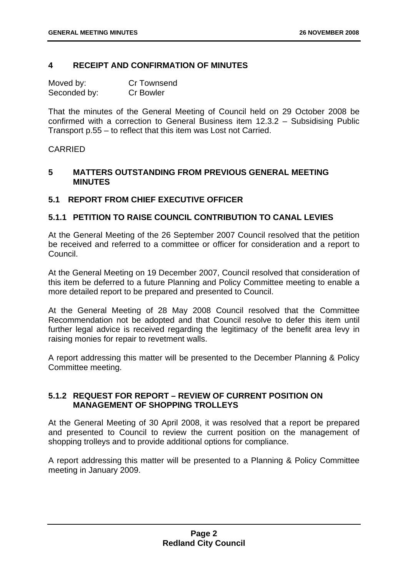#### <span id="page-6-0"></span>**4 RECEIPT AND CONFIRMATION OF MINUTES**

| Moved by:    | Cr Townsend      |
|--------------|------------------|
| Seconded by: | <b>Cr Bowler</b> |

That the minutes of the General Meeting of Council held on 29 October 2008 be confirmed with a correction to General Business item 12.3.2 – Subsidising Public Transport p.55 – to reflect that this item was Lost not Carried.

#### CARRIED

#### <span id="page-6-1"></span>**5 MATTERS OUTSTANDING FROM PREVIOUS GENERAL MEETING MINUTES**

#### <span id="page-6-2"></span>**5.1 REPORT FROM CHIEF EXECUTIVE OFFICER**

#### <span id="page-6-3"></span>**5.1.1 PETITION TO RAISE COUNCIL CONTRIBUTION TO CANAL LEVIES**

At the General Meeting of the 26 September 2007 Council resolved that the petition be received and referred to a committee or officer for consideration and a report to Council.

At the General Meeting on 19 December 2007, Council resolved that consideration of this item be deferred to a future Planning and Policy Committee meeting to enable a more detailed report to be prepared and presented to Council.

At the General Meeting of 28 May 2008 Council resolved that the Committee Recommendation not be adopted and that Council resolve to defer this item until further legal advice is received regarding the legitimacy of the benefit area levy in raising monies for repair to revetment walls.

A report addressing this matter will be presented to the December Planning & Policy Committee meeting.

#### <span id="page-6-4"></span>**5.1.2 REQUEST FOR REPORT – REVIEW OF CURRENT POSITION ON MANAGEMENT OF SHOPPING TROLLEYS**

At the General Meeting of 30 April 2008, it was resolved that a report be prepared and presented to Council to review the current position on the management of shopping trolleys and to provide additional options for compliance.

A report addressing this matter will be presented to a Planning & Policy Committee meeting in January 2009.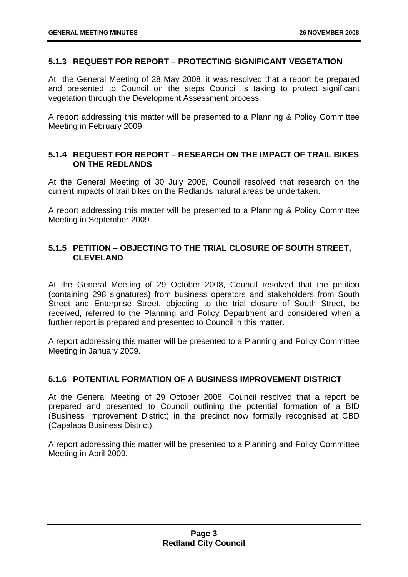#### <span id="page-7-0"></span>**5.1.3 REQUEST FOR REPORT – PROTECTING SIGNIFICANT VEGETATION**

At the General Meeting of 28 May 2008, it was resolved that a report be prepared and presented to Council on the steps Council is taking to protect significant vegetation through the Development Assessment process.

A report addressing this matter will be presented to a Planning & Policy Committee Meeting in February 2009.

#### <span id="page-7-1"></span>**5.1.4 REQUEST FOR REPORT – RESEARCH ON THE IMPACT OF TRAIL BIKES ON THE REDLANDS**

At the General Meeting of 30 July 2008, Council resolved that research on the current impacts of trail bikes on the Redlands natural areas be undertaken.

A report addressing this matter will be presented to a Planning & Policy Committee Meeting in September 2009.

#### <span id="page-7-2"></span>**5.1.5 PETITION – OBJECTING TO THE TRIAL CLOSURE OF SOUTH STREET, CLEVELAND**

At the General Meeting of 29 October 2008, Council resolved that the petition (containing 298 signatures) from business operators and stakeholders from South Street and Enterprise Street, objecting to the trial closure of South Street, be received, referred to the Planning and Policy Department and considered when a further report is prepared and presented to Council in this matter.

A report addressing this matter will be presented to a Planning and Policy Committee Meeting in January 2009.

#### <span id="page-7-3"></span>**5.1.6 POTENTIAL FORMATION OF A BUSINESS IMPROVEMENT DISTRICT**

At the General Meeting of 29 October 2008, Council resolved that a report be prepared and presented to Council outlining the potential formation of a BID (Business Improvement District) in the precinct now formally recognised at CBD (Capalaba Business District).

A report addressing this matter will be presented to a Planning and Policy Committee Meeting in April 2009.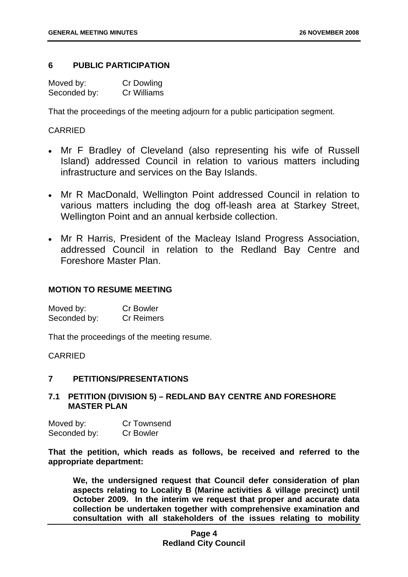#### <span id="page-8-0"></span>**6 PUBLIC PARTICIPATION**

| Moved by:    | <b>Cr Dowling</b> |
|--------------|-------------------|
| Seconded by: | Cr Williams       |

That the proceedings of the meeting adjourn for a public participation segment.

#### CARRIED

- Mr F Bradley of Cleveland (also representing his wife of Russell Island) addressed Council in relation to various matters including infrastructure and services on the Bay Islands.
- Mr R MacDonald, Wellington Point addressed Council in relation to various matters including the dog off-leash area at Starkey Street, Wellington Point and an annual kerbside collection.
- Mr R Harris, President of the Macleay Island Progress Association, addressed Council in relation to the Redland Bay Centre and Foreshore Master Plan.

#### **MOTION TO RESUME MEETING**

| Moved by:    | <b>Cr Bowler</b>  |
|--------------|-------------------|
| Seconded by: | <b>Cr Reimers</b> |

That the proceedings of the meeting resume.

CARRIED

#### <span id="page-8-1"></span>**7 PETITIONS/PRESENTATIONS**

#### <span id="page-8-2"></span>**7.1 PETITION (DIVISION 5) – REDLAND BAY CENTRE AND FORESHORE MASTER PLAN**

| Moved by:    | <b>Cr Townsend</b> |
|--------------|--------------------|
| Seconded by: | <b>Cr Bowler</b>   |

**That the petition, which reads as follows, be received and referred to the appropriate department:** 

 **We, the undersigned request that Council defer consideration of plan aspects relating to Locality B (Marine activities & village precinct) until October 2009. In the interim we request that proper and accurate data collection be undertaken together with comprehensive examination and consultation with all stakeholders of the issues relating to mobility**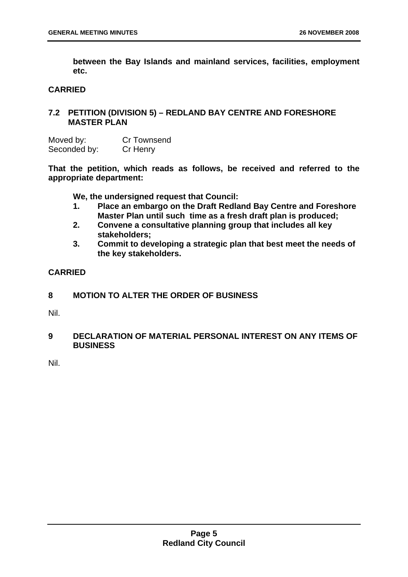**between the Bay Islands and mainland services, facilities, employment etc.** 

#### **CARRIED**

#### <span id="page-9-0"></span>**7.2 PETITION (DIVISION 5) – REDLAND BAY CENTRE AND FORESHORE MASTER PLAN**

Moved by: Cr Townsend Seconded by: Cr Henry

**That the petition, which reads as follows, be received and referred to the appropriate department:** 

 **We, the undersigned request that Council:** 

- **1. Place an embargo on the Draft Redland Bay Centre and Foreshore Master Plan until such time as a fresh draft plan is produced;**
- **2. Convene a consultative planning group that includes all key stakeholders;**
- **3. Commit to developing a strategic plan that best meet the needs of the key stakeholders.**

#### **CARRIED**

#### <span id="page-9-1"></span>**8 MOTION TO ALTER THE ORDER OF BUSINESS**

Nil.

#### <span id="page-9-2"></span>**9 DECLARATION OF MATERIAL PERSONAL INTEREST ON ANY ITEMS OF BUSINESS**

Nil.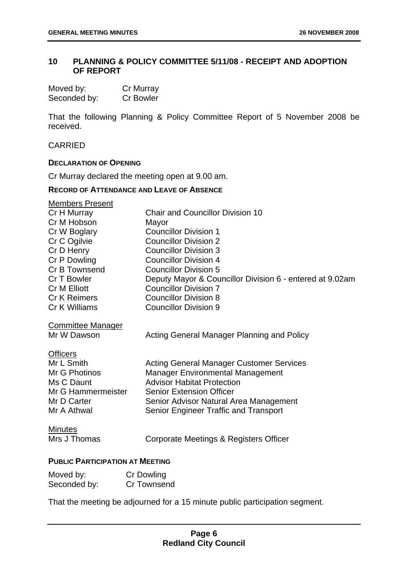#### <span id="page-10-0"></span>**10 PLANNING & POLICY COMMITTEE 5/11/08 - RECEIPT AND ADOPTION OF REPORT**

| Moved by:    | Cr Murray        |
|--------------|------------------|
| Seconded by: | <b>Cr Bowler</b> |

That the following Planning & Policy Committee Report of 5 November 2008 be received.

#### CARRIED

#### **DECLARATION OF OPENING**

Cr Murray declared the meeting open at 9.00 am.

#### **RECORD OF ATTENDANCE AND LEAVE OF ABSENCE**

| <b>Members Present</b>                 |                                                          |  |
|----------------------------------------|----------------------------------------------------------|--|
| Cr H Murray                            | <b>Chair and Councillor Division 10</b>                  |  |
| Cr M Hobson                            | Mayor                                                    |  |
| Cr W Boglary                           | <b>Councillor Division 1</b>                             |  |
| Cr C Ogilvie                           | <b>Councillor Division 2</b>                             |  |
| Cr D Henry                             | <b>Councillor Division 3</b>                             |  |
| Cr P Dowling                           | <b>Councillor Division 4</b>                             |  |
| Cr B Townsend                          | <b>Councillor Division 5</b>                             |  |
| <b>Cr T Bowler</b>                     | Deputy Mayor & Councillor Division 6 - entered at 9.02am |  |
| <b>Cr M Elliott</b>                    | <b>Councillor Division 7</b>                             |  |
| <b>Cr K Reimers</b>                    | <b>Councillor Division 8</b>                             |  |
| Cr K Williams                          | <b>Councillor Division 9</b>                             |  |
| <b>Committee Manager</b>               |                                                          |  |
| Mr W Dawson                            | Acting General Manager Planning and Policy               |  |
| <b>Officers</b>                        |                                                          |  |
| Mr L Smith                             | <b>Acting General Manager Customer Services</b>          |  |
| Mr G Photinos                          | <b>Manager Environmental Management</b>                  |  |
| Ms C Daunt                             | <b>Advisor Habitat Protection</b>                        |  |
| Mr G Hammermeister                     | <b>Senior Extension Officer</b>                          |  |
| Mr D Carter                            | Senior Advisor Natural Area Management                   |  |
| Mr A Athwal                            | Senior Engineer Traffic and Transport                    |  |
| <b>Minutes</b>                         |                                                          |  |
| Mrs J Thomas                           | Corporate Meetings & Registers Officer                   |  |
| <b>PUBLIC PARTICIPATION AT MEETING</b> |                                                          |  |
| Moved by:                              | Cr Dowling                                               |  |
| Seconded by:                           | <b>Cr Townsend</b>                                       |  |
|                                        |                                                          |  |

That the meeting be adjourned for a 15 minute public participation segment.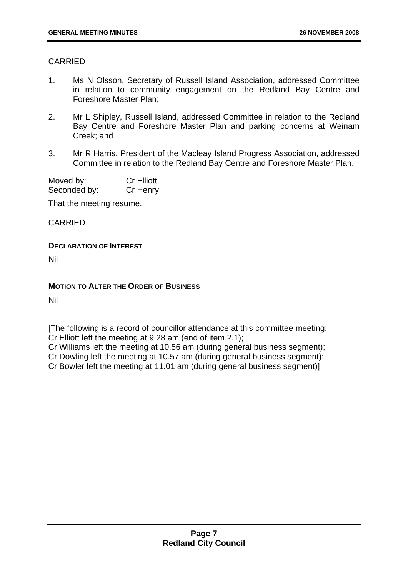#### CARRIED

- 1. Ms N Olsson, Secretary of Russell Island Association, addressed Committee in relation to community engagement on the Redland Bay Centre and Foreshore Master Plan;
- 2. Mr L Shipley, Russell Island, addressed Committee in relation to the Redland Bay Centre and Foreshore Master Plan and parking concerns at Weinam Creek; and
- 3. Mr R Harris, President of the Macleay Island Progress Association, addressed Committee in relation to the Redland Bay Centre and Foreshore Master Plan.

| Moved by:    | <b>Cr Elliott</b> |
|--------------|-------------------|
| Seconded by: | Cr Henry          |

That the meeting resume.

CARRIED

#### **DECLARATION OF INTEREST**

Nil

**MOTION TO ALTER THE ORDER OF BUSINESS**

Nil

[The following is a record of councillor attendance at this committee meeting: Cr Elliott left the meeting at 9.28 am (end of item 2.1);

Cr Williams left the meeting at 10.56 am (during general business segment);

Cr Dowling left the meeting at 10.57 am (during general business segment);

Cr Bowler left the meeting at 11.01 am (during general business segment)]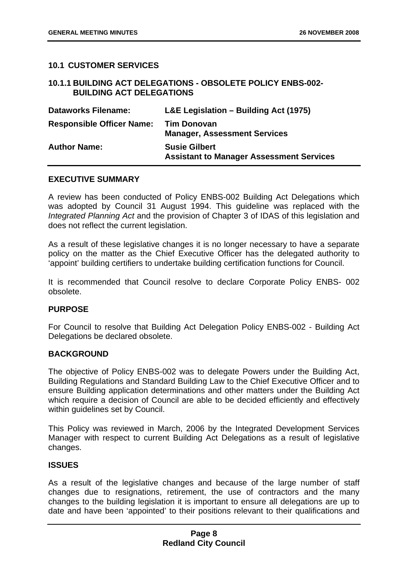#### <span id="page-12-0"></span>**10.1 CUSTOMER SERVICES**

#### <span id="page-12-1"></span>**10.1.1 BUILDING ACT DELEGATIONS - OBSOLETE POLICY ENBS-002- BUILDING ACT DELEGATIONS**

| <b>Dataworks Filename:</b>       | L&E Legislation – Building Act (1975)                                   |
|----------------------------------|-------------------------------------------------------------------------|
| <b>Responsible Officer Name:</b> | <b>Tim Donovan</b><br><b>Manager, Assessment Services</b>               |
| <b>Author Name:</b>              | <b>Susie Gilbert</b><br><b>Assistant to Manager Assessment Services</b> |

#### **EXECUTIVE SUMMARY**

A review has been conducted of Policy ENBS-002 Building Act Delegations which was adopted by Council 31 August 1994. This guideline was replaced with the *Integrated Planning Act* and the provision of Chapter 3 of IDAS of this legislation and does not reflect the current legislation.

As a result of these legislative changes it is no longer necessary to have a separate policy on the matter as the Chief Executive Officer has the delegated authority to 'appoint' building certifiers to undertake building certification functions for Council.

It is recommended that Council resolve to declare Corporate Policy ENBS- 002 obsolete.

#### **PURPOSE**

For Council to resolve that Building Act Delegation Policy ENBS-002 - Building Act Delegations be declared obsolete.

#### **BACKGROUND**

The objective of Policy ENBS-002 was to delegate Powers under the Building Act, Building Regulations and Standard Building Law to the Chief Executive Officer and to ensure Building application determinations and other matters under the Building Act which require a decision of Council are able to be decided efficiently and effectively within guidelines set by Council.

This Policy was reviewed in March, 2006 by the Integrated Development Services Manager with respect to current Building Act Delegations as a result of legislative changes.

#### **ISSUES**

As a result of the legislative changes and because of the large number of staff changes due to resignations, retirement, the use of contractors and the many changes to the building legislation it is important to ensure all delegations are up to date and have been 'appointed' to their positions relevant to their qualifications and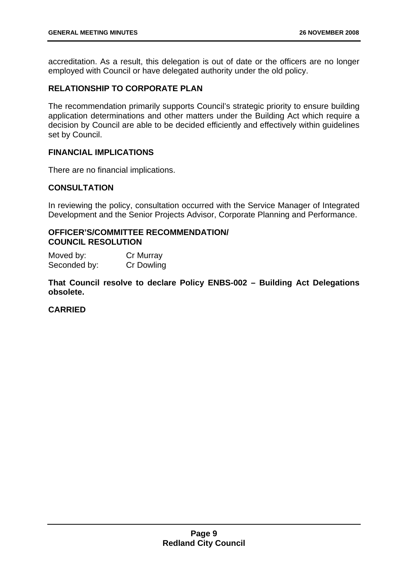accreditation. As a result, this delegation is out of date or the officers are no longer employed with Council or have delegated authority under the old policy.

#### **RELATIONSHIP TO CORPORATE PLAN**

The recommendation primarily supports Council's strategic priority to ensure building application determinations and other matters under the Building Act which require a decision by Council are able to be decided efficiently and effectively within guidelines set by Council.

#### **FINANCIAL IMPLICATIONS**

There are no financial implications.

#### **CONSULTATION**

In reviewing the policy, consultation occurred with the Service Manager of Integrated Development and the Senior Projects Advisor, Corporate Planning and Performance.

#### **OFFICER'S/COMMITTEE RECOMMENDATION/ COUNCIL RESOLUTION**

Moved by: Cr Murray Seconded by: Cr Dowling

**That Council resolve to declare Policy ENBS-002 – Building Act Delegations obsolete.** 

#### **CARRIED**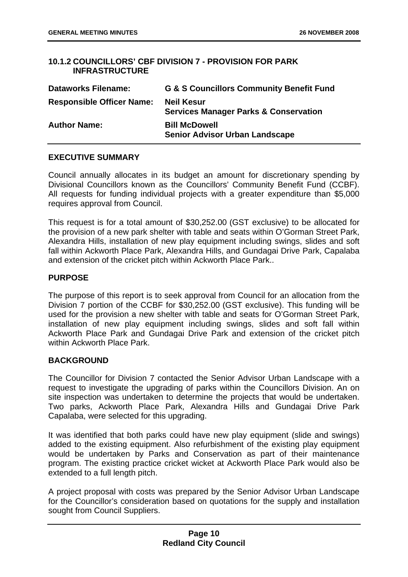#### <span id="page-14-0"></span>**10.1.2 COUNCILLORS' CBF DIVISION 7 - PROVISION FOR PARK INFRASTRUCTURE**

| <b>Dataworks Filename:</b>       | <b>G &amp; S Councillors Community Benefit Fund</b>                   |
|----------------------------------|-----------------------------------------------------------------------|
| <b>Responsible Officer Name:</b> | <b>Neil Kesur</b><br><b>Services Manager Parks &amp; Conservation</b> |
| <b>Author Name:</b>              | <b>Bill McDowell</b><br><b>Senior Advisor Urban Landscape</b>         |

#### **EXECUTIVE SUMMARY**

Council annually allocates in its budget an amount for discretionary spending by Divisional Councillors known as the Councillors' Community Benefit Fund (CCBF). All requests for funding individual projects with a greater expenditure than \$5,000 requires approval from Council.

This request is for a total amount of \$30,252.00 (GST exclusive) to be allocated for the provision of a new park shelter with table and seats within O'Gorman Street Park, Alexandra Hills, installation of new play equipment including swings, slides and soft fall within Ackworth Place Park, Alexandra Hills, and Gundagai Drive Park, Capalaba and extension of the cricket pitch within Ackworth Place Park..

#### **PURPOSE**

The purpose of this report is to seek approval from Council for an allocation from the Division 7 portion of the CCBF for \$30,252.00 (GST exclusive). This funding will be used for the provision a new shelter with table and seats for O'Gorman Street Park, installation of new play equipment including swings, slides and soft fall within Ackworth Place Park and Gundagai Drive Park and extension of the cricket pitch within Ackworth Place Park

#### **BACKGROUND**

The Councillor for Division 7 contacted the Senior Advisor Urban Landscape with a request to investigate the upgrading of parks within the Councillors Division. An on site inspection was undertaken to determine the projects that would be undertaken. Two parks, Ackworth Place Park, Alexandra Hills and Gundagai Drive Park Capalaba, were selected for this upgrading.

It was identified that both parks could have new play equipment (slide and swings) added to the existing equipment. Also refurbishment of the existing play equipment would be undertaken by Parks and Conservation as part of their maintenance program. The existing practice cricket wicket at Ackworth Place Park would also be extended to a full length pitch.

A project proposal with costs was prepared by the Senior Advisor Urban Landscape for the Councillor's consideration based on quotations for the supply and installation sought from Council Suppliers.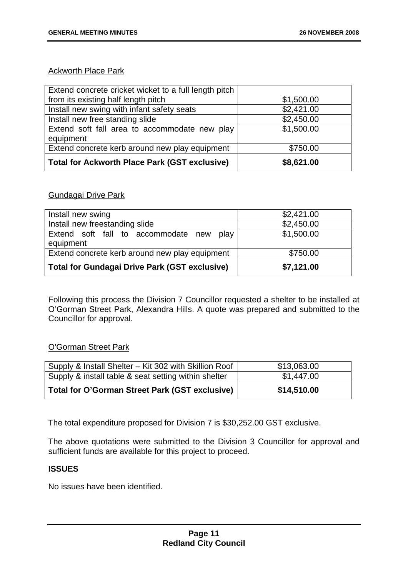#### Ackworth Place Park

| Extend concrete cricket wicket to a full length pitch |            |
|-------------------------------------------------------|------------|
| from its existing half length pitch                   | \$1,500.00 |
| Install new swing with infant safety seats            | \$2,421.00 |
| Install new free standing slide                       | \$2,450.00 |
| Extend soft fall area to accommodate new play         | \$1,500.00 |
| equipment                                             |            |
| Extend concrete kerb around new play equipment        | \$750.00   |
| <b>Total for Ackworth Place Park (GST exclusive)</b>  | \$8,621.00 |

#### Gundagai Drive Park

| Install new swing                                        | \$2,421.00 |
|----------------------------------------------------------|------------|
| Install new freestanding slide                           | \$2,450.00 |
| Extend soft fall to accommodate new<br>play<br>equipment | \$1,500.00 |
| Extend concrete kerb around new play equipment           | \$750.00   |
| <b>Total for Gundagai Drive Park (GST exclusive)</b>     | \$7,121.00 |

Following this process the Division 7 Councillor requested a shelter to be installed at O'Gorman Street Park, Alexandra Hills. A quote was prepared and submitted to the Councillor for approval.

#### O'Gorman Street Park

| Supply & Install Shelter - Kit 302 with Skillion Roof | \$13,063.00 |
|-------------------------------------------------------|-------------|
| Supply & install table & seat setting within shelter  | \$1,447.00  |
| Total for O'Gorman Street Park (GST exclusive)        | \$14,510.00 |

The total expenditure proposed for Division 7 is \$30,252.00 GST exclusive.

The above quotations were submitted to the Division 3 Councillor for approval and sufficient funds are available for this project to proceed.

#### **ISSUES**

No issues have been identified.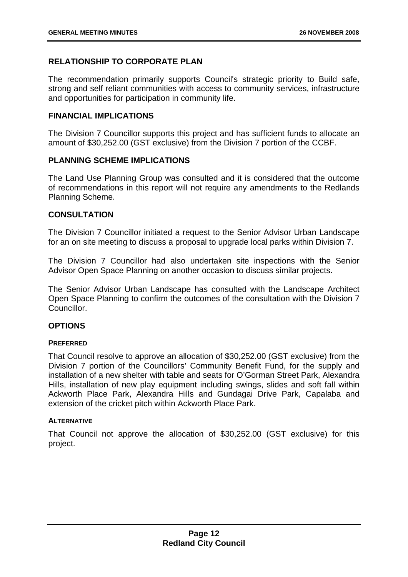#### **RELATIONSHIP TO CORPORATE PLAN**

The recommendation primarily supports Council's strategic priority to Build safe, strong and self reliant communities with access to community services, infrastructure and opportunities for participation in community life.

#### **FINANCIAL IMPLICATIONS**

The Division 7 Councillor supports this project and has sufficient funds to allocate an amount of \$30,252.00 (GST exclusive) from the Division 7 portion of the CCBF.

#### **PLANNING SCHEME IMPLICATIONS**

The Land Use Planning Group was consulted and it is considered that the outcome of recommendations in this report will not require any amendments to the Redlands Planning Scheme.

#### **CONSULTATION**

The Division 7 Councillor initiated a request to the Senior Advisor Urban Landscape for an on site meeting to discuss a proposal to upgrade local parks within Division 7.

The Division 7 Councillor had also undertaken site inspections with the Senior Advisor Open Space Planning on another occasion to discuss similar projects.

The Senior Advisor Urban Landscape has consulted with the Landscape Architect Open Space Planning to confirm the outcomes of the consultation with the Division 7 Councillor.

#### **OPTIONS**

#### **PREFERRED**

That Council resolve to approve an allocation of \$30,252.00 (GST exclusive) from the Division 7 portion of the Councillors' Community Benefit Fund, for the supply and installation of a new shelter with table and seats for O'Gorman Street Park, Alexandra Hills, installation of new play equipment including swings, slides and soft fall within Ackworth Place Park, Alexandra Hills and Gundagai Drive Park, Capalaba and extension of the cricket pitch within Ackworth Place Park.

#### **ALTERNATIVE**

That Council not approve the allocation of \$30,252.00 (GST exclusive) for this project.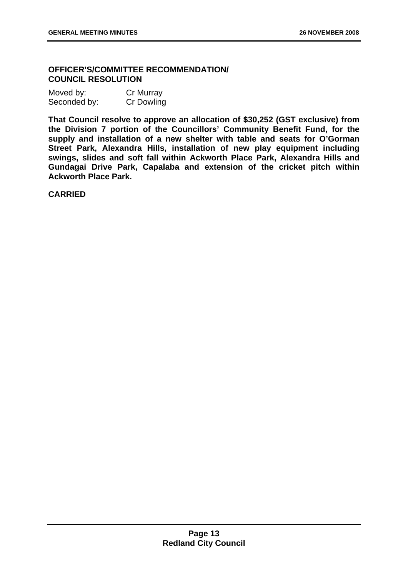#### **OFFICER'S/COMMITTEE RECOMMENDATION/ COUNCIL RESOLUTION**

| Moved by:    | Cr Murray         |
|--------------|-------------------|
| Seconded by: | <b>Cr Dowling</b> |

**That Council resolve to approve an allocation of \$30,252 (GST exclusive) from the Division 7 portion of the Councillors' Community Benefit Fund, for the supply and installation of a new shelter with table and seats for O'Gorman Street Park, Alexandra Hills, installation of new play equipment including swings, slides and soft fall within Ackworth Place Park, Alexandra Hills and Gundagai Drive Park, Capalaba and extension of the cricket pitch within Ackworth Place Park.** 

**CARRIED**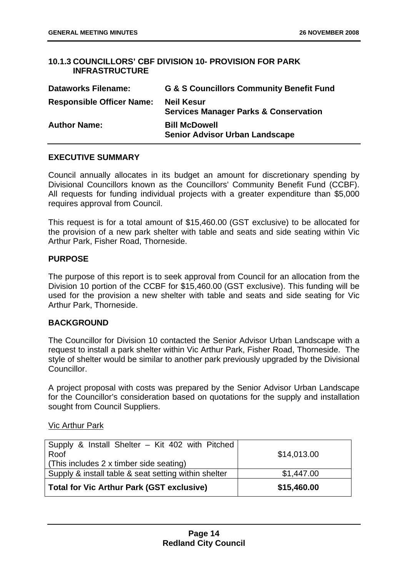#### <span id="page-18-0"></span>**10.1.3 COUNCILLORS' CBF DIVISION 10- PROVISION FOR PARK INFRASTRUCTURE**

| <b>Dataworks Filename:</b>       | <b>G &amp; S Councillors Community Benefit Fund</b>                   |
|----------------------------------|-----------------------------------------------------------------------|
| <b>Responsible Officer Name:</b> | <b>Neil Kesur</b><br><b>Services Manager Parks &amp; Conservation</b> |
| <b>Author Name:</b>              | <b>Bill McDowell</b><br><b>Senior Advisor Urban Landscape</b>         |

#### **EXECUTIVE SUMMARY**

Council annually allocates in its budget an amount for discretionary spending by Divisional Councillors known as the Councillors' Community Benefit Fund (CCBF). All requests for funding individual projects with a greater expenditure than \$5,000 requires approval from Council.

This request is for a total amount of \$15,460.00 (GST exclusive) to be allocated for the provision of a new park shelter with table and seats and side seating within Vic Arthur Park, Fisher Road, Thorneside.

#### **PURPOSE**

The purpose of this report is to seek approval from Council for an allocation from the Division 10 portion of the CCBF for \$15,460.00 (GST exclusive). This funding will be used for the provision a new shelter with table and seats and side seating for Vic Arthur Park, Thorneside.

#### **BACKGROUND**

The Councillor for Division 10 contacted the Senior Advisor Urban Landscape with a request to install a park shelter within Vic Arthur Park, Fisher Road, Thorneside. The style of shelter would be similar to another park previously upgraded by the Divisional Councillor.

A project proposal with costs was prepared by the Senior Advisor Urban Landscape for the Councillor's consideration based on quotations for the supply and installation sought from Council Suppliers.

#### Vic Arthur Park

| Supply & Install Shelter - Kit 402 with Pitched      |             |
|------------------------------------------------------|-------------|
| Roof                                                 | \$14,013.00 |
| (This includes 2 x timber side seating)              |             |
| Supply & install table & seat setting within shelter | \$1,447.00  |
| <b>Total for Vic Arthur Park (GST exclusive)</b>     | \$15,460.00 |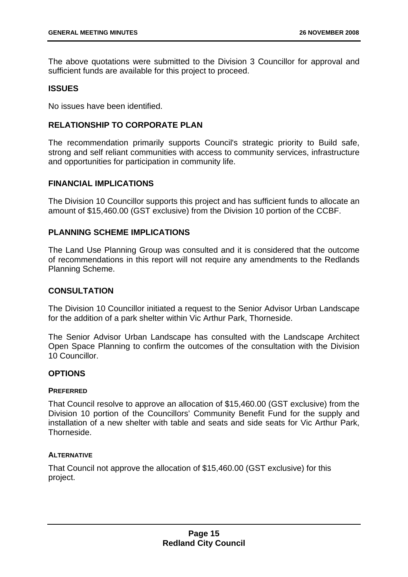The above quotations were submitted to the Division 3 Councillor for approval and sufficient funds are available for this project to proceed.

#### **ISSUES**

No issues have been identified.

#### **RELATIONSHIP TO CORPORATE PLAN**

The recommendation primarily supports Council's strategic priority to Build safe, strong and self reliant communities with access to community services, infrastructure and opportunities for participation in community life.

#### **FINANCIAL IMPLICATIONS**

The Division 10 Councillor supports this project and has sufficient funds to allocate an amount of \$15,460.00 (GST exclusive) from the Division 10 portion of the CCBF.

#### **PLANNING SCHEME IMPLICATIONS**

The Land Use Planning Group was consulted and it is considered that the outcome of recommendations in this report will not require any amendments to the Redlands Planning Scheme.

#### **CONSULTATION**

The Division 10 Councillor initiated a request to the Senior Advisor Urban Landscape for the addition of a park shelter within Vic Arthur Park, Thorneside.

The Senior Advisor Urban Landscape has consulted with the Landscape Architect Open Space Planning to confirm the outcomes of the consultation with the Division 10 Councillor.

#### **OPTIONS**

#### **PREFERRED**

That Council resolve to approve an allocation of \$15,460.00 (GST exclusive) from the Division 10 portion of the Councillors' Community Benefit Fund for the supply and installation of a new shelter with table and seats and side seats for Vic Arthur Park, Thorneside.

#### **ALTERNATIVE**

That Council not approve the allocation of \$15,460.00 (GST exclusive) for this project.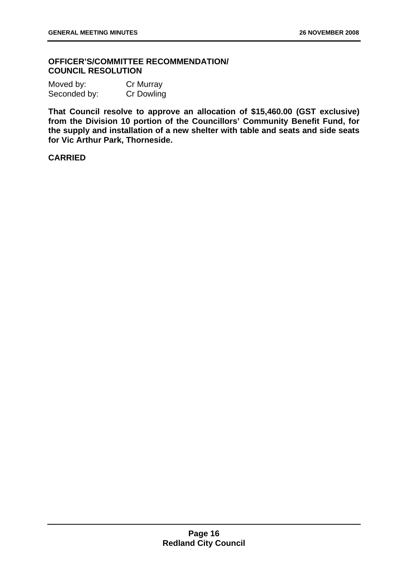#### **OFFICER'S/COMMITTEE RECOMMENDATION/ COUNCIL RESOLUTION**

| Moved by:    | Cr Murray         |
|--------------|-------------------|
| Seconded by: | <b>Cr Dowling</b> |

**That Council resolve to approve an allocation of \$15,460.00 (GST exclusive) from the Division 10 portion of the Councillors' Community Benefit Fund, for the supply and installation of a new shelter with table and seats and side seats for Vic Arthur Park, Thorneside.** 

#### **CARRIED**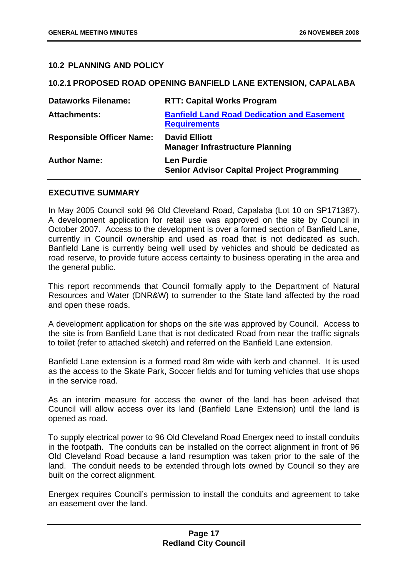#### <span id="page-21-0"></span>**10.2 PLANNING AND POLICY**

#### <span id="page-21-1"></span>**10.2.1 PROPOSED ROAD OPENING BANFIELD LANE EXTENSION, CAPALABA**

| <b>Dataworks Filename:</b>       | <b>RTT: Capital Works Program</b>                                        |
|----------------------------------|--------------------------------------------------------------------------|
| <b>Attachments:</b>              | <b>Banfield Land Road Dedication and Easement</b><br><b>Requirements</b> |
| <b>Responsible Officer Name:</b> | <b>David Elliott</b><br><b>Manager Infrastructure Planning</b>           |
| <b>Author Name:</b>              | Len Purdie<br><b>Senior Advisor Capital Project Programming</b>          |

#### **EXECUTIVE SUMMARY**

In May 2005 Council sold 96 Old Cleveland Road, Capalaba (Lot 10 on SP171387). A development application for retail use was approved on the site by Council in October 2007. Access to the development is over a formed section of Banfield Lane, currently in Council ownership and used as road that is not dedicated as such. Banfield Lane is currently being well used by vehicles and should be dedicated as road reserve, to provide future access certainty to business operating in the area and the general public.

This report recommends that Council formally apply to the Department of Natural Resources and Water (DNR&W) to surrender to the State land affected by the road and open these roads.

A development application for shops on the site was approved by Council. Access to the site is from Banfield Lane that is not dedicated Road from near the traffic signals to toilet (refer to attached sketch) and referred on the Banfield Lane extension.

Banfield Lane extension is a formed road 8m wide with kerb and channel. It is used as the access to the Skate Park, Soccer fields and for turning vehicles that use shops in the service road.

As an interim measure for access the owner of the land has been advised that Council will allow access over its land (Banfield Lane Extension) until the land is opened as road.

To supply electrical power to 96 Old Cleveland Road Energex need to install conduits in the footpath. The conduits can be installed on the correct alignment in front of 96 Old Cleveland Road because a land resumption was taken prior to the sale of the land. The conduit needs to be extended through lots owned by Council so they are built on the correct alignment.

Energex requires Council's permission to install the conduits and agreement to take an easement over the land.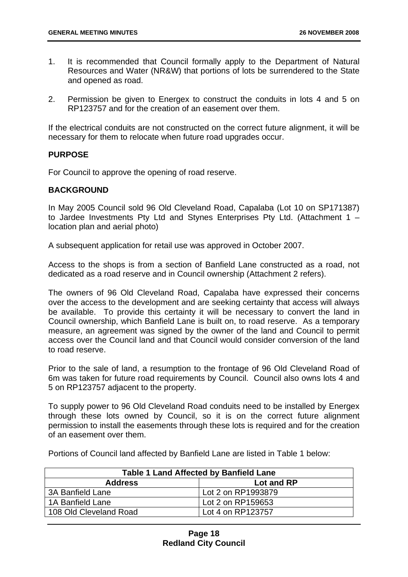- 1. It is recommended that Council formally apply to the Department of Natural Resources and Water (NR&W) that portions of lots be surrendered to the State and opened as road.
- 2. Permission be given to Energex to construct the conduits in lots 4 and 5 on RP123757 and for the creation of an easement over them.

If the electrical conduits are not constructed on the correct future alignment, it will be necessary for them to relocate when future road upgrades occur.

#### **PURPOSE**

For Council to approve the opening of road reserve.

#### **BACKGROUND**

In May 2005 Council sold 96 Old Cleveland Road, Capalaba (Lot 10 on SP171387) to Jardee Investments Pty Ltd and Stynes Enterprises Pty Ltd. (Attachment 1 – location plan and aerial photo)

A subsequent application for retail use was approved in October 2007.

Access to the shops is from a section of Banfield Lane constructed as a road, not dedicated as a road reserve and in Council ownership (Attachment 2 refers).

The owners of 96 Old Cleveland Road, Capalaba have expressed their concerns over the access to the development and are seeking certainty that access will always be available. To provide this certainty it will be necessary to convert the land in Council ownership, which Banfield Lane is built on, to road reserve. As a temporary measure, an agreement was signed by the owner of the land and Council to permit access over the Council land and that Council would consider conversion of the land to road reserve.

Prior to the sale of land, a resumption to the frontage of 96 Old Cleveland Road of 6m was taken for future road requirements by Council. Council also owns lots 4 and 5 on RP123757 adjacent to the property.

To supply power to 96 Old Cleveland Road conduits need to be installed by Energex through these lots owned by Council, so it is on the correct future alignment permission to install the easements through these lots is required and for the creation of an easement over them.

| <b>Table 1 Land Affected by Banfield Lane</b> |                    |  |
|-----------------------------------------------|--------------------|--|
| Lot and RP<br><b>Address</b>                  |                    |  |
| 3A Banfield Lane                              | Lot 2 on RP1993879 |  |
| 1A Banfield Lane                              | Lot 2 on RP159653  |  |
| 108 Old Cleveland Road                        | Lot 4 on RP123757  |  |

Portions of Council land affected by Banfield Lane are listed in Table 1 below: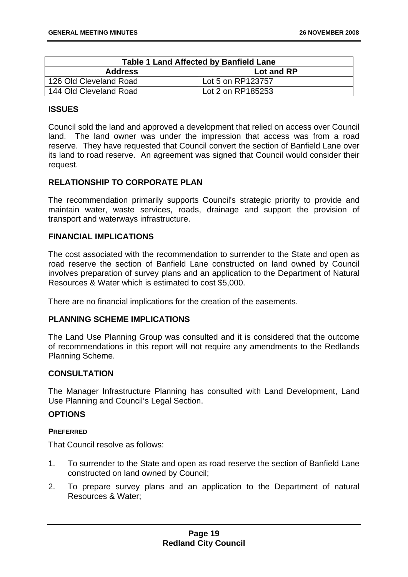| <b>Table 1 Land Affected by Banfield Lane</b> |                   |  |
|-----------------------------------------------|-------------------|--|
| <b>Address</b>                                | Lot and RP        |  |
| 126 Old Cleveland Road                        | Lot 5 on RP123757 |  |
| 144 Old Cleveland Road                        | Lot 2 on RP185253 |  |

#### **ISSUES**

Council sold the land and approved a development that relied on access over Council land. The land owner was under the impression that access was from a road reserve. They have requested that Council convert the section of Banfield Lane over its land to road reserve. An agreement was signed that Council would consider their request.

#### **RELATIONSHIP TO CORPORATE PLAN**

The recommendation primarily supports Council's strategic priority to provide and maintain water, waste services, roads, drainage and support the provision of transport and waterways infrastructure.

#### **FINANCIAL IMPLICATIONS**

The cost associated with the recommendation to surrender to the State and open as road reserve the section of Banfield Lane constructed on land owned by Council involves preparation of survey plans and an application to the Department of Natural Resources & Water which is estimated to cost \$5,000.

There are no financial implications for the creation of the easements.

#### **PLANNING SCHEME IMPLICATIONS**

The Land Use Planning Group was consulted and it is considered that the outcome of recommendations in this report will not require any amendments to the Redlands Planning Scheme.

#### **CONSULTATION**

The Manager Infrastructure Planning has consulted with Land Development, Land Use Planning and Council's Legal Section.

#### **OPTIONS**

#### **PREFERRED**

That Council resolve as follows:

- 1. To surrender to the State and open as road reserve the section of Banfield Lane constructed on land owned by Council;
- 2. To prepare survey plans and an application to the Department of natural Resources & Water;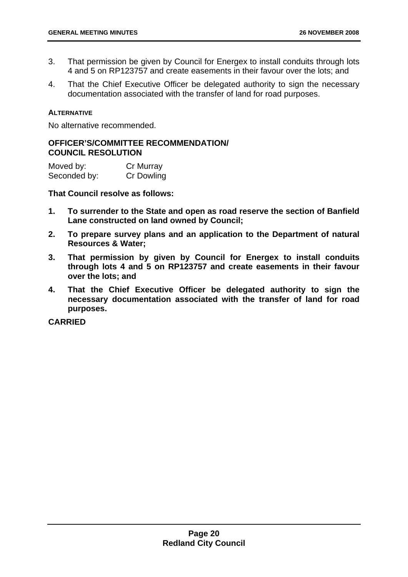- 3. That permission be given by Council for Energex to install conduits through lots 4 and 5 on RP123757 and create easements in their favour over the lots; and
- 4. That the Chief Executive Officer be delegated authority to sign the necessary documentation associated with the transfer of land for road purposes.

#### **ALTERNATIVE**

No alternative recommended.

#### **OFFICER'S/COMMITTEE RECOMMENDATION/ COUNCIL RESOLUTION**

| Moved by:    | Cr Murray         |
|--------------|-------------------|
| Seconded by: | <b>Cr Dowling</b> |

**That Council resolve as follows:** 

- **1. To surrender to the State and open as road reserve the section of Banfield Lane constructed on land owned by Council;**
- **2. To prepare survey plans and an application to the Department of natural Resources & Water;**
- **3. That permission by given by Council for Energex to install conduits through lots 4 and 5 on RP123757 and create easements in their favour over the lots; and**
- **4. That the Chief Executive Officer be delegated authority to sign the necessary documentation associated with the transfer of land for road purposes.**

**CARRIED**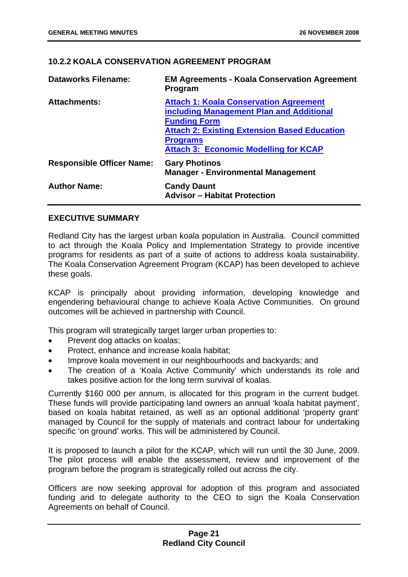#### <span id="page-25-0"></span>**10.2.2 KOALA CONSERVATION AGREEMENT PROGRAM**

| <b>Dataworks Filename:</b>       | <b>EM Agreements - Koala Conservation Agreement</b><br>Program                                                                                                                                                                             |
|----------------------------------|--------------------------------------------------------------------------------------------------------------------------------------------------------------------------------------------------------------------------------------------|
| <b>Attachments:</b>              | <b>Attach 1: Koala Conservation Agreement</b><br>including Management Plan and Additional<br><b>Funding Form</b><br><b>Attach 2: Existing Extension Based Education</b><br><b>Programs</b><br><b>Attach 3: Economic Modelling for KCAP</b> |
| <b>Responsible Officer Name:</b> | <b>Gary Photinos</b><br><b>Manager - Environmental Management</b>                                                                                                                                                                          |
| <b>Author Name:</b>              | <b>Candy Daunt</b><br><b>Advisor - Habitat Protection</b>                                                                                                                                                                                  |

#### **EXECUTIVE SUMMARY**

Redland City has the largest urban koala population in Australia. Council committed to act through the Koala Policy and Implementation Strategy to provide incentive programs for residents as part of a suite of actions to address koala sustainability. The Koala Conservation Agreement Program (KCAP) has been developed to achieve these goals.

KCAP is principally about providing information, developing knowledge and engendering behavioural change to achieve Koala Active Communities. On ground outcomes will be achieved in partnership with Council.

This program will strategically target larger urban properties to:

- Prevent dog attacks on koalas:
- Protect, enhance and increase koala habitat;
- Improve koala movement in our neighbourhoods and backyards; and
- The creation of a 'Koala Active Community' which understands its role and takes positive action for the long term survival of koalas.

Currently \$160 000 per annum, is allocated for this program in the current budget. These funds will provide participating land owners an annual 'koala habitat payment', based on koala habitat retained, as well as an optional additional 'property grant' managed by Council for the supply of materials and contract labour for undertaking specific 'on ground' works. This will be administered by Council.

It is proposed to launch a pilot for the KCAP, which will run until the 30 June, 2009. The pilot process will enable the assessment, review and improvement of the program before the program is strategically rolled out across the city.

Officers are now seeking approval for adoption of this program and associated funding and to delegate authority to the CEO to sign the Koala Conservation Agreements on behalf of Council.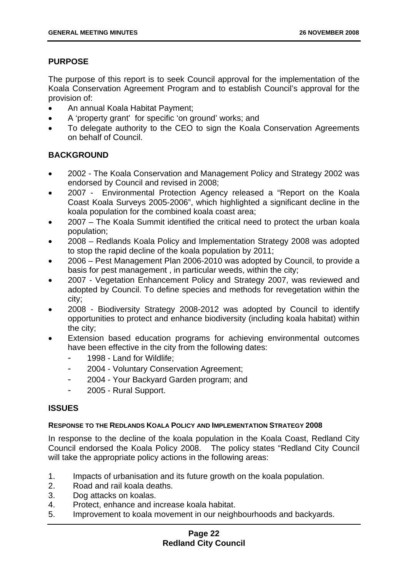#### **PURPOSE**

The purpose of this report is to seek Council approval for the implementation of the Koala Conservation Agreement Program and to establish Council's approval for the provision of:

- An annual Koala Habitat Payment;
- A 'property grant' for specific 'on ground' works; and
- To delegate authority to the CEO to sign the Koala Conservation Agreements on behalf of Council.

#### **BACKGROUND**

- 2002 The Koala Conservation and Management Policy and Strategy 2002 was endorsed by Council and revised in 2008;
- 2007 Environmental Protection Agency released a "Report on the Koala Coast Koala Surveys 2005-2006", which highlighted a significant decline in the koala population for the combined koala coast area;
- 2007 The Koala Summit identified the critical need to protect the urban koala population;
- 2008 Redlands Koala Policy and Implementation Strategy 2008 was adopted to stop the rapid decline of the koala population by 2011;
- 2006 Pest Management Plan 2006-2010 was adopted by Council, to provide a basis for pest management , in particular weeds, within the city;
- 2007 Vegetation Enhancement Policy and Strategy 2007, was reviewed and adopted by Council. To define species and methods for revegetation within the city;
- 2008 Biodiversity Strategy 2008-2012 was adopted by Council to identify opportunities to protect and enhance biodiversity (including koala habitat) within the city;
- Extension based education programs for achieving environmental outcomes have been effective in the city from the following dates:
	- 1998 Land for Wildlife;
	- 2004 Voluntary Conservation Agreement;
	- 2004 Your Backyard Garden program; and
	- 2005 Rural Support.

#### **ISSUES**

#### **RESPONSE TO THE REDLANDS KOALA POLICY AND IMPLEMENTATION STRATEGY 2008**

In response to the decline of the koala population in the Koala Coast, Redland City Council endorsed the Koala Policy 2008. The policy states "Redland City Council will take the appropriate policy actions in the following areas:

- 1. Impacts of urbanisation and its future growth on the koala population.
- 2. Road and rail koala deaths.
- 3. Dog attacks on koalas.
- 4. Protect, enhance and increase koala habitat.
- 5. Improvement to koala movement in our neighbourhoods and backyards.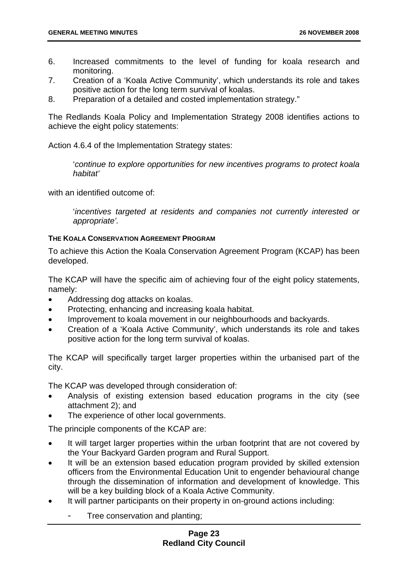- 6. Increased commitments to the level of funding for koala research and monitoring.
- 7. Creation of a 'Koala Active Community', which understands its role and takes positive action for the long term survival of koalas.
- 8. Preparation of a detailed and costed implementation strategy."

The Redlands Koala Policy and Implementation Strategy 2008 identifies actions to achieve the eight policy statements:

Action 4.6.4 of the Implementation Strategy states:

'*continue to explore opportunities for new incentives programs to protect koala habitat'* 

with an identified outcome of:

'*incentives targeted at residents and companies not currently interested or appropriate'.* 

#### **THE KOALA CONSERVATION AGREEMENT PROGRAM**

To achieve this Action the Koala Conservation Agreement Program (KCAP) has been developed.

The KCAP will have the specific aim of achieving four of the eight policy statements, namely:

- Addressing dog attacks on koalas.
- Protecting, enhancing and increasing koala habitat.
- Improvement to koala movement in our neighbourhoods and backyards.
- Creation of a 'Koala Active Community', which understands its role and takes positive action for the long term survival of koalas.

The KCAP will specifically target larger properties within the urbanised part of the city.

The KCAP was developed through consideration of:

- Analysis of existing extension based education programs in the city (see attachment 2); and
- The experience of other local governments.

The principle components of the KCAP are:

- It will target larger properties within the urban footprint that are not covered by the Your Backyard Garden program and Rural Support.
- It will be an extension based education program provided by skilled extension officers from the Environmental Education Unit to engender behavioural change through the dissemination of information and development of knowledge. This will be a key building block of a Koala Active Community.
- It will partner participants on their property in on-ground actions including:
	- Tree conservation and planting;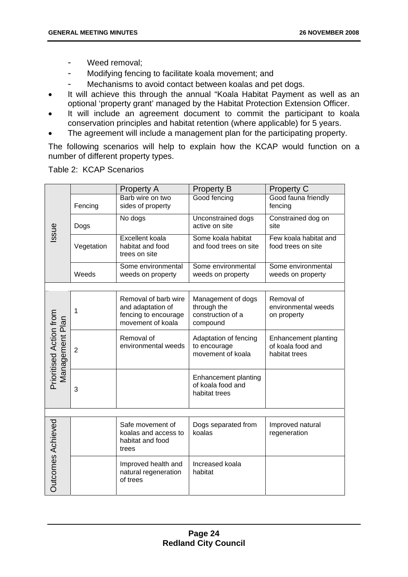- Weed removal;
- Modifying fencing to facilitate koala movement; and
- Mechanisms to avoid contact between koalas and pet dogs.
- It will achieve this through the annual "Koala Habitat Payment as well as an optional 'property grant' managed by the Habitat Protection Extension Officer.
- It will include an agreement document to commit the participant to koala conservation principles and habitat retention (where applicable) for 5 years.
- The agreement will include a management plan for the participating property.

The following scenarios will help to explain how the KCAP would function on a number of different property types.

|                                            |                | <b>Property A</b>                                                                      | <b>Property B</b>                                                  | <b>Property C</b>                                          |
|--------------------------------------------|----------------|----------------------------------------------------------------------------------------|--------------------------------------------------------------------|------------------------------------------------------------|
|                                            | Fencing        | Barb wire on two<br>sides of property                                                  | Good fencing                                                       | Good fauna friendly<br>fencing                             |
| <b>Issue</b>                               | Dogs           | No dogs                                                                                | Unconstrained dogs<br>active on site                               | Constrained dog on<br>site                                 |
|                                            | Vegetation     | Excellent koala<br>habitat and food<br>trees on site                                   | Some koala habitat<br>and food trees on site                       | Few koala habitat and<br>food trees on site                |
|                                            | Weeds          | Some environmental<br>weeds on property                                                | Some environmental<br>weeds on property                            | Some environmental<br>weeds on property                    |
|                                            |                |                                                                                        |                                                                    |                                                            |
|                                            | 1              | Removal of barb wire<br>and adaptation of<br>fencing to encourage<br>movement of koala | Management of dogs<br>through the<br>construction of a<br>compound | Removal of<br>environmental weeds<br>on property           |
| Prioritised Action from<br>Management Plan | $\overline{2}$ | Removal of<br>environmental weeds                                                      | Adaptation of fencing<br>to encourage<br>movement of koala         | Enhancement planting<br>of koala food and<br>habitat trees |
|                                            | 3              |                                                                                        | Enhancement planting<br>of koala food and<br>habitat trees         |                                                            |
|                                            |                |                                                                                        |                                                                    |                                                            |
|                                            |                | Safe movement of<br>koalas and access to<br>habitat and food<br>trees                  | Dogs separated from<br>koalas                                      | Improved natural<br>regeneration                           |
| Outcomes Achieved                          |                | Improved health and<br>natural regeneration<br>of trees                                | Increased koala<br>habitat                                         |                                                            |

Table 2: KCAP Scenarios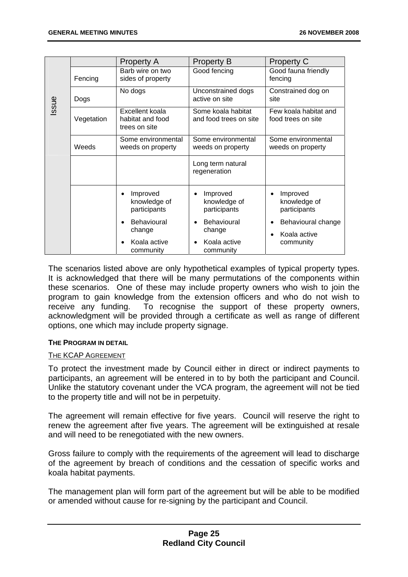|      |            | <b>Property A</b>                                    | <b>Property B</b>                                     | <b>Property C</b>                                            |
|------|------------|------------------------------------------------------|-------------------------------------------------------|--------------------------------------------------------------|
|      | Fencing    | Barb wire on two<br>sides of property                | Good fencing                                          | Good fauna friendly<br>fencing                               |
| ssue | Dogs       | No dogs                                              | Unconstrained dogs<br>active on site                  | Constrained dog on<br>site                                   |
|      | Vegetation | Excellent koala<br>habitat and food<br>trees on site | Some koala habitat<br>and food trees on site          | Few koala habitat and<br>food trees on site                  |
|      | Weeds      | Some environmental<br>weeds on property              | Some environmental<br>weeds on property               | Some environmental<br>weeds on property                      |
|      |            |                                                      | Long term natural<br>regeneration                     |                                                              |
|      |            | Improved<br>٠<br>knowledge of<br>participants        | Improved<br>$\bullet$<br>knowledge of<br>participants | Improved<br>$\bullet$<br>knowledge of<br>participants        |
|      |            | Behavioural<br>$\bullet$<br>change                   | Behavioural<br>change                                 | Behavioural change<br>$\bullet$<br>Koala active<br>$\bullet$ |
|      |            | Koala active<br>$\bullet$<br>community               | Koala active<br>community                             | community                                                    |

The scenarios listed above are only hypothetical examples of typical property types. It is acknowledged that there will be many permutations of the components within these scenarios. One of these may include property owners who wish to join the program to gain knowledge from the extension officers and who do not wish to receive any funding. To recognise the support of these property owners, acknowledgment will be provided through a certificate as well as range of different options, one which may include property signage.

#### **THE PROGRAM IN DETAIL**

#### THE KCAP AGREEMENT

To protect the investment made by Council either in direct or indirect payments to participants, an agreement will be entered in to by both the participant and Council. Unlike the statutory covenant under the VCA program, the agreement will not be tied to the property title and will not be in perpetuity.

The agreement will remain effective for five years. Council will reserve the right to renew the agreement after five years. The agreement will be extinguished at resale and will need to be renegotiated with the new owners.

Gross failure to comply with the requirements of the agreement will lead to discharge of the agreement by breach of conditions and the cessation of specific works and koala habitat payments.

The management plan will form part of the agreement but will be able to be modified or amended without cause for re-signing by the participant and Council.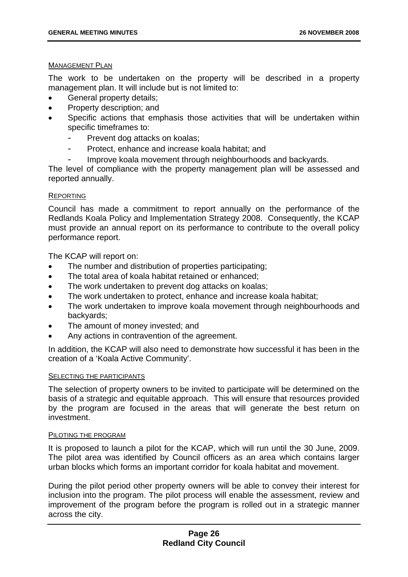#### MANAGEMENT PLAN

The work to be undertaken on the property will be described in a property management plan. It will include but is not limited to:

- General property details;
- Property description; and
- Specific actions that emphasis those activities that will be undertaken within specific timeframes to:
	- Prevent dog attacks on koalas;
	- Protect, enhance and increase koala habitat; and
	- Improve koala movement through neighbourhoods and backyards.

The level of compliance with the property management plan will be assessed and reported annually.

#### REPORTING

Council has made a commitment to report annually on the performance of the Redlands Koala Policy and Implementation Strategy 2008. Consequently, the KCAP must provide an annual report on its performance to contribute to the overall policy performance report.

The KCAP will report on:

- The number and distribution of properties participating;
- The total area of koala habitat retained or enhanced;
- The work undertaken to prevent dog attacks on koalas;
- The work undertaken to protect, enhance and increase koala habitat;
- The work undertaken to improve koala movement through neighbourhoods and backyards;
- The amount of money invested; and
- Any actions in contravention of the agreement.

In addition, the KCAP will also need to demonstrate how successful it has been in the creation of a 'Koala Active Community'.

#### SELECTING THE PARTICIPANTS

The selection of property owners to be invited to participate will be determined on the basis of a strategic and equitable approach. This will ensure that resources provided by the program are focused in the areas that will generate the best return on investment.

#### PILOTING THE PROGRAM

It is proposed to launch a pilot for the KCAP, which will run until the 30 June, 2009. The pilot area was identified by Council officers as an area which contains larger urban blocks which forms an important corridor for koala habitat and movement.

During the pilot period other property owners will be able to convey their interest for inclusion into the program. The pilot process will enable the assessment, review and improvement of the program before the program is rolled out in a strategic manner across the city.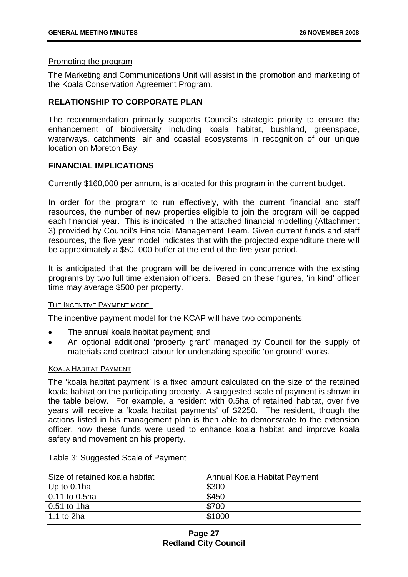#### Promoting the program

The Marketing and Communications Unit will assist in the promotion and marketing of the Koala Conservation Agreement Program.

#### **RELATIONSHIP TO CORPORATE PLAN**

The recommendation primarily supports Council's strategic priority to ensure the enhancement of biodiversity including koala habitat, bushland, greenspace, waterways, catchments, air and coastal ecosystems in recognition of our unique location on Moreton Bay.

#### **FINANCIAL IMPLICATIONS**

Currently \$160,000 per annum, is allocated for this program in the current budget.

In order for the program to run effectively, with the current financial and staff resources, the number of new properties eligible to join the program will be capped each financial year. This is indicated in the attached financial modelling (Attachment 3) provided by Council's Financial Management Team. Given current funds and staff resources, the five year model indicates that with the projected expenditure there will be approximately a \$50, 000 buffer at the end of the five year period.

It is anticipated that the program will be delivered in concurrence with the existing programs by two full time extension officers. Based on these figures, 'in kind' officer time may average \$500 per property.

#### THE INCENTIVE PAYMENT MODEL

The incentive payment model for the KCAP will have two components:

- The annual koala habitat payment; and
- An optional additional 'property grant' managed by Council for the supply of materials and contract labour for undertaking specific 'on ground' works.

#### KOALA HABITAT PAYMENT

The 'koala habitat payment' is a fixed amount calculated on the size of the retained koala habitat on the participating property. A suggested scale of payment is shown in the table below. For example, a resident with 0.5ha of retained habitat, over five years will receive a 'koala habitat payments' of \$2250. The resident, though the actions listed in his management plan is then able to demonstrate to the extension officer, how these funds were used to enhance koala habitat and improve koala safety and movement on his property.

| Table 3: Suggested Scale of Payment |  |
|-------------------------------------|--|
|-------------------------------------|--|

| Size of retained koala habitat | Annual Koala Habitat Payment |
|--------------------------------|------------------------------|
| Up to 0.1ha                    | \$300                        |
| $\vert$ 0.11 to 0.5ha          | \$450                        |
| $\vert$ 0.51 to 1ha            | \$700                        |
| 1.1 to 2ha                     | \$1000                       |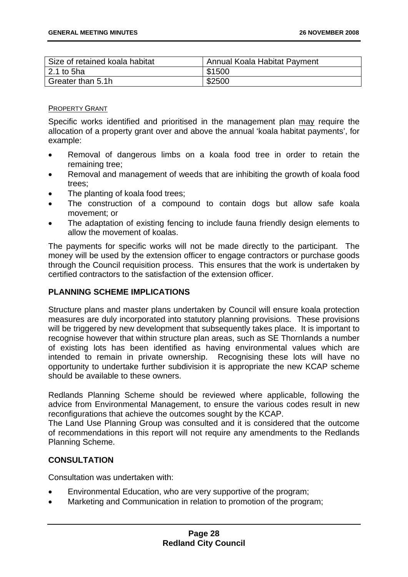| Size of retained koala habitat | Annual Koala Habitat Payment |
|--------------------------------|------------------------------|
| 2.1 to 5ha                     | \$1500                       |
| Greater than 5.1h              | \$2500                       |

#### PROPERTY GRANT

Specific works identified and prioritised in the management plan may require the allocation of a property grant over and above the annual 'koala habitat payments', for example:

- Removal of dangerous limbs on a koala food tree in order to retain the remaining tree;
- Removal and management of weeds that are inhibiting the growth of koala food trees;
- The planting of koala food trees:
- The construction of a compound to contain dogs but allow safe koala movement; or
- The adaptation of existing fencing to include fauna friendly design elements to allow the movement of koalas.

The payments for specific works will not be made directly to the participant. The money will be used by the extension officer to engage contractors or purchase goods through the Council requisition process. This ensures that the work is undertaken by certified contractors to the satisfaction of the extension officer.

#### **PLANNING SCHEME IMPLICATIONS**

Structure plans and master plans undertaken by Council will ensure koala protection measures are duly incorporated into statutory planning provisions. These provisions will be triggered by new development that subsequently takes place. It is important to recognise however that within structure plan areas, such as SE Thornlands a number of existing lots has been identified as having environmental values which are intended to remain in private ownership. Recognising these lots will have no opportunity to undertake further subdivision it is appropriate the new KCAP scheme should be available to these owners.

Redlands Planning Scheme should be reviewed where applicable, following the advice from Environmental Management, to ensure the various codes result in new reconfigurations that achieve the outcomes sought by the KCAP.

The Land Use Planning Group was consulted and it is considered that the outcome of recommendations in this report will not require any amendments to the Redlands Planning Scheme.

#### **CONSULTATION**

Consultation was undertaken with:

- Environmental Education, who are very supportive of the program;
- Marketing and Communication in relation to promotion of the program;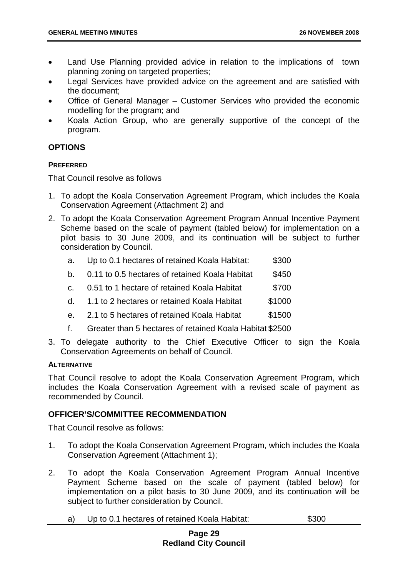- Land Use Planning provided advice in relation to the implications of town planning zoning on targeted properties;
- Legal Services have provided advice on the agreement and are satisfied with the document;
- Office of General Manager Customer Services who provided the economic modelling for the program; and
- Koala Action Group, who are generally supportive of the concept of the program.

#### **OPTIONS**

#### **PREFERRED**

That Council resolve as follows

- 1. To adopt the Koala Conservation Agreement Program, which includes the Koala Conservation Agreement (Attachment 2) and
- 2. To adopt the Koala Conservation Agreement Program Annual Incentive Payment Scheme based on the scale of payment (tabled below) for implementation on a pilot basis to 30 June 2009, and its continuation will be subject to further consideration by Council.
	- a. Up to 0.1 hectares of retained Koala Habitat: \$300
	- b. 0.11 to 0.5 hectares of retained Koala Habitat \$450
	- c. 0.51 to 1 hectare of retained Koala Habitat \$700
	- d. 1.1 to 2 hectares or retained Koala Habitat \$1000
	- e. 2.1 to 5 hectares of retained Koala Habitat \$1500
	- f. Greater than 5 hectares of retained Koala Habitat \$2500
- 3. To delegate authority to the Chief Executive Officer to sign the Koala Conservation Agreements on behalf of Council.

#### **ALTERNATIVE**

That Council resolve to adopt the Koala Conservation Agreement Program, which includes the Koala Conservation Agreement with a revised scale of payment as recommended by Council.

#### **OFFICER'S/COMMITTEE RECOMMENDATION**

That Council resolve as follows:

- 1. To adopt the Koala Conservation Agreement Program, which includes the Koala Conservation Agreement (Attachment 1);
- 2. To adopt the Koala Conservation Agreement Program Annual Incentive Payment Scheme based on the scale of payment (tabled below) for implementation on a pilot basis to 30 June 2009, and its continuation will be subject to further consideration by Council.
	- a) Up to 0.1 hectares of retained Koala Habitat: \$300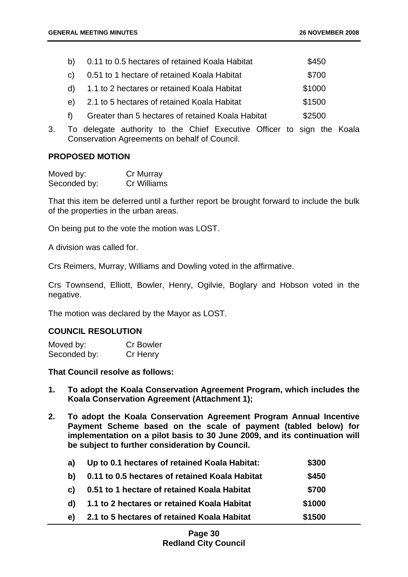| b) | 0.11 to 0.5 hectares of retained Koala Habitat    | \$450  |
|----|---------------------------------------------------|--------|
| C) | 0.51 to 1 hectare of retained Koala Habitat       | \$700  |
| d) | 1.1 to 2 hectares or retained Koala Habitat       | \$1000 |
| e) | 2.1 to 5 hectares of retained Koala Habitat       | \$1500 |
|    | Greater than 5 hectares of retained Koala Habitat | \$2500 |

3. To delegate authority to the Chief Executive Officer to sign the Koala Conservation Agreements on behalf of Council.

#### **PROPOSED MOTION**

| Moved by:    | Cr Murray   |
|--------------|-------------|
| Seconded by: | Cr Williams |

That this item be deferred until a further report be brought forward to include the bulk of the properties in the urban areas.

On being put to the vote the motion was LOST.

A division was called for.

Crs Reimers, Murray, Williams and Dowling voted in the affirmative.

Crs Townsend, Elliott, Bowler, Henry, Ogilvie, Boglary and Hobson voted in the negative.

The motion was declared by the Mayor as LOST.

#### **COUNCIL RESOLUTION**

| Moved by:    | <b>Cr Bowler</b> |
|--------------|------------------|
| Seconded by: | Cr Henry         |

**That Council resolve as follows:** 

- **1. To adopt the Koala Conservation Agreement Program, which includes the Koala Conservation Agreement (Attachment 1);**
- **2. To adopt the Koala Conservation Agreement Program Annual Incentive Payment Scheme based on the scale of payment (tabled below) for implementation on a pilot basis to 30 June 2009, and its continuation will be subject to further consideration by Council.**

| a) | Up to 0.1 hectares of retained Koala Habitat:     | \$300  |
|----|---------------------------------------------------|--------|
|    | b) 0.11 to 0.5 hectares of retained Koala Habitat | \$450  |
|    | c) 0.51 to 1 hectare of retained Koala Habitat    | \$700  |
|    | d) 1.1 to 2 hectares or retained Koala Habitat    | \$1000 |
|    | e) 2.1 to 5 hectares of retained Koala Habitat    | \$1500 |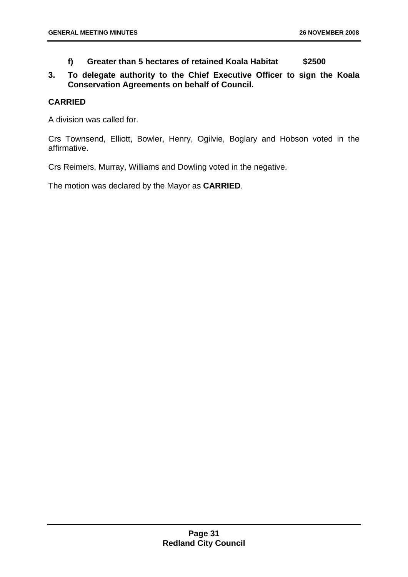**f) Greater than 5 hectares of retained Koala Habitat \$2500** 

#### **3. To delegate authority to the Chief Executive Officer to sign the Koala Conservation Agreements on behalf of Council.**

#### **CARRIED**

A division was called for.

Crs Townsend, Elliott, Bowler, Henry, Ogilvie, Boglary and Hobson voted in the affirmative.

Crs Reimers, Murray, Williams and Dowling voted in the negative.

The motion was declared by the Mayor as **CARRIED**.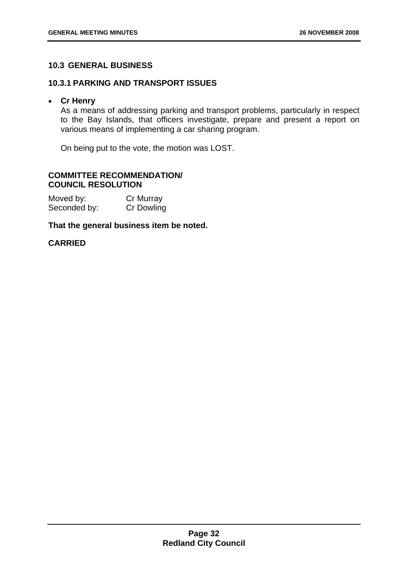### **10.3 GENERAL BUSINESS**

### **10.3.1 PARKING AND TRANSPORT ISSUES**

#### • **Cr Henry**

As a means of addressing parking and transport problems, particularly in respect to the Bay Islands, that officers investigate, prepare and present a report on various means of implementing a car sharing program.

On being put to the vote, the motion was LOST.

### **COMMITTEE RECOMMENDATION/ COUNCIL RESOLUTION**

| Moved by:    | Cr Murray         |
|--------------|-------------------|
| Seconded by: | <b>Cr Dowling</b> |

#### **That the general business item be noted.**

### **CARRIED**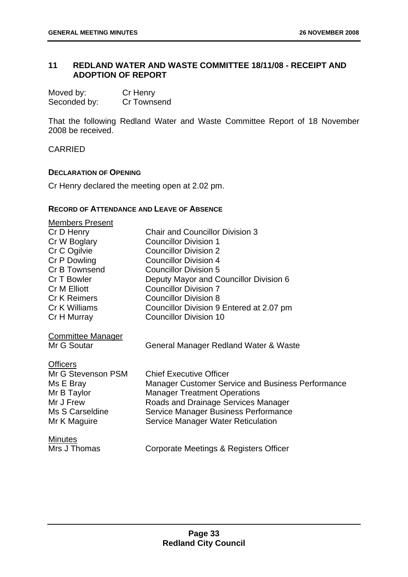# **11 REDLAND WATER AND WASTE COMMITTEE 18/11/08 - RECEIPT AND ADOPTION OF REPORT**

| Moved by:    | Cr Henry           |
|--------------|--------------------|
| Seconded by: | <b>Cr Townsend</b> |

That the following Redland Water and Waste Committee Report of 18 November 2008 be received.

CARRIED

#### **DECLARATION OF OPENING**

Cr Henry declared the meeting open at 2.02 pm.

#### **RECORD OF ATTENDANCE AND LEAVE OF ABSENCE**

| <b>Members Present</b>   |                                                          |
|--------------------------|----------------------------------------------------------|
| Cr D Henry               | <b>Chair and Councillor Division 3</b>                   |
| Cr W Boglary             | <b>Councillor Division 1</b>                             |
| Cr C Ogilvie             | <b>Councillor Division 2</b>                             |
| Cr P Dowling             | <b>Councillor Division 4</b>                             |
| Cr B Townsend            | <b>Councillor Division 5</b>                             |
| Cr T Bowler              | Deputy Mayor and Councillor Division 6                   |
| <b>Cr M Elliott</b>      | <b>Councillor Division 7</b>                             |
| Cr K Reimers             | <b>Councillor Division 8</b>                             |
| Cr K Williams            | Councillor Division 9 Entered at 2.07 pm                 |
| Cr H Murray              | <b>Councillor Division 10</b>                            |
| <b>Committee Manager</b> |                                                          |
| Mr G Soutar              | General Manager Redland Water & Waste                    |
| <b>Officers</b>          |                                                          |
| Mr G Stevenson PSM       | <b>Chief Executive Officer</b>                           |
| Ms E Bray                | <b>Manager Customer Service and Business Performance</b> |
| Mr B Taylor              | <b>Manager Treatment Operations</b>                      |
| Mr J Frew                | Roads and Drainage Services Manager                      |
| Ms S Carseldine          | Service Manager Business Performance                     |
| Mr K Maguire             | Service Manager Water Reticulation                       |
| <b>Minutes</b>           |                                                          |
| Mrs J Thomas             | Corporate Meetings & Registers Officer                   |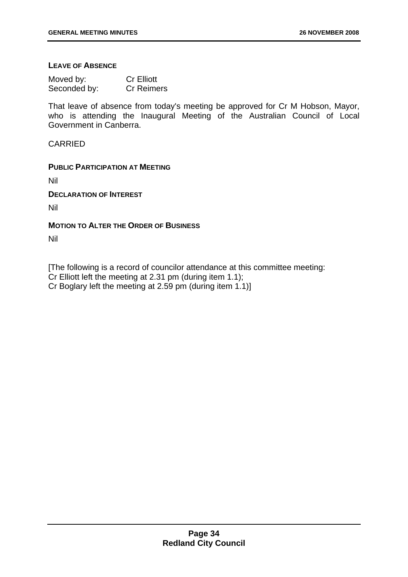#### **LEAVE OF ABSENCE**

| Moved by:    | <b>Cr Elliott</b> |
|--------------|-------------------|
| Seconded by: | <b>Cr Reimers</b> |

That leave of absence from today's meeting be approved for Cr M Hobson, Mayor, who is attending the Inaugural Meeting of the Australian Council of Local Government in Canberra.

### CARRIED

**PUBLIC PARTICIPATION AT MEETING**

Nil

**DECLARATION OF INTEREST**

Nil

### **MOTION TO ALTER THE ORDER OF BUSINESS**

Nil

[The following is a record of councilor attendance at this committee meeting: Cr Elliott left the meeting at 2.31 pm (during item 1.1); Cr Boglary left the meeting at 2.59 pm (during item 1.1)]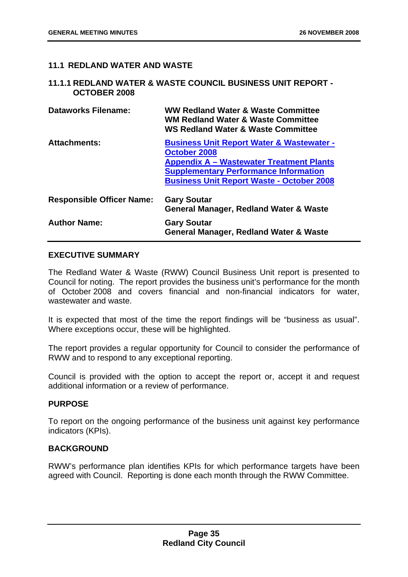### **11.1 REDLAND WATER AND WASTE**

#### **11.1.1 REDLAND WATER & WASTE COUNCIL BUSINESS UNIT REPORT - OCTOBER 2008**

| <b>Dataworks Filename:</b>       | <b>WW Redland Water &amp; Waste Committee</b><br><b>WM Redland Water &amp; Waste Committee</b><br>WS Redland Water & Waste Committee                                                                                               |
|----------------------------------|------------------------------------------------------------------------------------------------------------------------------------------------------------------------------------------------------------------------------------|
| <b>Attachments:</b>              | <b>Business Unit Report Water &amp; Wastewater -</b><br><b>October 2008</b><br><b>Appendix A – Wastewater Treatment Plants</b><br><b>Supplementary Performance Information</b><br><b>Business Unit Report Waste - October 2008</b> |
| <b>Responsible Officer Name:</b> | <b>Gary Soutar</b><br><b>General Manager, Redland Water &amp; Waste</b>                                                                                                                                                            |
| <b>Author Name:</b>              | <b>Gary Soutar</b><br><b>General Manager, Redland Water &amp; Waste</b>                                                                                                                                                            |

#### **EXECUTIVE SUMMARY**

The Redland Water & Waste (RWW) Council Business Unit report is presented to Council for noting. The report provides the business unit's performance for the month of October 2008 and covers financial and non-financial indicators for water, wastewater and waste.

It is expected that most of the time the report findings will be "business as usual". Where exceptions occur, these will be highlighted.

The report provides a regular opportunity for Council to consider the performance of RWW and to respond to any exceptional reporting.

Council is provided with the option to accept the report or, accept it and request additional information or a review of performance.

### **PURPOSE**

To report on the ongoing performance of the business unit against key performance indicators (KPIs).

### **BACKGROUND**

RWW's performance plan identifies KPIs for which performance targets have been agreed with Council. Reporting is done each month through the RWW Committee.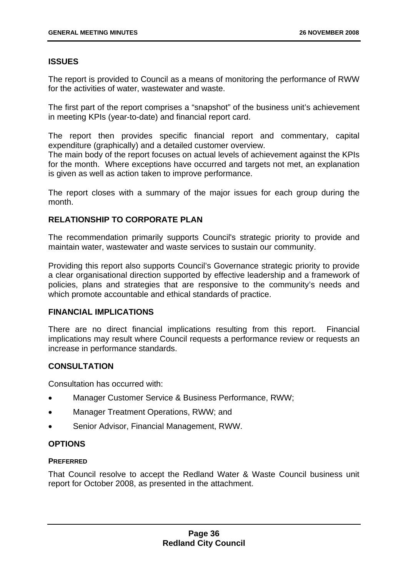# **ISSUES**

The report is provided to Council as a means of monitoring the performance of RWW for the activities of water, wastewater and waste.

The first part of the report comprises a "snapshot" of the business unit's achievement in meeting KPIs (year-to-date) and financial report card.

The report then provides specific financial report and commentary, capital expenditure (graphically) and a detailed customer overview.

The main body of the report focuses on actual levels of achievement against the KPIs for the month. Where exceptions have occurred and targets not met, an explanation is given as well as action taken to improve performance.

The report closes with a summary of the major issues for each group during the month.

#### **RELATIONSHIP TO CORPORATE PLAN**

The recommendation primarily supports Council's strategic priority to provide and maintain water, wastewater and waste services to sustain our community.

Providing this report also supports Council's Governance strategic priority to provide a clear organisational direction supported by effective leadership and a framework of policies, plans and strategies that are responsive to the community's needs and which promote accountable and ethical standards of practice.

#### **FINANCIAL IMPLICATIONS**

There are no direct financial implications resulting from this report. Financial implications may result where Council requests a performance review or requests an increase in performance standards.

#### **CONSULTATION**

Consultation has occurred with:

- Manager Customer Service & Business Performance, RWW;
- Manager Treatment Operations, RWW; and
- Senior Advisor, Financial Management, RWW.

#### **OPTIONS**

#### **PREFERRED**

That Council resolve to accept the Redland Water & Waste Council business unit report for October 2008, as presented in the attachment.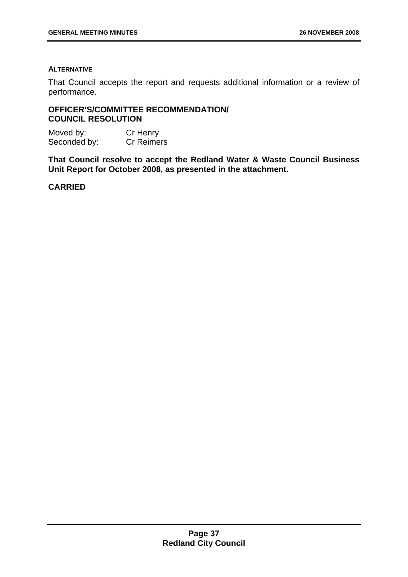#### **ALTERNATIVE**

That Council accepts the report and requests additional information or a review of performance.

### **OFFICER'S/COMMITTEE RECOMMENDATION/ COUNCIL RESOLUTION**

Moved by: Cr Henry Seconded by: Cr Reimers

**That Council resolve to accept the Redland Water & Waste Council Business Unit Report for October 2008, as presented in the attachment.** 

**CARRIED**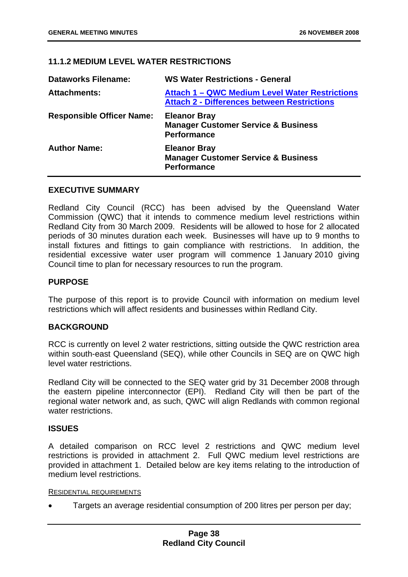### **11.1.2 MEDIUM LEVEL WATER RESTRICTIONS**

| <b>Dataworks Filename:</b>       | <b>WS Water Restrictions - General</b>                                                                      |
|----------------------------------|-------------------------------------------------------------------------------------------------------------|
| <b>Attachments:</b>              | <b>Attach 1 – QWC Medium Level Water Restrictions</b><br><b>Attach 2 - Differences between Restrictions</b> |
| <b>Responsible Officer Name:</b> | <b>Eleanor Bray</b><br><b>Manager Customer Service &amp; Business</b><br><b>Performance</b>                 |
| <b>Author Name:</b>              | <b>Eleanor Bray</b><br><b>Manager Customer Service &amp; Business</b><br><b>Performance</b>                 |

#### **EXECUTIVE SUMMARY**

Redland City Council (RCC) has been advised by the Queensland Water Commission (QWC) that it intends to commence medium level restrictions within Redland City from 30 March 2009. Residents will be allowed to hose for 2 allocated periods of 30 minutes duration each week. Businesses will have up to 9 months to install fixtures and fittings to gain compliance with restrictions. In addition, the residential excessive water user program will commence 1 January 2010 giving Council time to plan for necessary resources to run the program.

### **PURPOSE**

The purpose of this report is to provide Council with information on medium level restrictions which will affect residents and businesses within Redland City.

#### **BACKGROUND**

RCC is currently on level 2 water restrictions, sitting outside the QWC restriction area within south-east Queensland (SEQ), while other Councils in SEQ are on QWC high level water restrictions.

Redland City will be connected to the SEQ water grid by 31 December 2008 through the eastern pipeline interconnector (EPI). Redland City will then be part of the regional water network and, as such, QWC will align Redlands with common regional water restrictions.

#### **ISSUES**

A detailed comparison on RCC level 2 restrictions and QWC medium level restrictions is provided in attachment 2. Full QWC medium level restrictions are provided in attachment 1. Detailed below are key items relating to the introduction of medium level restrictions.

#### RESIDENTIAL REQUIREMENTS

• Targets an average residential consumption of 200 litres per person per day;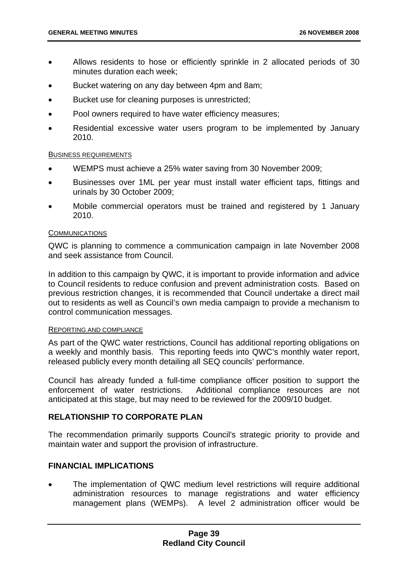- Allows residents to hose or efficiently sprinkle in 2 allocated periods of 30 minutes duration each week;
- Bucket watering on any day between 4pm and 8am;
- Bucket use for cleaning purposes is unrestricted;
- Pool owners required to have water efficiency measures;
- Residential excessive water users program to be implemented by January 2010.

#### BUSINESS REQUIREMENTS

- WEMPS must achieve a 25% water saving from 30 November 2009;
- Businesses over 1ML per year must install water efficient taps, fittings and urinals by 30 October 2009;
- Mobile commercial operators must be trained and registered by 1 January 2010.

#### **COMMUNICATIONS**

QWC is planning to commence a communication campaign in late November 2008 and seek assistance from Council.

In addition to this campaign by QWC, it is important to provide information and advice to Council residents to reduce confusion and prevent administration costs. Based on previous restriction changes, it is recommended that Council undertake a direct mail out to residents as well as Council's own media campaign to provide a mechanism to control communication messages.

#### REPORTING AND COMPLIANCE

As part of the QWC water restrictions, Council has additional reporting obligations on a weekly and monthly basis. This reporting feeds into QWC's monthly water report, released publicly every month detailing all SEQ councils' performance.

Council has already funded a full-time compliance officer position to support the enforcement of water restrictions. Additional compliance resources are not anticipated at this stage, but may need to be reviewed for the 2009/10 budget.

# **RELATIONSHIP TO CORPORATE PLAN**

The recommendation primarily supports Council's strategic priority to provide and maintain water and support the provision of infrastructure.

#### **FINANCIAL IMPLICATIONS**

• The implementation of QWC medium level restrictions will require additional administration resources to manage registrations and water efficiency management plans (WEMPs). A level 2 administration officer would be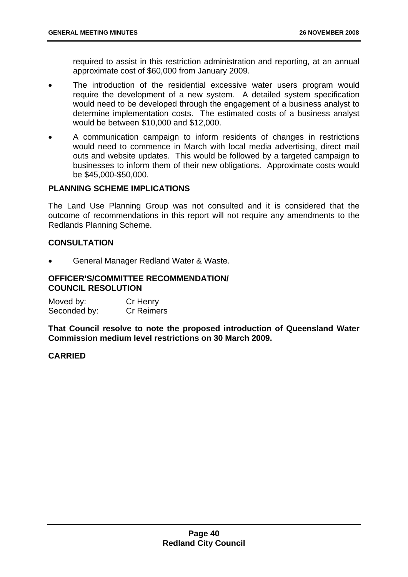required to assist in this restriction administration and reporting, at an annual approximate cost of \$60,000 from January 2009.

- The introduction of the residential excessive water users program would require the development of a new system. A detailed system specification would need to be developed through the engagement of a business analyst to determine implementation costs. The estimated costs of a business analyst would be between \$10,000 and \$12,000.
- A communication campaign to inform residents of changes in restrictions would need to commence in March with local media advertising, direct mail outs and website updates. This would be followed by a targeted campaign to businesses to inform them of their new obligations. Approximate costs would be \$45,000-\$50,000.

#### **PLANNING SCHEME IMPLICATIONS**

The Land Use Planning Group was not consulted and it is considered that the outcome of recommendations in this report will not require any amendments to the Redlands Planning Scheme.

#### **CONSULTATION**

• General Manager Redland Water & Waste.

#### **OFFICER'S/COMMITTEE RECOMMENDATION/ COUNCIL RESOLUTION**

| Moved by:    | Cr Henry          |
|--------------|-------------------|
| Seconded by: | <b>Cr Reimers</b> |

**That Council resolve to note the proposed introduction of Queensland Water Commission medium level restrictions on 30 March 2009.** 

#### **CARRIED**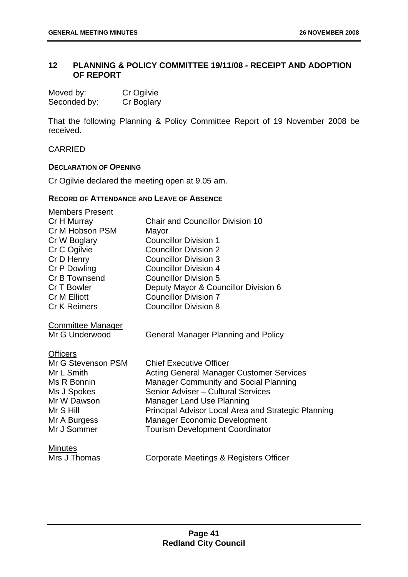# **12 PLANNING & POLICY COMMITTEE 19/11/08 - RECEIPT AND ADOPTION OF REPORT**

| Moved by:    | Cr Ogilvie |
|--------------|------------|
| Seconded by: | Cr Boglary |

That the following Planning & Policy Committee Report of 19 November 2008 be received.

### CARRIED

#### **DECLARATION OF OPENING**

Cr Ogilvie declared the meeting open at 9.05 am.

#### **RECORD OF ATTENDANCE AND LEAVE OF ABSENCE**

| <b>Members Present</b>   |                                                     |
|--------------------------|-----------------------------------------------------|
| Cr H Murray              | <b>Chair and Councillor Division 10</b>             |
| Cr M Hobson PSM          | Mayor                                               |
| Cr W Boglary             | <b>Councillor Division 1</b>                        |
| Cr C Ogilvie             | <b>Councillor Division 2</b>                        |
| Cr D Henry               | <b>Councillor Division 3</b>                        |
| Cr P Dowling             | <b>Councillor Division 4</b>                        |
| Cr B Townsend            | <b>Councillor Division 5</b>                        |
| Cr T Bowler              | Deputy Mayor & Councillor Division 6                |
| <b>Cr M Elliott</b>      | <b>Councillor Division 7</b>                        |
| <b>Cr K Reimers</b>      | <b>Councillor Division 8</b>                        |
| <b>Committee Manager</b> |                                                     |
| Mr G Underwood           | <b>General Manager Planning and Policy</b>          |
| <b>Officers</b>          |                                                     |
| Mr G Stevenson PSM       | <b>Chief Executive Officer</b>                      |
| Mr L Smith               | <b>Acting General Manager Customer Services</b>     |
| Ms R Bonnin              | <b>Manager Community and Social Planning</b>        |
| Ms J Spokes              | Senior Adviser - Cultural Services                  |
| Mr W Dawson              | <b>Manager Land Use Planning</b>                    |
| Mr S Hill                | Principal Advisor Local Area and Strategic Planning |
| Mr A Burgess             | <b>Manager Economic Development</b>                 |
| Mr J Sommer              | <b>Tourism Development Coordinator</b>              |
| <b>Minutes</b>           |                                                     |
| Mrs J Thomas             | Corporate Meetings & Registers Officer              |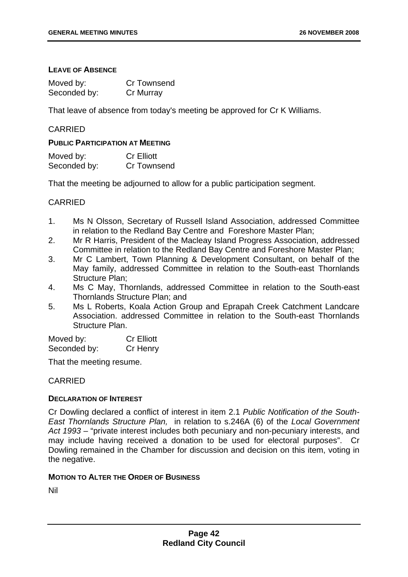#### **LEAVE OF ABSENCE**

| Moved by:    | <b>Cr Townsend</b> |
|--------------|--------------------|
| Seconded by: | Cr Murray          |

That leave of absence from today's meeting be approved for Cr K Williams.

# CARRIED

#### **PUBLIC PARTICIPATION AT MEETING**

| Moved by:    | <b>Cr Elliott</b> |
|--------------|-------------------|
| Seconded by: | Cr Townsend       |

That the meeting be adjourned to allow for a public participation segment.

# CARRIED

- 1. Ms N Olsson, Secretary of Russell Island Association, addressed Committee in relation to the Redland Bay Centre and Foreshore Master Plan;
- 2. Mr R Harris, President of the Macleay Island Progress Association, addressed Committee in relation to the Redland Bay Centre and Foreshore Master Plan;
- 3. Mr C Lambert, Town Planning & Development Consultant, on behalf of the May family, addressed Committee in relation to the South-east Thornlands Structure Plan;
- 4. Ms C May, Thornlands, addressed Committee in relation to the South-east Thornlands Structure Plan; and
- 5. Ms L Roberts, Koala Action Group and Eprapah Creek Catchment Landcare Association. addressed Committee in relation to the South-east Thornlands Structure Plan.

Moved by: Cr Elliott Seconded by: Cr Henry

That the meeting resume.

# CARRIED

#### **DECLARATION OF INTEREST**

Cr Dowling declared a conflict of interest in item 2.1 *Public Notification of the South-East Thornlands Structure Plan,* in relation to s.246A (6) of the *Local Government Act 1993* – "private interest includes both pecuniary and non-pecuniary interests, and may include having received a donation to be used for electoral purposes". Cr Dowling remained in the Chamber for discussion and decision on this item, voting in the negative.

#### **MOTION TO ALTER THE ORDER OF BUSINESS**

Nil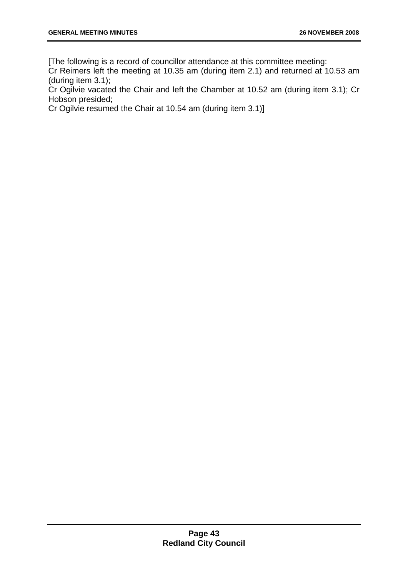[The following is a record of councillor attendance at this committee meeting:

Cr Reimers left the meeting at 10.35 am (during item 2.1) and returned at 10.53 am (during item 3.1);

Cr Ogilvie vacated the Chair and left the Chamber at 10.52 am (during item 3.1); Cr Hobson presided;

Cr Ogilvie resumed the Chair at 10.54 am (during item 3.1)]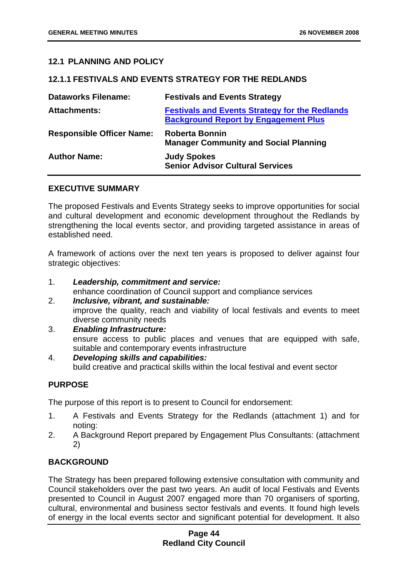# **12.1 PLANNING AND POLICY**

#### **12.1.1 FESTIVALS AND EVENTS STRATEGY FOR THE REDLANDS**

| <b>Dataworks Filename:</b>       | <b>Festivals and Events Strategy</b>                                                                 |
|----------------------------------|------------------------------------------------------------------------------------------------------|
| <b>Attachments:</b>              | <b>Festivals and Events Strategy for the Redlands</b><br><b>Background Report by Engagement Plus</b> |
| <b>Responsible Officer Name:</b> | <b>Roberta Bonnin</b><br><b>Manager Community and Social Planning</b>                                |
| <b>Author Name:</b>              | <b>Judy Spokes</b><br><b>Senior Advisor Cultural Services</b>                                        |

#### **EXECUTIVE SUMMARY**

The proposed Festivals and Events Strategy seeks to improve opportunities for social and cultural development and economic development throughout the Redlands by strengthening the local events sector, and providing targeted assistance in areas of established need.

A framework of actions over the next ten years is proposed to deliver against four strategic objectives:

- 1. *Leadership, commitment and service:*  enhance coordination of Council support and compliance services 2. *Inclusive, vibrant, and sustainable:* improve the quality, reach and viability of local festivals and events to meet diverse community needs
- 3. *Enabling Infrastructure:*  ensure access to public places and venues that are equipped with safe, suitable and contemporary events infrastructure
- 4. *Developing skills and capabilities:*  build creative and practical skills within the local festival and event sector

#### **PURPOSE**

The purpose of this report is to present to Council for endorsement:

- 1. A Festivals and Events Strategy for the Redlands (attachment 1) and for noting:
- 2. A Background Report prepared by Engagement Plus Consultants: (attachment 2)

#### **BACKGROUND**

The Strategy has been prepared following extensive consultation with community and Council stakeholders over the past two years. An audit of local Festivals and Events presented to Council in August 2007 engaged more than 70 organisers of sporting, cultural, environmental and business sector festivals and events. It found high levels of energy in the local events sector and significant potential for development. It also

### **Page 44 Redland City Council**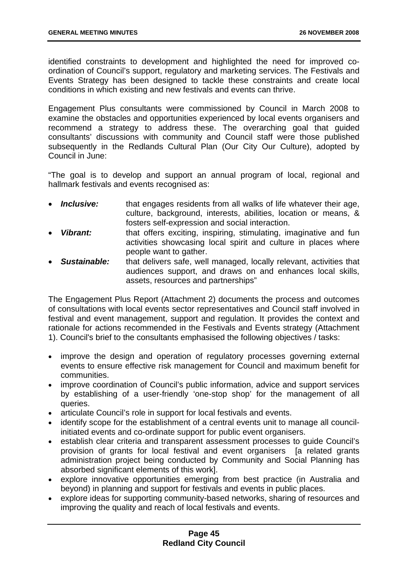identified constraints to development and highlighted the need for improved coordination of Council's support, regulatory and marketing services. The Festivals and Events Strategy has been designed to tackle these constraints and create local conditions in which existing and new festivals and events can thrive.

Engagement Plus consultants were commissioned by Council in March 2008 to examine the obstacles and opportunities experienced by local events organisers and recommend a strategy to address these. The overarching goal that guided consultants' discussions with community and Council staff were those published subsequently in the Redlands Cultural Plan (Our City Our Culture), adopted by Council in June:

"The goal is to develop and support an annual program of local, regional and hallmark festivals and events recognised as:

- *Inclusive:* that engages residents from all walks of life whatever their age, culture, background, interests, abilities, location or means, & fosters self-expression and social interaction.
- **Vibrant: that offers exciting, inspiring, stimulating, imaginative and fun** activities showcasing local spirit and culture in places where people want to gather.
- **Sustainable:** that delivers safe, well managed, locally relevant, activities that audiences support, and draws on and enhances local skills, assets, resources and partnerships"

The Engagement Plus Report (Attachment 2) documents the process and outcomes of consultations with local events sector representatives and Council staff involved in festival and event management, support and regulation. It provides the context and rationale for actions recommended in the Festivals and Events strategy (Attachment 1). Council's brief to the consultants emphasised the following objectives / tasks:

- improve the design and operation of regulatory processes governing external events to ensure effective risk management for Council and maximum benefit for communities.
- improve coordination of Council's public information, advice and support services by establishing of a user-friendly 'one-stop shop' for the management of all queries.
- articulate Council's role in support for local festivals and events.
- identify scope for the establishment of a central events unit to manage all councilinitiated events and co-ordinate support for public event organisers.
- establish clear criteria and transparent assessment processes to guide Council's provision of grants for local festival and event organisers [a related grants administration project being conducted by Community and Social Planning has absorbed significant elements of this work].
- explore innovative opportunities emerging from best practice (in Australia and beyond) in planning and support for festivals and events in public places.
- explore ideas for supporting community-based networks, sharing of resources and improving the quality and reach of local festivals and events.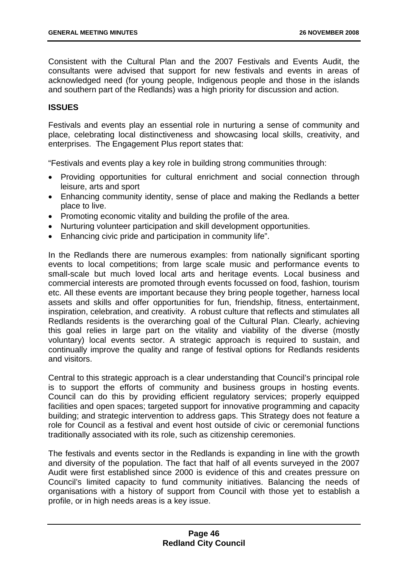Consistent with the Cultural Plan and the 2007 Festivals and Events Audit, the consultants were advised that support for new festivals and events in areas of acknowledged need (for young people, Indigenous people and those in the islands and southern part of the Redlands) was a high priority for discussion and action.

### **ISSUES**

Festivals and events play an essential role in nurturing a sense of community and place, celebrating local distinctiveness and showcasing local skills, creativity, and enterprises. The Engagement Plus report states that:

"Festivals and events play a key role in building strong communities through:

- Providing opportunities for cultural enrichment and social connection through leisure, arts and sport
- Enhancing community identity, sense of place and making the Redlands a better place to live.
- Promoting economic vitality and building the profile of the area.
- Nurturing volunteer participation and skill development opportunities.
- Enhancing civic pride and participation in community life".

In the Redlands there are numerous examples: from nationally significant sporting events to local competitions; from large scale music and performance events to small-scale but much loved local arts and heritage events. Local business and commercial interests are promoted through events focussed on food, fashion, tourism etc. All these events are important because they bring people together, harness local assets and skills and offer opportunities for fun, friendship, fitness, entertainment, inspiration, celebration, and creativity. A robust culture that reflects and stimulates all Redlands residents is the overarching goal of the Cultural Plan. Clearly, achieving this goal relies in large part on the vitality and viability of the diverse (mostly voluntary) local events sector. A strategic approach is required to sustain, and continually improve the quality and range of festival options for Redlands residents and visitors.

Central to this strategic approach is a clear understanding that Council's principal role is to support the efforts of community and business groups in hosting events. Council can do this by providing efficient regulatory services; properly equipped facilities and open spaces; targeted support for innovative programming and capacity building; and strategic intervention to address gaps. This Strategy does not feature a role for Council as a festival and event host outside of civic or ceremonial functions traditionally associated with its role, such as citizenship ceremonies.

The festivals and events sector in the Redlands is expanding in line with the growth and diversity of the population. The fact that half of all events surveyed in the 2007 Audit were first established since 2000 is evidence of this and creates pressure on Council's limited capacity to fund community initiatives. Balancing the needs of organisations with a history of support from Council with those yet to establish a profile, or in high needs areas is a key issue.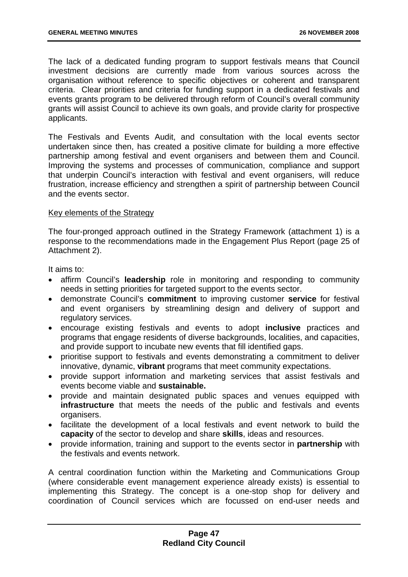The lack of a dedicated funding program to support festivals means that Council investment decisions are currently made from various sources across the organisation without reference to specific objectives or coherent and transparent criteria. Clear priorities and criteria for funding support in a dedicated festivals and events grants program to be delivered through reform of Council's overall community grants will assist Council to achieve its own goals, and provide clarity for prospective applicants.

The Festivals and Events Audit, and consultation with the local events sector undertaken since then, has created a positive climate for building a more effective partnership among festival and event organisers and between them and Council. Improving the systems and processes of communication, compliance and support that underpin Council's interaction with festival and event organisers, will reduce frustration, increase efficiency and strengthen a spirit of partnership between Council and the events sector.

#### Key elements of the Strategy

The four-pronged approach outlined in the Strategy Framework (attachment 1) is a response to the recommendations made in the Engagement Plus Report (page 25 of Attachment 2).

It aims to:

- affirm Council's **leadership** role in monitoring and responding to community needs in setting priorities for targeted support to the events sector.
- demonstrate Council's **commitment** to improving customer **service** for festival and event organisers by streamlining design and delivery of support and regulatory services.
- encourage existing festivals and events to adopt **inclusive** practices and programs that engage residents of diverse backgrounds, localities, and capacities, and provide support to incubate new events that fill identified gaps.
- prioritise support to festivals and events demonstrating a commitment to deliver innovative, dynamic, **vibrant** programs that meet community expectations.
- provide support information and marketing services that assist festivals and events become viable and **sustainable.**
- provide and maintain designated public spaces and venues equipped with **infrastructure** that meets the needs of the public and festivals and events organisers.
- facilitate the development of a local festivals and event network to build the **capacity** of the sector to develop and share **skills**, ideas and resources.
- provide information, training and support to the events sector in **partnership** with the festivals and events network.

A central coordination function within the Marketing and Communications Group (where considerable event management experience already exists) is essential to implementing this Strategy. The concept is a one-stop shop for delivery and coordination of Council services which are focussed on end-user needs and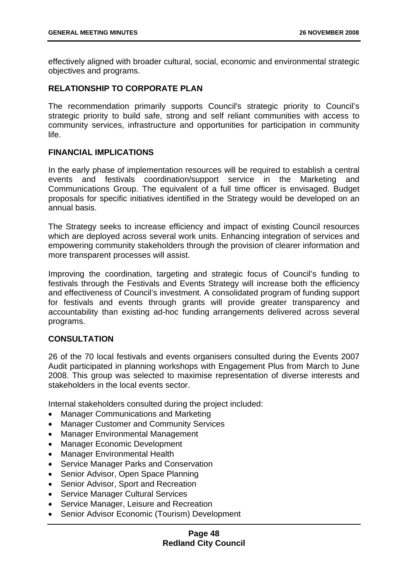effectively aligned with broader cultural, social, economic and environmental strategic objectives and programs.

# **RELATIONSHIP TO CORPORATE PLAN**

The recommendation primarily supports Council's strategic priority to Council's strategic priority to build safe, strong and self reliant communities with access to community services, infrastructure and opportunities for participation in community life.

### **FINANCIAL IMPLICATIONS**

In the early phase of implementation resources will be required to establish a central events and festivals coordination/support service in the Marketing and Communications Group. The equivalent of a full time officer is envisaged. Budget proposals for specific initiatives identified in the Strategy would be developed on an annual basis.

The Strategy seeks to increase efficiency and impact of existing Council resources which are deployed across several work units. Enhancing integration of services and empowering community stakeholders through the provision of clearer information and more transparent processes will assist.

Improving the coordination, targeting and strategic focus of Council's funding to festivals through the Festivals and Events Strategy will increase both the efficiency and effectiveness of Council's investment. A consolidated program of funding support for festivals and events through grants will provide greater transparency and accountability than existing ad-hoc funding arrangements delivered across several programs.

# **CONSULTATION**

26 of the 70 local festivals and events organisers consulted during the Events 2007 Audit participated in planning workshops with Engagement Plus from March to June 2008. This group was selected to maximise representation of diverse interests and stakeholders in the local events sector.

Internal stakeholders consulted during the project included:

- Manager Communications and Marketing
- Manager Customer and Community Services
- Manager Environmental Management
- Manager Economic Development
- Manager Environmental Health
- Service Manager Parks and Conservation
- Senior Advisor, Open Space Planning
- Senior Advisor, Sport and Recreation
- Service Manager Cultural Services
- Service Manager, Leisure and Recreation
- Senior Advisor Economic (Tourism) Development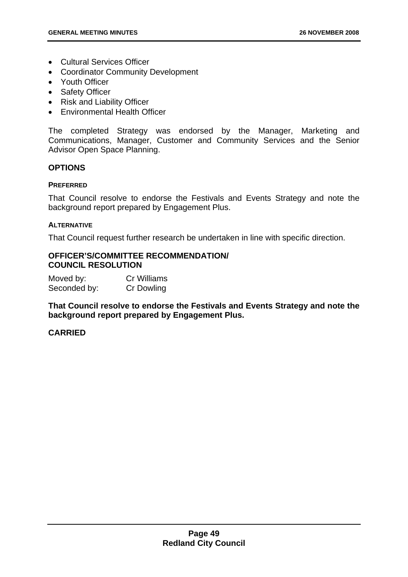- Cultural Services Officer
- Coordinator Community Development
- Youth Officer
- Safety Officer
- Risk and Liability Officer
- Environmental Health Officer

The completed Strategy was endorsed by the Manager, Marketing and Communications, Manager, Customer and Community Services and the Senior Advisor Open Space Planning.

#### **OPTIONS**

#### **PREFERRED**

That Council resolve to endorse the Festivals and Events Strategy and note the background report prepared by Engagement Plus.

#### **ALTERNATIVE**

That Council request further research be undertaken in line with specific direction.

#### **OFFICER'S/COMMITTEE RECOMMENDATION/ COUNCIL RESOLUTION**

Moved by: Cr Williams Seconded by: Cr Dowling

**That Council resolve to endorse the Festivals and Events Strategy and note the background report prepared by Engagement Plus.** 

# **CARRIED**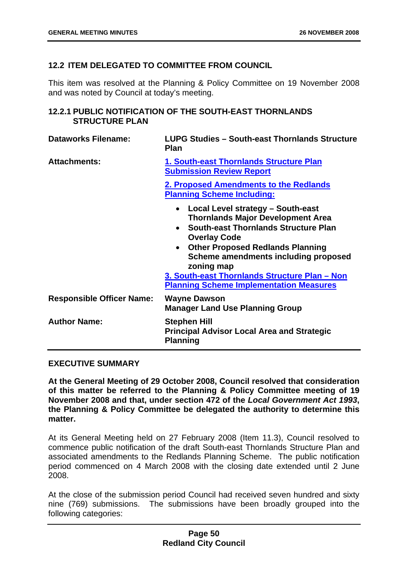### **12.2 ITEM DELEGATED TO COMMITTEE FROM COUNCIL**

This item was resolved at the Planning & Policy Committee on 19 November 2008 and was noted by Council at today's meeting.

### **12.2.1 PUBLIC NOTIFICATION OF THE SOUTH-EAST THORNLANDS STRUCTURE PLAN**

| <b>Dataworks Filename:</b>       | <b>LUPG Studies - South-east Thornlands Structure</b><br><b>Plan</b>                                                                                                                                                                                                                                                                               |  |
|----------------------------------|----------------------------------------------------------------------------------------------------------------------------------------------------------------------------------------------------------------------------------------------------------------------------------------------------------------------------------------------------|--|
| <b>Attachments:</b>              | 1. South-east Thornlands Structure Plan<br><b>Submission Review Report</b>                                                                                                                                                                                                                                                                         |  |
|                                  | 2. Proposed Amendments to the Redlands<br><b>Planning Scheme Including:</b>                                                                                                                                                                                                                                                                        |  |
|                                  | Local Level strategy - South-east<br><b>Thornlands Major Development Area</b><br>• South-east Thornlands Structure Plan<br><b>Overlay Code</b><br><b>Other Proposed Redlands Planning</b><br>Scheme amendments including proposed<br>zoning map<br>3. South-east Thornlands Structure Plan - Non<br><b>Planning Scheme Implementation Measures</b> |  |
| <b>Responsible Officer Name:</b> | <b>Wayne Dawson</b><br><b>Manager Land Use Planning Group</b>                                                                                                                                                                                                                                                                                      |  |
| <b>Author Name:</b>              | <b>Stephen Hill</b><br><b>Principal Advisor Local Area and Strategic</b><br><b>Planning</b>                                                                                                                                                                                                                                                        |  |

#### **EXECUTIVE SUMMARY**

**At the General Meeting of 29 October 2008, Council resolved that consideration of this matter be referred to the Planning & Policy Committee meeting of 19 November 2008 and that, under section 472 of the** *Local Government Act 1993***, the Planning & Policy Committee be delegated the authority to determine this matter.** 

At its General Meeting held on 27 February 2008 (Item 11.3), Council resolved to commence public notification of the draft South-east Thornlands Structure Plan and associated amendments to the Redlands Planning Scheme. The public notification period commenced on 4 March 2008 with the closing date extended until 2 June 2008.

At the close of the submission period Council had received seven hundred and sixty nine (769) submissions. The submissions have been broadly grouped into the following categories:

### **Page 50 Redland City Council**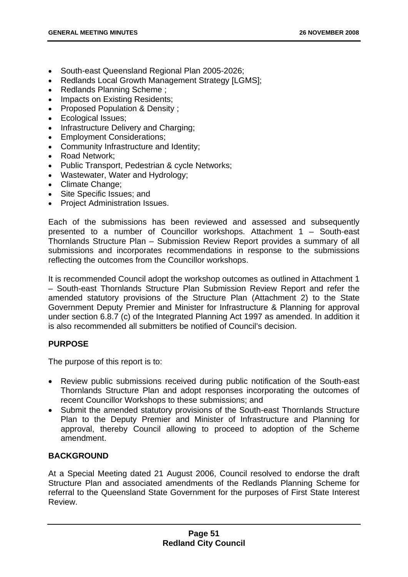- South-east Queensland Regional Plan 2005-2026;
- Redlands Local Growth Management Strategy [LGMS];
- Redlands Planning Scheme ;
- Impacts on Existing Residents;
- Proposed Population & Density ;
- Ecological Issues;
- Infrastructure Delivery and Charging;
- Employment Considerations;
- Community Infrastructure and Identity;
- Road Network:
- Public Transport, Pedestrian & cycle Networks;
- Wastewater, Water and Hydrology;
- Climate Change:
- Site Specific Issues; and
- Project Administration Issues.

Each of the submissions has been reviewed and assessed and subsequently presented to a number of Councillor workshops. Attachment 1 – South-east Thornlands Structure Plan – Submission Review Report provides a summary of all submissions and incorporates recommendations in response to the submissions reflecting the outcomes from the Councillor workshops.

It is recommended Council adopt the workshop outcomes as outlined in Attachment 1 – South-east Thornlands Structure Plan Submission Review Report and refer the amended statutory provisions of the Structure Plan (Attachment 2) to the State Government Deputy Premier and Minister for Infrastructure & Planning for approval under section 6.8.7 (c) of the Integrated Planning Act 1997 as amended. In addition it is also recommended all submitters be notified of Council's decision.

# **PURPOSE**

The purpose of this report is to:

- Review public submissions received during public notification of the South-east Thornlands Structure Plan and adopt responses incorporating the outcomes of recent Councillor Workshops to these submissions; and
- Submit the amended statutory provisions of the South-east Thornlands Structure Plan to the Deputy Premier and Minister of Infrastructure and Planning for approval, thereby Council allowing to proceed to adoption of the Scheme amendment.

# **BACKGROUND**

At a Special Meeting dated 21 August 2006, Council resolved to endorse the draft Structure Plan and associated amendments of the Redlands Planning Scheme for referral to the Queensland State Government for the purposes of First State Interest Review.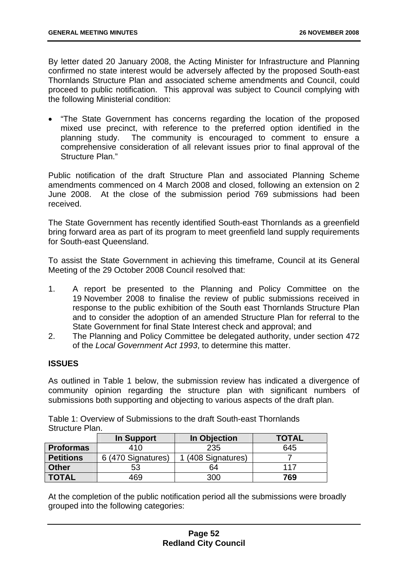By letter dated 20 January 2008, the Acting Minister for Infrastructure and Planning confirmed no state interest would be adversely affected by the proposed South-east Thornlands Structure Plan and associated scheme amendments and Council, could proceed to public notification. This approval was subject to Council complying with the following Ministerial condition:

• "The State Government has concerns regarding the location of the proposed mixed use precinct, with reference to the preferred option identified in the planning study. The community is encouraged to comment to ensure a comprehensive consideration of all relevant issues prior to final approval of the Structure Plan."

Public notification of the draft Structure Plan and associated Planning Scheme amendments commenced on 4 March 2008 and closed, following an extension on 2 June 2008. At the close of the submission period 769 submissions had been received.

The State Government has recently identified South-east Thornlands as a greenfield bring forward area as part of its program to meet greenfield land supply requirements for South-east Queensland.

To assist the State Government in achieving this timeframe, Council at its General Meeting of the 29 October 2008 Council resolved that:

- 1. A report be presented to the Planning and Policy Committee on the 19 November 2008 to finalise the review of public submissions received in response to the public exhibition of the South east Thornlands Structure Plan and to consider the adoption of an amended Structure Plan for referral to the State Government for final State Interest check and approval; and
- 2. The Planning and Policy Committee be delegated authority, under section 472 of the *Local Government Act 1993*, to determine this matter.

# **ISSUES**

As outlined in Table 1 below, the submission review has indicated a divergence of community opinion regarding the structure plan with significant numbers of submissions both supporting and objecting to various aspects of the draft plan.

Table 1: Overview of Submissions to the draft South-east Thornlands Structure Plan.

|                  | In Support         | In Objection     | <b>TOTAL</b> |
|------------------|--------------------|------------------|--------------|
| <b>Proformas</b> | 410                | 235              | 645          |
| <b>Petitions</b> | 6 (470 Signatures) | (408 Signatures) |              |
| <b>Other</b>     | 53                 | 64               | 117          |
| <b>TOTAL</b>     | $+69$              | 300              | 769          |

At the completion of the public notification period all the submissions were broadly grouped into the following categories: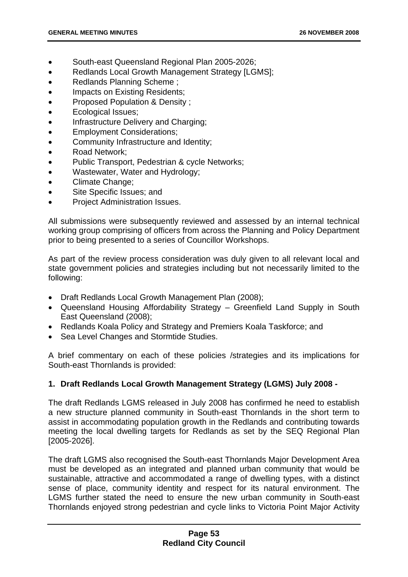- South-east Queensland Regional Plan 2005-2026;
- Redlands Local Growth Management Strategy [LGMS];
- Redlands Planning Scheme ;
- Impacts on Existing Residents;
- Proposed Population & Density ;
- Ecological Issues;
- Infrastructure Delivery and Charging;
- Employment Considerations;
- Community Infrastructure and Identity;
- Road Network:
- Public Transport, Pedestrian & cycle Networks;
- Wastewater, Water and Hydrology;
- Climate Change;
- Site Specific Issues: and
- Project Administration Issues.

All submissions were subsequently reviewed and assessed by an internal technical working group comprising of officers from across the Planning and Policy Department prior to being presented to a series of Councillor Workshops.

As part of the review process consideration was duly given to all relevant local and state government policies and strategies including but not necessarily limited to the following:

- Draft Redlands Local Growth Management Plan (2008);
- Queensland Housing Affordability Strategy Greenfield Land Supply in South East Queensland (2008);
- Redlands Koala Policy and Strategy and Premiers Koala Taskforce; and
- Sea Level Changes and Stormtide Studies.

A brief commentary on each of these policies /strategies and its implications for South-east Thornlands is provided:

# **1. Draft Redlands Local Growth Management Strategy (LGMS) July 2008 -**

The draft Redlands LGMS released in July 2008 has confirmed he need to establish a new structure planned community in South-east Thornlands in the short term to assist in accommodating population growth in the Redlands and contributing towards meeting the local dwelling targets for Redlands as set by the SEQ Regional Plan [2005-2026].

The draft LGMS also recognised the South-east Thornlands Major Development Area must be developed as an integrated and planned urban community that would be sustainable, attractive and accommodated a range of dwelling types, with a distinct sense of place, community identity and respect for its natural environment. The LGMS further stated the need to ensure the new urban community in South-east Thornlands enjoyed strong pedestrian and cycle links to Victoria Point Major Activity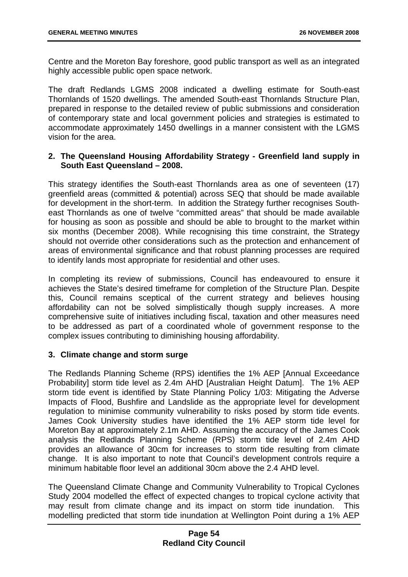Centre and the Moreton Bay foreshore, good public transport as well as an integrated highly accessible public open space network.

The draft Redlands LGMS 2008 indicated a dwelling estimate for South-east Thornlands of 1520 dwellings. The amended South-east Thornlands Structure Plan, prepared in response to the detailed review of public submissions and consideration of contemporary state and local government policies and strategies is estimated to accommodate approximately 1450 dwellings in a manner consistent with the LGMS vision for the area.

### **2. The Queensland Housing Affordability Strategy - Greenfield land supply in South East Queensland – 2008.**

This strategy identifies the South-east Thornlands area as one of seventeen (17) greenfield areas (committed & potential) across SEQ that should be made available for development in the short-term. In addition the Strategy further recognises Southeast Thornlands as one of twelve "committed areas" that should be made available for housing as soon as possible and should be able to brought to the market within six months (December 2008). While recognising this time constraint, the Strategy should not override other considerations such as the protection and enhancement of areas of environmental significance and that robust planning processes are required to identify lands most appropriate for residential and other uses.

In completing its review of submissions, Council has endeavoured to ensure it achieves the State's desired timeframe for completion of the Structure Plan. Despite this, Council remains sceptical of the current strategy and believes housing affordability can not be solved simplistically though supply increases. A more comprehensive suite of initiatives including fiscal, taxation and other measures need to be addressed as part of a coordinated whole of government response to the complex issues contributing to diminishing housing affordability.

# **3. Climate change and storm surge**

The Redlands Planning Scheme (RPS) identifies the 1% AEP [Annual Exceedance Probability] storm tide level as 2.4m AHD [Australian Height Datum]. The 1% AEP storm tide event is identified by State Planning Policy 1/03: Mitigating the Adverse Impacts of Flood, Bushfire and Landslide as the appropriate level for development regulation to minimise community vulnerability to risks posed by storm tide events. James Cook University studies have identified the 1% AEP storm tide level for Moreton Bay at approximately 2.1m AHD. Assuming the accuracy of the James Cook analysis the Redlands Planning Scheme (RPS) storm tide level of 2.4m AHD provides an allowance of 30cm for increases to storm tide resulting from climate change. It is also important to note that Council's development controls require a minimum habitable floor level an additional 30cm above the 2.4 AHD level.

The Queensland Climate Change and Community Vulnerability to Tropical Cyclones Study 2004 modelled the effect of expected changes to tropical cyclone activity that may result from climate change and its impact on storm tide inundation. This modelling predicted that storm tide inundation at Wellington Point during a 1% AEP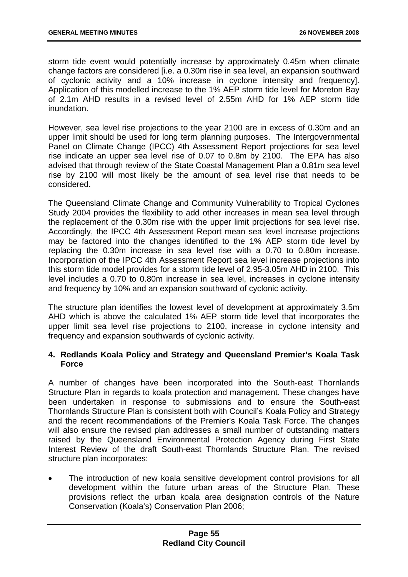storm tide event would potentially increase by approximately 0.45m when climate change factors are considered [i.e. a 0.30m rise in sea level, an expansion southward of cyclonic activity and a 10% increase in cyclone intensity and frequency]. Application of this modelled increase to the 1% AEP storm tide level for Moreton Bay of 2.1m AHD results in a revised level of 2.55m AHD for 1% AEP storm tide inundation.

However, sea level rise projections to the year 2100 are in excess of 0.30m and an upper limit should be used for long term planning purposes. The Intergovernmental Panel on Climate Change (IPCC) 4th Assessment Report projections for sea level rise indicate an upper sea level rise of 0.07 to 0.8m by 2100. The EPA has also advised that through review of the State Coastal Management Plan a 0.81m sea level rise by 2100 will most likely be the amount of sea level rise that needs to be considered.

The Queensland Climate Change and Community Vulnerability to Tropical Cyclones Study 2004 provides the flexibility to add other increases in mean sea level through the replacement of the 0.30m rise with the upper limit projections for sea level rise. Accordingly, the IPCC 4th Assessment Report mean sea level increase projections may be factored into the changes identified to the 1% AEP storm tide level by replacing the 0.30m increase in sea level rise with a 0.70 to 0.80m increase. Incorporation of the IPCC 4th Assessment Report sea level increase projections into this storm tide model provides for a storm tide level of 2.95-3.05m AHD in 2100. This level includes a 0.70 to 0.80m increase in sea level, increases in cyclone intensity and frequency by 10% and an expansion southward of cyclonic activity.

The structure plan identifies the lowest level of development at approximately 3.5m AHD which is above the calculated 1% AEP storm tide level that incorporates the upper limit sea level rise projections to 2100, increase in cyclone intensity and frequency and expansion southwards of cyclonic activity.

# **4. Redlands Koala Policy and Strategy and Queensland Premier's Koala Task Force**

A number of changes have been incorporated into the South-east Thornlands Structure Plan in regards to koala protection and management. These changes have been undertaken in response to submissions and to ensure the South-east Thornlands Structure Plan is consistent both with Council's Koala Policy and Strategy and the recent recommendations of the Premier's Koala Task Force. The changes will also ensure the revised plan addresses a small number of outstanding matters raised by the Queensland Environmental Protection Agency during First State Interest Review of the draft South-east Thornlands Structure Plan. The revised structure plan incorporates:

The introduction of new koala sensitive development control provisions for all development within the future urban areas of the Structure Plan. These provisions reflect the urban koala area designation controls of the Nature Conservation (Koala's) Conservation Plan 2006;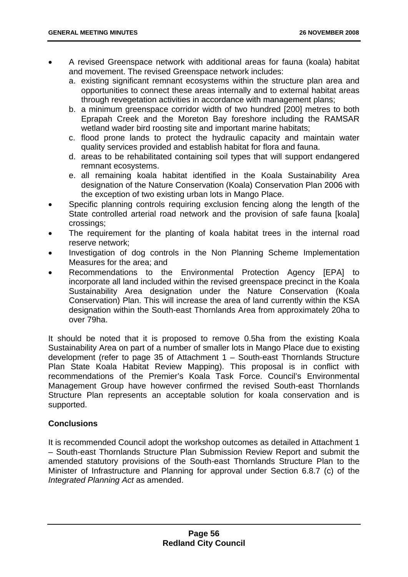- A revised Greenspace network with additional areas for fauna (koala) habitat and movement. The revised Greenspace network includes:
	- a. existing significant remnant ecosystems within the structure plan area and opportunities to connect these areas internally and to external habitat areas through revegetation activities in accordance with management plans;
	- b. a minimum greenspace corridor width of two hundred [200] metres to both Eprapah Creek and the Moreton Bay foreshore including the RAMSAR wetland wader bird roosting site and important marine habitats;
	- c. flood prone lands to protect the hydraulic capacity and maintain water quality services provided and establish habitat for flora and fauna.
	- d. areas to be rehabilitated containing soil types that will support endangered remnant ecosystems.
	- e. all remaining koala habitat identified in the Koala Sustainability Area designation of the Nature Conservation (Koala) Conservation Plan 2006 with the exception of two existing urban lots in Mango Place.
- Specific planning controls requiring exclusion fencing along the length of the State controlled arterial road network and the provision of safe fauna [koala] crossings;
- The requirement for the planting of koala habitat trees in the internal road reserve network;
- Investigation of dog controls in the Non Planning Scheme Implementation Measures for the area; and
- Recommendations to the Environmental Protection Agency [EPA] to incorporate all land included within the revised greenspace precinct in the Koala Sustainability Area designation under the Nature Conservation (Koala Conservation) Plan. This will increase the area of land currently within the KSA designation within the South-east Thornlands Area from approximately 20ha to over 79ha.

It should be noted that it is proposed to remove 0.5ha from the existing Koala Sustainability Area on part of a number of smaller lots in Mango Place due to existing development (refer to page 35 of Attachment 1 – South-east Thornlands Structure Plan State Koala Habitat Review Mapping). This proposal is in conflict with recommendations of the Premier's Koala Task Force. Council's Environmental Management Group have however confirmed the revised South-east Thornlands Structure Plan represents an acceptable solution for koala conservation and is supported.

# **Conclusions**

It is recommended Council adopt the workshop outcomes as detailed in Attachment 1 – South-east Thornlands Structure Plan Submission Review Report and submit the amended statutory provisions of the South-east Thornlands Structure Plan to the Minister of Infrastructure and Planning for approval under Section 6.8.7 (c) of the *Integrated Planning Act* as amended.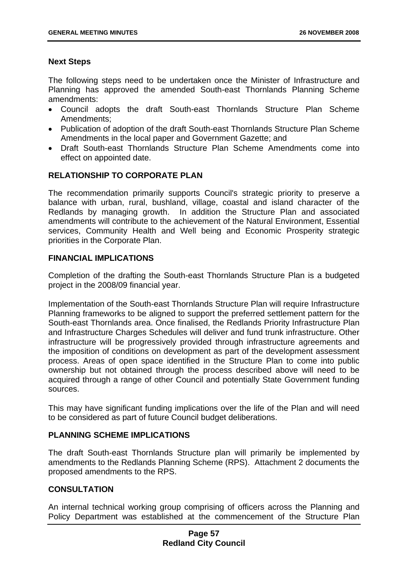### **Next Steps**

The following steps need to be undertaken once the Minister of Infrastructure and Planning has approved the amended South-east Thornlands Planning Scheme amendments:

- Council adopts the draft South-east Thornlands Structure Plan Scheme Amendments;
- Publication of adoption of the draft South-east Thornlands Structure Plan Scheme Amendments in the local paper and Government Gazette; and
- Draft South-east Thornlands Structure Plan Scheme Amendments come into effect on appointed date.

# **RELATIONSHIP TO CORPORATE PLAN**

The recommendation primarily supports Council's strategic priority to preserve a balance with urban, rural, bushland, village, coastal and island character of the Redlands by managing growth. In addition the Structure Plan and associated amendments will contribute to the achievement of the Natural Environment, Essential services, Community Health and Well being and Economic Prosperity strategic priorities in the Corporate Plan.

### **FINANCIAL IMPLICATIONS**

Completion of the drafting the South-east Thornlands Structure Plan is a budgeted project in the 2008/09 financial year.

Implementation of the South-east Thornlands Structure Plan will require Infrastructure Planning frameworks to be aligned to support the preferred settlement pattern for the South-east Thornlands area. Once finalised, the Redlands Priority Infrastructure Plan and Infrastructure Charges Schedules will deliver and fund trunk infrastructure. Other infrastructure will be progressively provided through infrastructure agreements and the imposition of conditions on development as part of the development assessment process. Areas of open space identified in the Structure Plan to come into public ownership but not obtained through the process described above will need to be acquired through a range of other Council and potentially State Government funding sources.

This may have significant funding implications over the life of the Plan and will need to be considered as part of future Council budget deliberations.

#### **PLANNING SCHEME IMPLICATIONS**

The draft South-east Thornlands Structure plan will primarily be implemented by amendments to the Redlands Planning Scheme (RPS). Attachment 2 documents the proposed amendments to the RPS.

#### **CONSULTATION**

An internal technical working group comprising of officers across the Planning and Policy Department was established at the commencement of the Structure Plan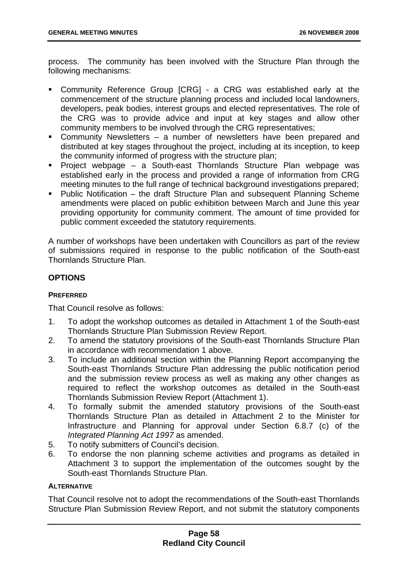process. The community has been involved with the Structure Plan through the following mechanisms:

- Community Reference Group [CRG] a CRG was established early at the commencement of the structure planning process and included local landowners, developers, peak bodies, interest groups and elected representatives. The role of the CRG was to provide advice and input at key stages and allow other community members to be involved through the CRG representatives;
- Community Newsletters a number of newsletters have been prepared and distributed at key stages throughout the project, including at its inception, to keep the community informed of progress with the structure plan;
- Project webpage a South-east Thornlands Structure Plan webpage was established early in the process and provided a range of information from CRG meeting minutes to the full range of technical background investigations prepared;
- Public Notification the draft Structure Plan and subsequent Planning Scheme amendments were placed on public exhibition between March and June this year providing opportunity for community comment. The amount of time provided for public comment exceeded the statutory requirements.

A number of workshops have been undertaken with Councillors as part of the review of submissions required in response to the public notification of the South-east Thornlands Structure Plan.

# **OPTIONS**

#### **PREFERRED**

That Council resolve as follows:

- 1. To adopt the workshop outcomes as detailed in Attachment 1 of the South-east Thornlands Structure Plan Submission Review Report.
- 2. To amend the statutory provisions of the South-east Thornlands Structure Plan in accordance with recommendation 1 above.
- 3. To include an additional section within the Planning Report accompanying the South-east Thornlands Structure Plan addressing the public notification period and the submission review process as well as making any other changes as required to reflect the workshop outcomes as detailed in the South-east Thornlands Submission Review Report (Attachment 1).
- 4. To formally submit the amended statutory provisions of the South-east Thornlands Structure Plan as detailed in Attachment 2 to the Minister for Infrastructure and Planning for approval under Section 6.8.7 (c) of the *Integrated Planning Act 1997* as amended.
- 5. To notify submitters of Council's decision.
- 6. To endorse the non planning scheme activities and programs as detailed in Attachment 3 to support the implementation of the outcomes sought by the South-east Thornlands Structure Plan.

#### **ALTERNATIVE**

That Council resolve not to adopt the recommendations of the South-east Thornlands Structure Plan Submission Review Report, and not submit the statutory components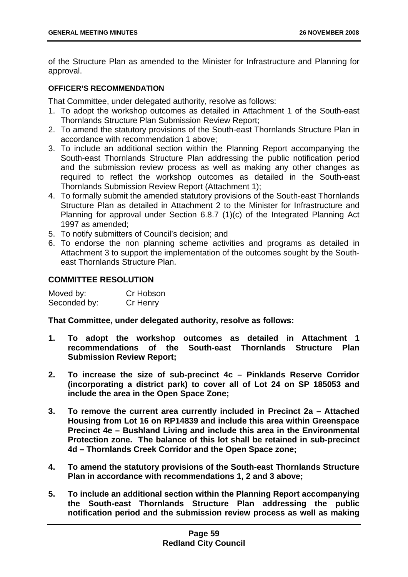of the Structure Plan as amended to the Minister for Infrastructure and Planning for approval.

### **OFFICER'S RECOMMENDATION**

That Committee, under delegated authority, resolve as follows:

- 1. To adopt the workshop outcomes as detailed in Attachment 1 of the South-east Thornlands Structure Plan Submission Review Report;
- 2. To amend the statutory provisions of the South-east Thornlands Structure Plan in accordance with recommendation 1 above;
- 3. To include an additional section within the Planning Report accompanying the South-east Thornlands Structure Plan addressing the public notification period and the submission review process as well as making any other changes as required to reflect the workshop outcomes as detailed in the South-east Thornlands Submission Review Report (Attachment 1);
- 4. To formally submit the amended statutory provisions of the South-east Thornlands Structure Plan as detailed in Attachment 2 to the Minister for Infrastructure and Planning for approval under Section 6.8.7 (1)(c) of the Integrated Planning Act 1997 as amended;
- 5. To notify submitters of Council's decision; and
- 6. To endorse the non planning scheme activities and programs as detailed in Attachment 3 to support the implementation of the outcomes sought by the Southeast Thornlands Structure Plan.

# **COMMITTEE RESOLUTION**

| Moved by:    | Cr Hobson |
|--------------|-----------|
| Seconded by: | Cr Henry  |

**That Committee, under delegated authority, resolve as follows:** 

- **1. To adopt the workshop outcomes as detailed in Attachment 1 recommendations of the South-east Thornlands Structure Plan Submission Review Report;**
- **2. To increase the size of sub-precinct 4c Pinklands Reserve Corridor (incorporating a district park) to cover all of Lot 24 on SP 185053 and include the area in the Open Space Zone;**
- **3. To remove the current area currently included in Precinct 2a Attached Housing from Lot 16 on RP14839 and include this area within Greenspace Precinct 4e – Bushland Living and include this area in the Environmental Protection zone. The balance of this lot shall be retained in sub-precinct 4d – Thornlands Creek Corridor and the Open Space zone;**
- **4. To amend the statutory provisions of the South-east Thornlands Structure Plan in accordance with recommendations 1, 2 and 3 above;**
- **5. To include an additional section within the Planning Report accompanying the South-east Thornlands Structure Plan addressing the public notification period and the submission review process as well as making**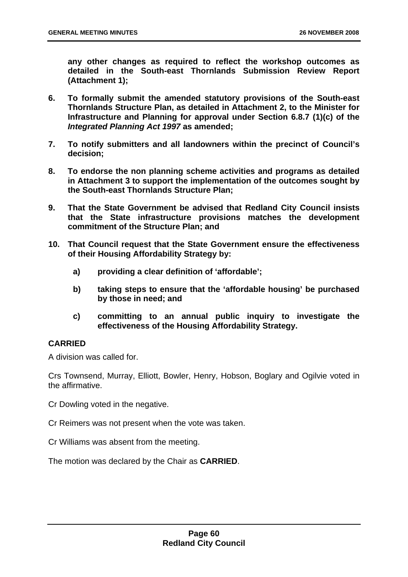**any other changes as required to reflect the workshop outcomes as detailed in the South-east Thornlands Submission Review Report (Attachment 1);** 

- **6. To formally submit the amended statutory provisions of the South-east Thornlands Structure Plan, as detailed in Attachment 2, to the Minister for Infrastructure and Planning for approval under Section 6.8.7 (1)(c) of the**  *Integrated Planning Act 1997* **as amended;**
- **7. To notify submitters and all landowners within the precinct of Council's decision;**
- **8. To endorse the non planning scheme activities and programs as detailed in Attachment 3 to support the implementation of the outcomes sought by the South-east Thornlands Structure Plan;**
- **9. That the State Government be advised that Redland City Council insists that the State infrastructure provisions matches the development commitment of the Structure Plan; and**
- **10. That Council request that the State Government ensure the effectiveness of their Housing Affordability Strategy by:** 
	- **a) providing a clear definition of 'affordable';**
	- **b) taking steps to ensure that the 'affordable housing' be purchased by those in need; and**
	- **c) committing to an annual public inquiry to investigate the effectiveness of the Housing Affordability Strategy.**

# **CARRIED**

A division was called for.

Crs Townsend, Murray, Elliott, Bowler, Henry, Hobson, Boglary and Ogilvie voted in the affirmative.

Cr Dowling voted in the negative.

Cr Reimers was not present when the vote was taken.

Cr Williams was absent from the meeting.

The motion was declared by the Chair as **CARRIED**.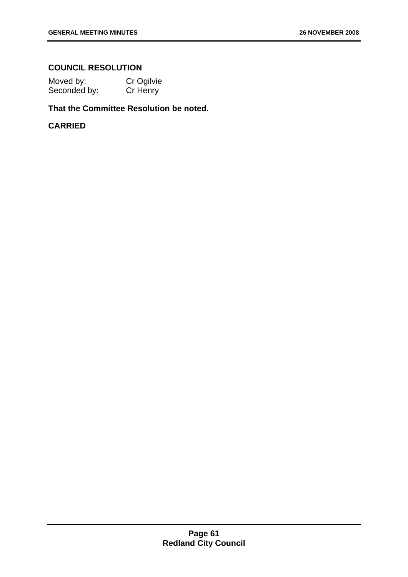# **COUNCIL RESOLUTION**

Moved by: Cr Ogilvie Seconded by: Cr Henry

**That the Committee Resolution be noted.** 

### **CARRIED**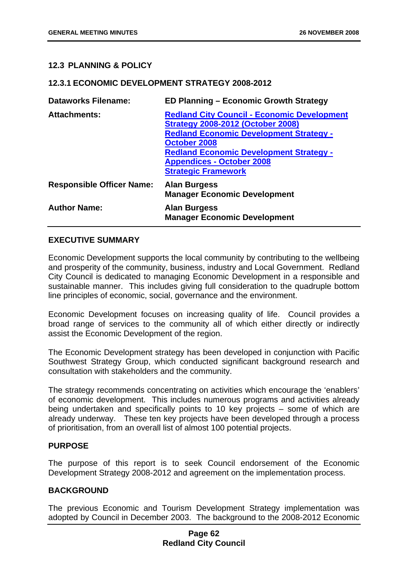### **12.3 PLANNING & POLICY**

#### **12.3.1 ECONOMIC DEVELOPMENT STRATEGY 2008-2012**

| <b>Dataworks Filename:</b>       | <b>ED Planning – Economic Growth Strategy</b>                                                                                                                                                                                                                                               |
|----------------------------------|---------------------------------------------------------------------------------------------------------------------------------------------------------------------------------------------------------------------------------------------------------------------------------------------|
| <b>Attachments:</b>              | <b>Redland City Council - Economic Development</b><br><b>Strategy 2008-2012 (October 2008)</b><br><b>Redland Economic Development Strategy -</b><br><b>October 2008</b><br><b>Redland Economic Development Strategy -</b><br><b>Appendices - October 2008</b><br><b>Strategic Framework</b> |
| <b>Responsible Officer Name:</b> | <b>Alan Burgess</b><br><b>Manager Economic Development</b>                                                                                                                                                                                                                                  |
| <b>Author Name:</b>              | <b>Alan Burgess</b><br><b>Manager Economic Development</b>                                                                                                                                                                                                                                  |

### **EXECUTIVE SUMMARY**

Economic Development supports the local community by contributing to the wellbeing and prosperity of the community, business, industry and Local Government. Redland City Council is dedicated to managing Economic Development in a responsible and sustainable manner. This includes giving full consideration to the quadruple bottom line principles of economic, social, governance and the environment.

Economic Development focuses on increasing quality of life. Council provides a broad range of services to the community all of which either directly or indirectly assist the Economic Development of the region.

The Economic Development strategy has been developed in conjunction with Pacific Southwest Strategy Group, which conducted significant background research and consultation with stakeholders and the community.

The strategy recommends concentrating on activities which encourage the 'enablers' of economic development. This includes numerous programs and activities already being undertaken and specifically points to 10 key projects – some of which are already underway. These ten key projects have been developed through a process of prioritisation, from an overall list of almost 100 potential projects.

#### **PURPOSE**

The purpose of this report is to seek Council endorsement of the Economic Development Strategy 2008-2012 and agreement on the implementation process.

#### **BACKGROUND**

The previous Economic and Tourism Development Strategy implementation was adopted by Council in December 2003. The background to the 2008-2012 Economic

### **Page 62 Redland City Council**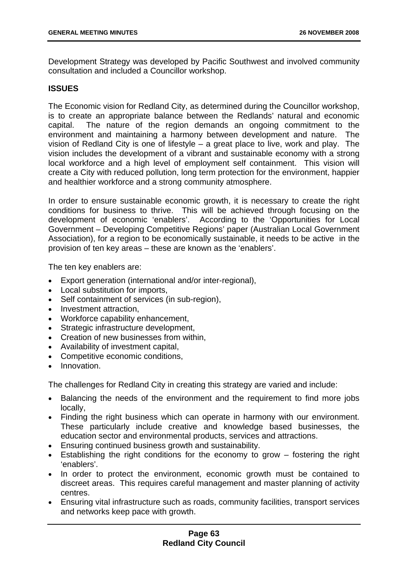Development Strategy was developed by Pacific Southwest and involved community consultation and included a Councillor workshop.

### **ISSUES**

The Economic vision for Redland City, as determined during the Councillor workshop, is to create an appropriate balance between the Redlands' natural and economic capital. The nature of the region demands an ongoing commitment to the environment and maintaining a harmony between development and nature. The vision of Redland City is one of lifestyle – a great place to live, work and play. The vision includes the development of a vibrant and sustainable economy with a strong local workforce and a high level of employment self containment. This vision will create a City with reduced pollution, long term protection for the environment, happier and healthier workforce and a strong community atmosphere.

In order to ensure sustainable economic growth, it is necessary to create the right conditions for business to thrive. This will be achieved through focusing on the development of economic 'enablers'. According to the 'Opportunities for Local Government – Developing Competitive Regions' paper (Australian Local Government Association), for a region to be economically sustainable, it needs to be active in the provision of ten key areas – these are known as the 'enablers'.

The ten key enablers are:

- Export generation (international and/or inter-regional),
- Local substitution for imports,
- Self containment of services (in sub-region),
- Investment attraction,
- Workforce capability enhancement,
- Strategic infrastructure development,
- Creation of new businesses from within,
- Availability of investment capital,
- Competitive economic conditions,
- Innovation.

The challenges for Redland City in creating this strategy are varied and include:

- Balancing the needs of the environment and the requirement to find more jobs locally,
- Finding the right business which can operate in harmony with our environment. These particularly include creative and knowledge based businesses, the education sector and environmental products, services and attractions.
- Ensuring continued business growth and sustainability.
- Establishing the right conditions for the economy to grow fostering the right 'enablers'.
- In order to protect the environment, economic growth must be contained to discreet areas. This requires careful management and master planning of activity centres.
- Ensuring vital infrastructure such as roads, community facilities, transport services and networks keep pace with growth.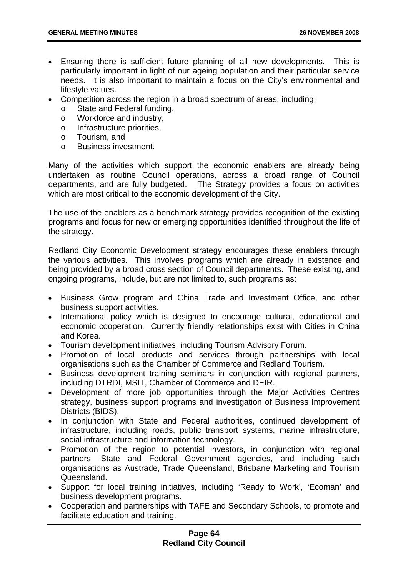- Ensuring there is sufficient future planning of all new developments. This is particularly important in light of our ageing population and their particular service needs. It is also important to maintain a focus on the City's environmental and lifestyle values.
- Competition across the region in a broad spectrum of areas, including:
	- o State and Federal funding,
	- o Workforce and industry,
	- o Infrastructure priorities,
	- o Tourism, and
	- o Business investment.

Many of the activities which support the economic enablers are already being undertaken as routine Council operations, across a broad range of Council departments, and are fully budgeted. The Strategy provides a focus on activities which are most critical to the economic development of the City.

The use of the enablers as a benchmark strategy provides recognition of the existing programs and focus for new or emerging opportunities identified throughout the life of the strategy.

Redland City Economic Development strategy encourages these enablers through the various activities. This involves programs which are already in existence and being provided by a broad cross section of Council departments. These existing, and ongoing programs, include, but are not limited to, such programs as:

- Business Grow program and China Trade and Investment Office, and other business support activities.
- International policy which is designed to encourage cultural, educational and economic cooperation. Currently friendly relationships exist with Cities in China and Korea.
- Tourism development initiatives, including Tourism Advisory Forum.
- Promotion of local products and services through partnerships with local organisations such as the Chamber of Commerce and Redland Tourism.
- Business development training seminars in conjunction with regional partners, including DTRDI, MSIT, Chamber of Commerce and DEIR.
- Development of more job opportunities through the Major Activities Centres strategy, business support programs and investigation of Business Improvement Districts (BIDS).
- In conjunction with State and Federal authorities, continued development of infrastructure, including roads, public transport systems, marine infrastructure, social infrastructure and information technology.
- Promotion of the region to potential investors, in conjunction with regional partners, State and Federal Government agencies, and including such organisations as Austrade, Trade Queensland, Brisbane Marketing and Tourism Queensland.
- Support for local training initiatives, including 'Ready to Work', 'Ecoman' and business development programs.
- Cooperation and partnerships with TAFE and Secondary Schools, to promote and facilitate education and training.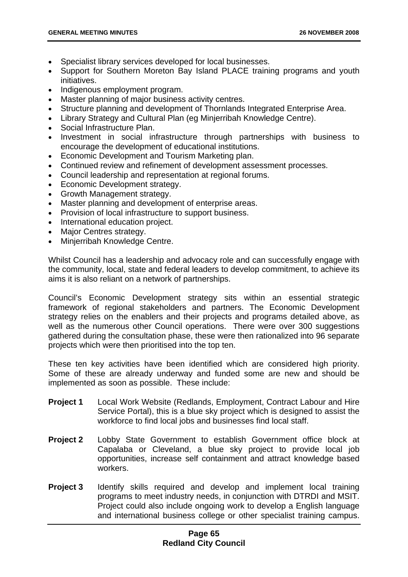- Specialist library services developed for local businesses.
- Support for Southern Moreton Bay Island PLACE training programs and youth initiatives.
- Indigenous employment program.
- Master planning of major business activity centres.
- Structure planning and development of Thornlands Integrated Enterprise Area.
- Library Strategy and Cultural Plan (eg Minjerribah Knowledge Centre).
- Social Infrastructure Plan.
- Investment in social infrastructure through partnerships with business to encourage the development of educational institutions.
- Economic Development and Tourism Marketing plan.
- Continued review and refinement of development assessment processes.
- Council leadership and representation at regional forums.
- Economic Development strategy.
- Growth Management strategy.
- Master planning and development of enterprise areas.
- Provision of local infrastructure to support business.
- International education project.
- Major Centres strategy.
- Minjerribah Knowledge Centre.

Whilst Council has a leadership and advocacy role and can successfully engage with the community, local, state and federal leaders to develop commitment, to achieve its aims it is also reliant on a network of partnerships.

Council's Economic Development strategy sits within an essential strategic framework of regional stakeholders and partners. The Economic Development strategy relies on the enablers and their projects and programs detailed above, as well as the numerous other Council operations. There were over 300 suggestions gathered during the consultation phase, these were then rationalized into 96 separate projects which were then prioritised into the top ten.

These ten key activities have been identified which are considered high priority. Some of these are already underway and funded some are new and should be implemented as soon as possible. These include:

- **Project 1** Local Work Website (Redlands, Employment, Contract Labour and Hire Service Portal), this is a blue sky project which is designed to assist the workforce to find local jobs and businesses find local staff.
- **Project 2** Lobby State Government to establish Government office block at Capalaba or Cleveland, a blue sky project to provide local job opportunities, increase self containment and attract knowledge based workers.
- **Project 3** Identify skills required and develop and implement local training programs to meet industry needs, in conjunction with DTRDI and MSIT. Project could also include ongoing work to develop a English language and international business college or other specialist training campus.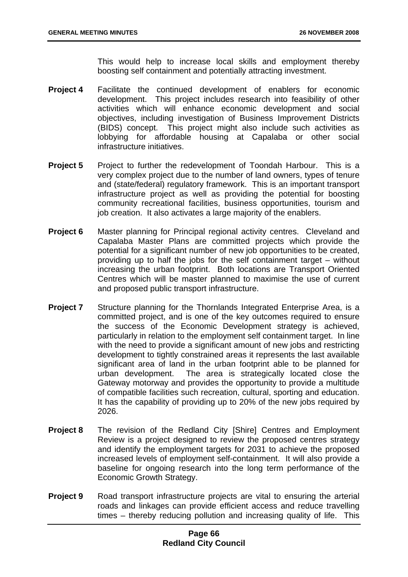This would help to increase local skills and employment thereby boosting self containment and potentially attracting investment.

- **Project 4** Facilitate the continued development of enablers for economic development. This project includes research into feasibility of other activities which will enhance economic development and social objectives, including investigation of Business Improvement Districts (BIDS) concept. This project might also include such activities as lobbying for affordable housing at Capalaba or other social infrastructure initiatives.
- **Project 5** Project to further the redevelopment of Toondah Harbour. This is a very complex project due to the number of land owners, types of tenure and (state/federal) regulatory framework. This is an important transport infrastructure project as well as providing the potential for boosting community recreational facilities, business opportunities, tourism and job creation. It also activates a large majority of the enablers.
- **Project 6** Master planning for Principal regional activity centres. Cleveland and Capalaba Master Plans are committed projects which provide the potential for a significant number of new job opportunities to be created, providing up to half the jobs for the self containment target – without increasing the urban footprint. Both locations are Transport Oriented Centres which will be master planned to maximise the use of current and proposed public transport infrastructure.
- **Project 7** Structure planning for the Thornlands Integrated Enterprise Area, is a committed project, and is one of the key outcomes required to ensure the success of the Economic Development strategy is achieved, particularly in relation to the employment self containment target. In line with the need to provide a significant amount of new jobs and restricting development to tightly constrained areas it represents the last available significant area of land in the urban footprint able to be planned for urban development. The area is strategically located close the Gateway motorway and provides the opportunity to provide a multitude of compatible facilities such recreation, cultural, sporting and education. It has the capability of providing up to 20% of the new jobs required by 2026.
- **Project 8** The revision of the Redland City [Shire] Centres and Employment Review is a project designed to review the proposed centres strategy and identify the employment targets for 2031 to achieve the proposed increased levels of employment self-containment. It will also provide a baseline for ongoing research into the long term performance of the Economic Growth Strategy.
- **Project 9** Road transport infrastructure projects are vital to ensuring the arterial roads and linkages can provide efficient access and reduce travelling times – thereby reducing pollution and increasing quality of life. This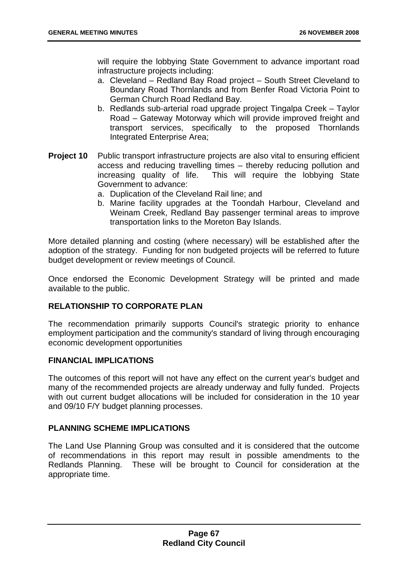will require the lobbying State Government to advance important road infrastructure projects including:

- a. Cleveland Redland Bay Road project South Street Cleveland to Boundary Road Thornlands and from Benfer Road Victoria Point to German Church Road Redland Bay.
- b. Redlands sub-arterial road upgrade project Tingalpa Creek Taylor Road – Gateway Motorway which will provide improved freight and transport services, specifically to the proposed Thornlands Integrated Enterprise Area;
- **Project 10** Public transport infrastructure projects are also vital to ensuring efficient access and reducing travelling times – thereby reducing pollution and increasing quality of life. This will require the lobbying State Government to advance:
	- a. Duplication of the Cleveland Rail line; and
	- b. Marine facility upgrades at the Toondah Harbour, Cleveland and Weinam Creek, Redland Bay passenger terminal areas to improve transportation links to the Moreton Bay Islands.

More detailed planning and costing (where necessary) will be established after the adoption of the strategy. Funding for non budgeted projects will be referred to future budget development or review meetings of Council.

Once endorsed the Economic Development Strategy will be printed and made available to the public.

# **RELATIONSHIP TO CORPORATE PLAN**

The recommendation primarily supports Council's strategic priority to enhance employment participation and the community's standard of living through encouraging economic development opportunities

#### **FINANCIAL IMPLICATIONS**

The outcomes of this report will not have any effect on the current year's budget and many of the recommended projects are already underway and fully funded. Projects with out current budget allocations will be included for consideration in the 10 year and 09/10 F/Y budget planning processes.

#### **PLANNING SCHEME IMPLICATIONS**

The Land Use Planning Group was consulted and it is considered that the outcome of recommendations in this report may result in possible amendments to the Redlands Planning. These will be brought to Council for consideration at the appropriate time.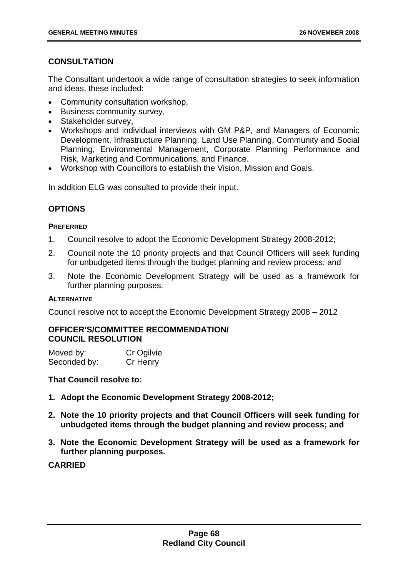# **CONSULTATION**

The Consultant undertook a wide range of consultation strategies to seek information and ideas, these included:

- Community consultation workshop,
- Business community survey,
- Stakeholder survey,
- Workshops and individual interviews with GM P&P, and Managers of Economic Development, Infrastructure Planning, Land Use Planning, Community and Social Planning, Environmental Management, Corporate Planning Performance and Risk, Marketing and Communications, and Finance.
- Workshop with Councillors to establish the Vision, Mission and Goals.

In addition ELG was consulted to provide their input.

# **OPTIONS**

#### **PREFERRED**

- 1. Council resolve to adopt the Economic Development Strategy 2008-2012;
- 2. Council note the 10 priority projects and that Council Officers will seek funding for unbudgeted items through the budget planning and review process; and
- 3. Note the Economic Development Strategy will be used as a framework for further planning purposes.

#### **ALTERNATIVE**

Council resolve not to accept the Economic Development Strategy 2008 – 2012

## **OFFICER'S/COMMITTEE RECOMMENDATION/ COUNCIL RESOLUTION**

| Moved by:    | Cr Ogilvie |
|--------------|------------|
| Seconded by: | Cr Henry   |

## **That Council resolve to:**

- **1. Adopt the Economic Development Strategy 2008-2012;**
- **2. Note the 10 priority projects and that Council Officers will seek funding for unbudgeted items through the budget planning and review process; and**
- **3. Note the Economic Development Strategy will be used as a framework for further planning purposes.**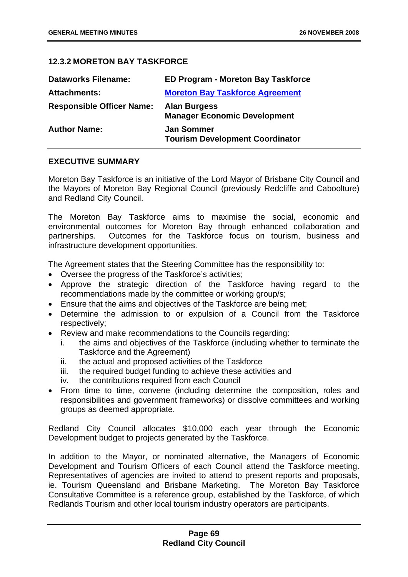# **12.3.2 MORETON BAY TASKFORCE**

| <b>Dataworks Filename:</b>       | <b>ED Program - Moreton Bay Taskforce</b>                   |
|----------------------------------|-------------------------------------------------------------|
| <b>Attachments:</b>              | <b>Moreton Bay Taskforce Agreement</b>                      |
| <b>Responsible Officer Name:</b> | <b>Alan Burgess</b><br><b>Manager Economic Development</b>  |
| <b>Author Name:</b>              | <b>Jan Sommer</b><br><b>Tourism Development Coordinator</b> |

## **EXECUTIVE SUMMARY**

Moreton Bay Taskforce is an initiative of the Lord Mayor of Brisbane City Council and the Mayors of Moreton Bay Regional Council (previously Redcliffe and Caboolture) and Redland City Council.

The Moreton Bay Taskforce aims to maximise the social, economic and environmental outcomes for Moreton Bay through enhanced collaboration and partnerships. Outcomes for the Taskforce focus on tourism, business and infrastructure development opportunities.

The Agreement states that the Steering Committee has the responsibility to:

- Oversee the progress of the Taskforce's activities;
- Approve the strategic direction of the Taskforce having regard to the recommendations made by the committee or working group/s;
- Ensure that the aims and objectives of the Taskforce are being met;
- Determine the admission to or expulsion of a Council from the Taskforce respectively;
- Review and make recommendations to the Councils regarding:
	- i. the aims and objectives of the Taskforce (including whether to terminate the Taskforce and the Agreement)
	- ii. the actual and proposed activities of the Taskforce
	- iii. the required budget funding to achieve these activities and
	- iv. the contributions required from each Council
- From time to time, convene (including determine the composition, roles and responsibilities and government frameworks) or dissolve committees and working groups as deemed appropriate.

Redland City Council allocates \$10,000 each year through the Economic Development budget to projects generated by the Taskforce.

In addition to the Mayor, or nominated alternative, the Managers of Economic Development and Tourism Officers of each Council attend the Taskforce meeting. Representatives of agencies are invited to attend to present reports and proposals, ie. Tourism Queensland and Brisbane Marketing. The Moreton Bay Taskforce Consultative Committee is a reference group, established by the Taskforce, of which Redlands Tourism and other local tourism industry operators are participants.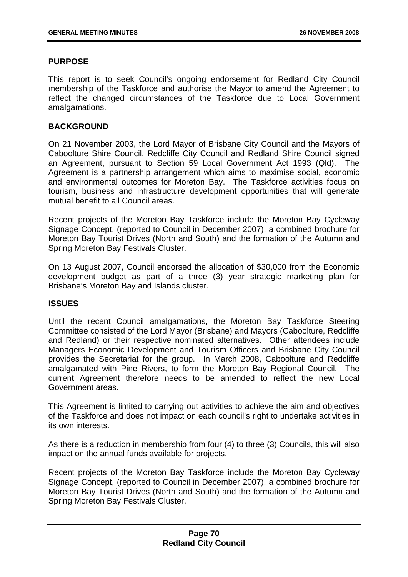## **PURPOSE**

This report is to seek Council's ongoing endorsement for Redland City Council membership of the Taskforce and authorise the Mayor to amend the Agreement to reflect the changed circumstances of the Taskforce due to Local Government amalgamations.

#### **BACKGROUND**

On 21 November 2003, the Lord Mayor of Brisbane City Council and the Mayors of Caboolture Shire Council, Redcliffe City Council and Redland Shire Council signed an Agreement, pursuant to Section 59 Local Government Act 1993 (Qld). The Agreement is a partnership arrangement which aims to maximise social, economic and environmental outcomes for Moreton Bay. The Taskforce activities focus on tourism, business and infrastructure development opportunities that will generate mutual benefit to all Council areas.

Recent projects of the Moreton Bay Taskforce include the Moreton Bay Cycleway Signage Concept, (reported to Council in December 2007), a combined brochure for Moreton Bay Tourist Drives (North and South) and the formation of the Autumn and Spring Moreton Bay Festivals Cluster.

On 13 August 2007, Council endorsed the allocation of \$30,000 from the Economic development budget as part of a three (3) year strategic marketing plan for Brisbane's Moreton Bay and Islands cluster.

#### **ISSUES**

Until the recent Council amalgamations, the Moreton Bay Taskforce Steering Committee consisted of the Lord Mayor (Brisbane) and Mayors (Caboolture, Redcliffe and Redland) or their respective nominated alternatives. Other attendees include Managers Economic Development and Tourism Officers and Brisbane City Council provides the Secretariat for the group. In March 2008, Caboolture and Redcliffe amalgamated with Pine Rivers, to form the Moreton Bay Regional Council. The current Agreement therefore needs to be amended to reflect the new Local Government areas.

This Agreement is limited to carrying out activities to achieve the aim and objectives of the Taskforce and does not impact on each council's right to undertake activities in its own interests.

As there is a reduction in membership from four (4) to three (3) Councils, this will also impact on the annual funds available for projects.

Recent projects of the Moreton Bay Taskforce include the Moreton Bay Cycleway Signage Concept, (reported to Council in December 2007), a combined brochure for Moreton Bay Tourist Drives (North and South) and the formation of the Autumn and Spring Moreton Bay Festivals Cluster.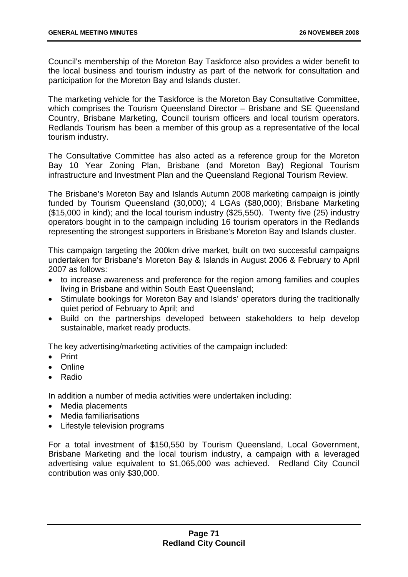Council's membership of the Moreton Bay Taskforce also provides a wider benefit to the local business and tourism industry as part of the network for consultation and participation for the Moreton Bay and Islands cluster.

The marketing vehicle for the Taskforce is the Moreton Bay Consultative Committee, which comprises the Tourism Queensland Director – Brisbane and SE Queensland Country, Brisbane Marketing, Council tourism officers and local tourism operators. Redlands Tourism has been a member of this group as a representative of the local tourism industry.

The Consultative Committee has also acted as a reference group for the Moreton Bay 10 Year Zoning Plan, Brisbane (and Moreton Bay) Regional Tourism infrastructure and Investment Plan and the Queensland Regional Tourism Review.

The Brisbane's Moreton Bay and Islands Autumn 2008 marketing campaign is jointly funded by Tourism Queensland (30,000); 4 LGAs (\$80,000); Brisbane Marketing (\$15,000 in kind); and the local tourism industry (\$25,550). Twenty five (25) industry operators bought in to the campaign including 16 tourism operators in the Redlands representing the strongest supporters in Brisbane's Moreton Bay and Islands cluster.

This campaign targeting the 200km drive market, built on two successful campaigns undertaken for Brisbane's Moreton Bay & Islands in August 2006 & February to April 2007 as follows:

- to increase awareness and preference for the region among families and couples living in Brisbane and within South East Queensland;
- Stimulate bookings for Moreton Bay and Islands' operators during the traditionally quiet period of February to April; and
- Build on the partnerships developed between stakeholders to help develop sustainable, market ready products.

The key advertising/marketing activities of the campaign included:

- Print
- Online
- Radio

In addition a number of media activities were undertaken including:

- Media placements
- Media familiarisations
- Lifestyle television programs

For a total investment of \$150,550 by Tourism Queensland, Local Government, Brisbane Marketing and the local tourism industry, a campaign with a leveraged advertising value equivalent to \$1,065,000 was achieved. Redland City Council contribution was only \$30,000.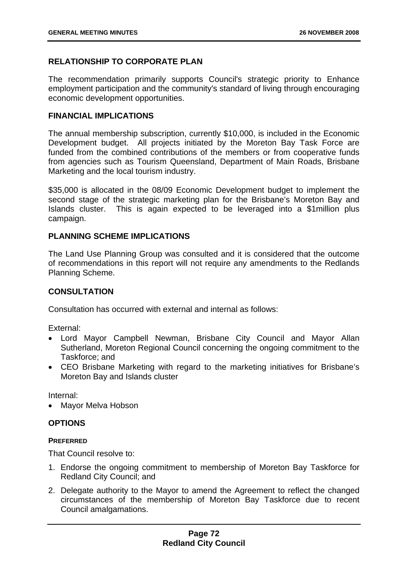# **RELATIONSHIP TO CORPORATE PLAN**

The recommendation primarily supports Council's strategic priority to Enhance employment participation and the community's standard of living through encouraging economic development opportunities.

## **FINANCIAL IMPLICATIONS**

The annual membership subscription, currently \$10,000, is included in the Economic Development budget. All projects initiated by the Moreton Bay Task Force are funded from the combined contributions of the members or from cooperative funds from agencies such as Tourism Queensland, Department of Main Roads, Brisbane Marketing and the local tourism industry.

\$35,000 is allocated in the 08/09 Economic Development budget to implement the second stage of the strategic marketing plan for the Brisbane's Moreton Bay and Islands cluster. This is again expected to be leveraged into a \$1million plus campaign.

# **PLANNING SCHEME IMPLICATIONS**

The Land Use Planning Group was consulted and it is considered that the outcome of recommendations in this report will not require any amendments to the Redlands Planning Scheme.

# **CONSULTATION**

Consultation has occurred with external and internal as follows:

External:

- Lord Mayor Campbell Newman, Brisbane City Council and Mayor Allan Sutherland, Moreton Regional Council concerning the ongoing commitment to the Taskforce; and
- CEO Brisbane Marketing with regard to the marketing initiatives for Brisbane's Moreton Bay and Islands cluster

Internal:

• Mayor Melva Hobson

# **OPTIONS**

#### **PREFERRED**

That Council resolve to:

- 1. Endorse the ongoing commitment to membership of Moreton Bay Taskforce for Redland City Council; and
- 2. Delegate authority to the Mayor to amend the Agreement to reflect the changed circumstances of the membership of Moreton Bay Taskforce due to recent Council amalgamations.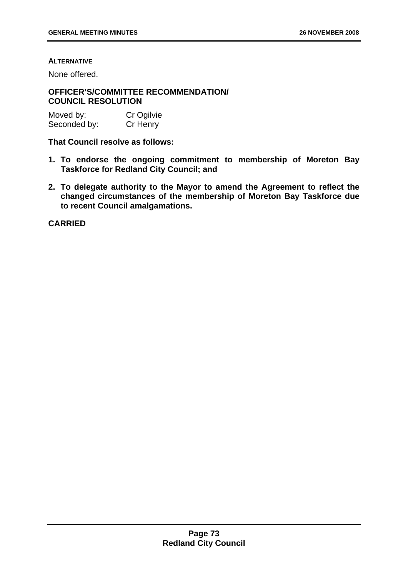#### **ALTERNATIVE**

None offered.

# **OFFICER'S/COMMITTEE RECOMMENDATION/ COUNCIL RESOLUTION**

| Moved by:    | Cr Ogilvie |
|--------------|------------|
| Seconded by: | Cr Henry   |

**That Council resolve as follows:** 

- **1. To endorse the ongoing commitment to membership of Moreton Bay Taskforce for Redland City Council; and**
- **2. To delegate authority to the Mayor to amend the Agreement to reflect the changed circumstances of the membership of Moreton Bay Taskforce due to recent Council amalgamations.**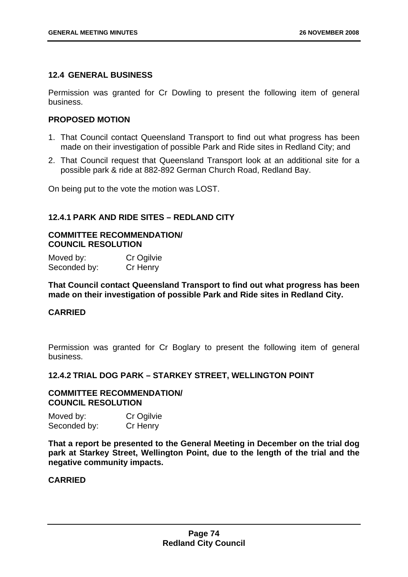### **12.4 GENERAL BUSINESS**

Permission was granted for Cr Dowling to present the following item of general business.

### **PROPOSED MOTION**

- 1. That Council contact Queensland Transport to find out what progress has been made on their investigation of possible Park and Ride sites in Redland City; and
- 2. That Council request that Queensland Transport look at an additional site for a possible park & ride at 882-892 German Church Road, Redland Bay.

On being put to the vote the motion was LOST.

# **12.4.1 PARK AND RIDE SITES – REDLAND CITY**

#### **COMMITTEE RECOMMENDATION/ COUNCIL RESOLUTION**

| Moved by:    | Cr Ogilvie |
|--------------|------------|
| Seconded by: | Cr Henry   |

**That Council contact Queensland Transport to find out what progress has been made on their investigation of possible Park and Ride sites in Redland City.** 

# **CARRIED**

Permission was granted for Cr Boglary to present the following item of general business.

#### **12.4.2 TRIAL DOG PARK – STARKEY STREET, WELLINGTON POINT**

#### **COMMITTEE RECOMMENDATION/ COUNCIL RESOLUTION**

Moved by: Cr Ogilvie Seconded by: Cr Henry

**That a report be presented to the General Meeting in December on the trial dog park at Starkey Street, Wellington Point, due to the length of the trial and the negative community impacts.**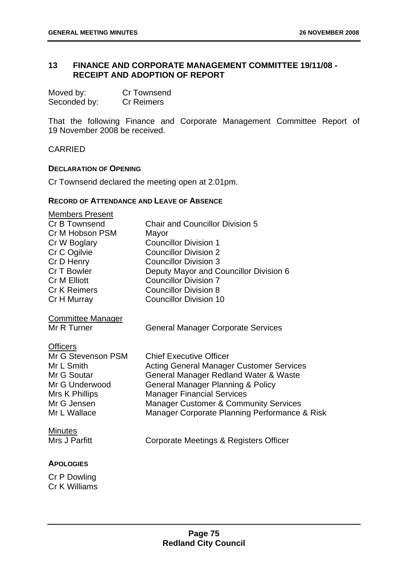# **13 FINANCE AND CORPORATE MANAGEMENT COMMITTEE 19/11/08 - RECEIPT AND ADOPTION OF REPORT**

| Moved by:    | <b>Cr Townsend</b> |
|--------------|--------------------|
| Seconded by: | <b>Cr Reimers</b>  |

That the following Finance and Corporate Management Committee Report of 19 November 2008 be received.

CARRIED

#### **DECLARATION OF OPENING**

Cr Townsend declared the meeting open at 2.01pm.

### **RECORD OF ATTENDANCE AND LEAVE OF ABSENCE**

| <b>Chair and Councillor Division 5</b>           |
|--------------------------------------------------|
| Mayor                                            |
| <b>Councillor Division 1</b>                     |
| <b>Councillor Division 2</b>                     |
| <b>Councillor Division 3</b>                     |
| Deputy Mayor and Councillor Division 6           |
| <b>Councillor Division 7</b>                     |
| <b>Councillor Division 8</b>                     |
| <b>Councillor Division 10</b>                    |
|                                                  |
| <b>General Manager Corporate Services</b>        |
|                                                  |
| <b>Chief Executive Officer</b>                   |
| <b>Acting General Manager Customer Services</b>  |
| General Manager Redland Water & Waste            |
| <b>General Manager Planning &amp; Policy</b>     |
| <b>Manager Financial Services</b>                |
| <b>Manager Customer &amp; Community Services</b> |
| Manager Corporate Planning Performance & Risk    |
|                                                  |
| Corporate Meetings & Registers Officer           |
|                                                  |
|                                                  |
|                                                  |

**Cr P Dowling** Cr K Williams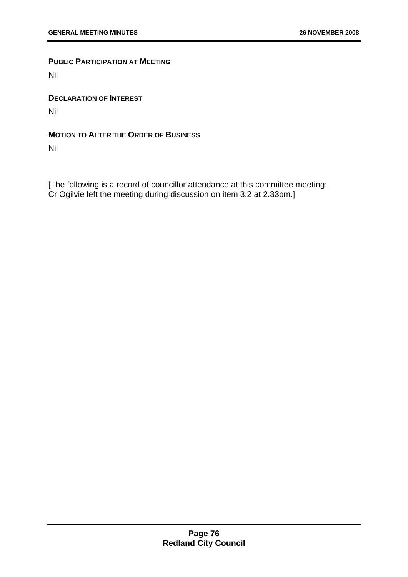### **PUBLIC PARTICIPATION AT MEETING**

Nil

#### **DECLARATION OF INTEREST**

Nil

### **MOTION TO ALTER THE ORDER OF BUSINESS**

Nil

[The following is a record of councillor attendance at this committee meeting: Cr Ogilvie left the meeting during discussion on item 3.2 at 2.33pm.]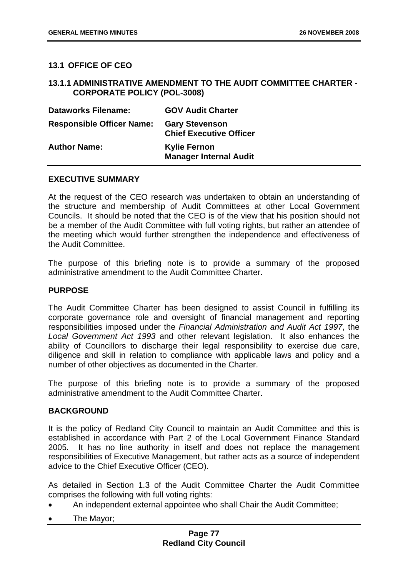## **13.1 OFFICE OF CEO**

#### **13.1.1 ADMINISTRATIVE AMENDMENT TO THE AUDIT COMMITTEE CHARTER - CORPORATE POLICY (POL-3008)**

| <b>Dataworks Filename:</b>       | <b>GOV Audit Charter</b>                                |
|----------------------------------|---------------------------------------------------------|
| <b>Responsible Officer Name:</b> | <b>Gary Stevenson</b><br><b>Chief Executive Officer</b> |
| <b>Author Name:</b>              | <b>Kylie Fernon</b><br><b>Manager Internal Audit</b>    |

#### **EXECUTIVE SUMMARY**

At the request of the CEO research was undertaken to obtain an understanding of the structure and membership of Audit Committees at other Local Government Councils. It should be noted that the CEO is of the view that his position should not be a member of the Audit Committee with full voting rights, but rather an attendee of the meeting which would further strengthen the independence and effectiveness of the Audit Committee.

The purpose of this briefing note is to provide a summary of the proposed administrative amendment to the Audit Committee Charter.

#### **PURPOSE**

The Audit Committee Charter has been designed to assist Council in fulfilling its corporate governance role and oversight of financial management and reporting responsibilities imposed under the *Financial Administration and Audit Act 1997*, the *Local Government Act 1993* and other relevant legislation. It also enhances the ability of Councillors to discharge their legal responsibility to exercise due care, diligence and skill in relation to compliance with applicable laws and policy and a number of other objectives as documented in the Charter.

The purpose of this briefing note is to provide a summary of the proposed administrative amendment to the Audit Committee Charter.

#### **BACKGROUND**

It is the policy of Redland City Council to maintain an Audit Committee and this is established in accordance with Part 2 of the Local Government Finance Standard 2005. It has no line authority in itself and does not replace the management responsibilities of Executive Management, but rather acts as a source of independent advice to the Chief Executive Officer (CEO).

As detailed in Section 1.3 of the Audit Committee Charter the Audit Committee comprises the following with full voting rights:

- An independent external appointee who shall Chair the Audit Committee;
- The Mayor;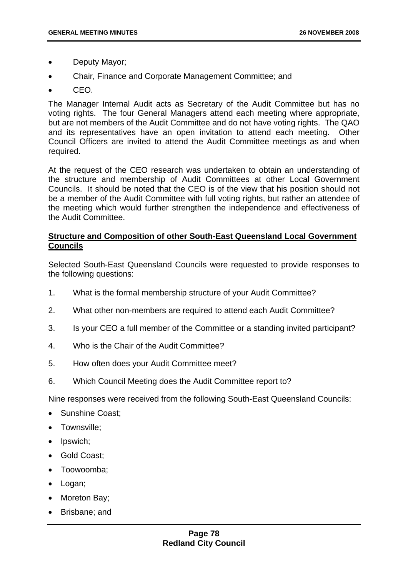- Deputy Mayor;
- Chair, Finance and Corporate Management Committee; and
- CEO.

The Manager Internal Audit acts as Secretary of the Audit Committee but has no voting rights. The four General Managers attend each meeting where appropriate, but are not members of the Audit Committee and do not have voting rights. The QAO and its representatives have an open invitation to attend each meeting. Other Council Officers are invited to attend the Audit Committee meetings as and when required.

At the request of the CEO research was undertaken to obtain an understanding of the structure and membership of Audit Committees at other Local Government Councils. It should be noted that the CEO is of the view that his position should not be a member of the Audit Committee with full voting rights, but rather an attendee of the meeting which would further strengthen the independence and effectiveness of the Audit Committee.

# **Structure and Composition of other South-East Queensland Local Government Councils**

Selected South-East Queensland Councils were requested to provide responses to the following questions:

- 1. What is the formal membership structure of your Audit Committee?
- 2. What other non-members are required to attend each Audit Committee?
- 3. Is your CEO a full member of the Committee or a standing invited participant?
- 4. Who is the Chair of the Audit Committee?
- 5. How often does your Audit Committee meet?
- 6. Which Council Meeting does the Audit Committee report to?

Nine responses were received from the following South-East Queensland Councils:

- Sunshine Coast;
- Townsville;
- Ipswich;
- Gold Coast;
- Toowoomba;
- Logan;
- Moreton Bay;
- Brisbane; and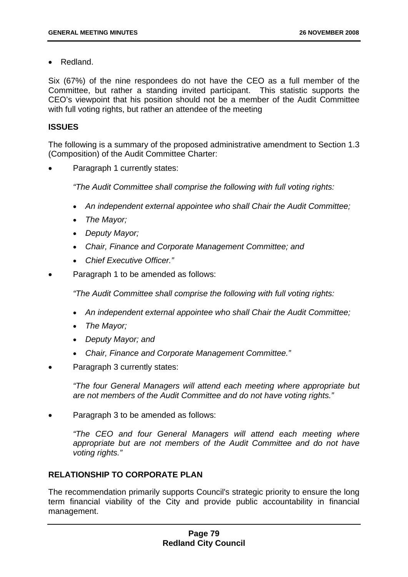• Redland.

Six (67%) of the nine respondees do not have the CEO as a full member of the Committee, but rather a standing invited participant. This statistic supports the CEO's viewpoint that his position should not be a member of the Audit Committee with full voting rights, but rather an attendee of the meeting

## **ISSUES**

The following is a summary of the proposed administrative amendment to Section 1.3 (Composition) of the Audit Committee Charter:

Paragraph 1 currently states:

*"The Audit Committee shall comprise the following with full voting rights:* 

- *An independent external appointee who shall Chair the Audit Committee;*
- *The Mayor;*
- *Deputy Mayor;*
- *Chair, Finance and Corporate Management Committee; and*
- *Chief Executive Officer."*
- Paragraph 1 to be amended as follows:

*"The Audit Committee shall comprise the following with full voting rights:* 

- *An independent external appointee who shall Chair the Audit Committee;*
- *The Mayor;*
- *Deputy Mayor; and*
- *Chair, Finance and Corporate Management Committee."*
- Paragraph 3 currently states:

*"The four General Managers will attend each meeting where appropriate but are not members of the Audit Committee and do not have voting rights."* 

• Paragraph 3 to be amended as follows:

*"The CEO and four General Managers will attend each meeting where appropriate but are not members of the Audit Committee and do not have voting rights."* 

### **RELATIONSHIP TO CORPORATE PLAN**

The recommendation primarily supports Council's strategic priority to ensure the long term financial viability of the City and provide public accountability in financial management.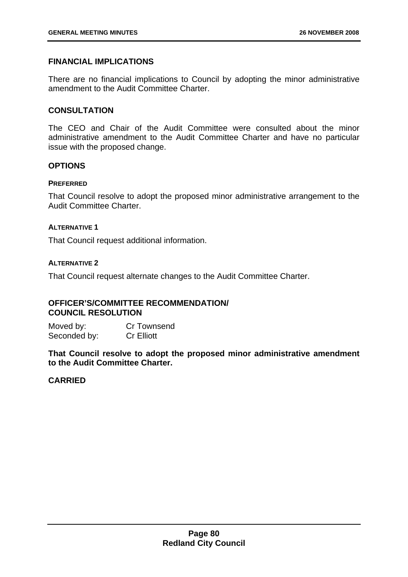## **FINANCIAL IMPLICATIONS**

There are no financial implications to Council by adopting the minor administrative amendment to the Audit Committee Charter.

## **CONSULTATION**

The CEO and Chair of the Audit Committee were consulted about the minor administrative amendment to the Audit Committee Charter and have no particular issue with the proposed change.

## **OPTIONS**

#### **PREFERRED**

That Council resolve to adopt the proposed minor administrative arrangement to the Audit Committee Charter.

#### **ALTERNATIVE 1**

That Council request additional information.

#### **ALTERNATIVE 2**

That Council request alternate changes to the Audit Committee Charter.

## **OFFICER'S/COMMITTEE RECOMMENDATION/ COUNCIL RESOLUTION**

Moved by: Cr Townsend Seconded by: Cr Elliott

**That Council resolve to adopt the proposed minor administrative amendment to the Audit Committee Charter.**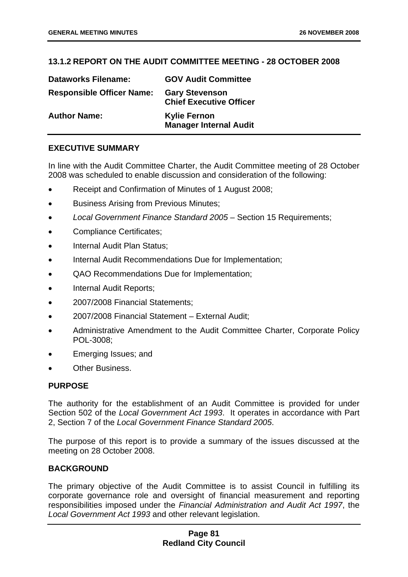# **13.1.2 REPORT ON THE AUDIT COMMITTEE MEETING - 28 OCTOBER 2008**

| <b>Dataworks Filename:</b>       | <b>GOV Audit Committee</b>                              |
|----------------------------------|---------------------------------------------------------|
| <b>Responsible Officer Name:</b> | <b>Gary Stevenson</b><br><b>Chief Executive Officer</b> |
| <b>Author Name:</b>              | <b>Kylie Fernon</b><br><b>Manager Internal Audit</b>    |

## **EXECUTIVE SUMMARY**

In line with the Audit Committee Charter, the Audit Committee meeting of 28 October 2008 was scheduled to enable discussion and consideration of the following:

- Receipt and Confirmation of Minutes of 1 August 2008;
- Business Arising from Previous Minutes;
- *Local Government Finance Standard 2005* Section 15 Requirements;
- Compliance Certificates;
- Internal Audit Plan Status:
- Internal Audit Recommendations Due for Implementation;
- QAO Recommendations Due for Implementation;
- Internal Audit Reports;
- 2007/2008 Financial Statements;
- 2007/2008 Financial Statement External Audit;
- Administrative Amendment to the Audit Committee Charter, Corporate Policy POL-3008;
- Emerging Issues; and
- Other Business.

# **PURPOSE**

The authority for the establishment of an Audit Committee is provided for under Section 502 of the *Local Government Act 1993*. It operates in accordance with Part 2, Section 7 of the *Local Government Finance Standard 2005*.

The purpose of this report is to provide a summary of the issues discussed at the meeting on 28 October 2008.

#### **BACKGROUND**

The primary objective of the Audit Committee is to assist Council in fulfilling its corporate governance role and oversight of financial measurement and reporting responsibilities imposed under the *Financial Administration and Audit Act 1997*, the *Local Government Act 1993* and other relevant legislation.

## **Page 81 Redland City Council**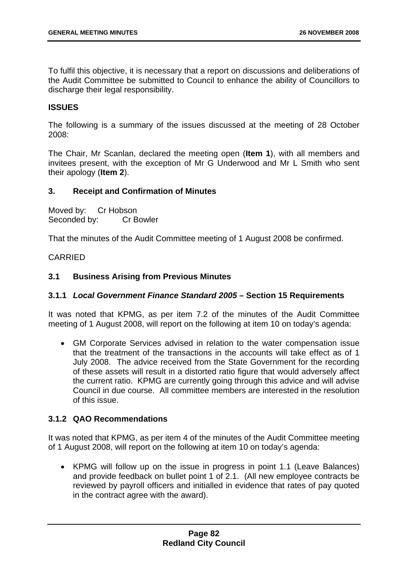To fulfil this objective, it is necessary that a report on discussions and deliberations of the Audit Committee be submitted to Council to enhance the ability of Councillors to discharge their legal responsibility.

## **ISSUES**

The following is a summary of the issues discussed at the meeting of 28 October 2008:

The Chair, Mr Scanlan, declared the meeting open (**Item 1**), with all members and invitees present, with the exception of Mr G Underwood and Mr L Smith who sent their apology (**Item 2**).

## **3. Receipt and Confirmation of Minutes**

Moved by: Cr Hobson Seconded by: Cr Bowler

That the minutes of the Audit Committee meeting of 1 August 2008 be confirmed.

# **CARRIED**

## **3.1 Business Arising from Previous Minutes**

# **3.1.1** *Local Government Finance Standard 2005* **– Section 15 Requirements**

It was noted that KPMG, as per item 7.2 of the minutes of the Audit Committee meeting of 1 August 2008, will report on the following at item 10 on today's agenda:

• GM Corporate Services advised in relation to the water compensation issue that the treatment of the transactions in the accounts will take effect as of 1 July 2008. The advice received from the State Government for the recording of these assets will result in a distorted ratio figure that would adversely affect the current ratio. KPMG are currently going through this advice and will advise Council in due course. All committee members are interested in the resolution of this issue.

# **3.1.2 QAO Recommendations**

It was noted that KPMG, as per item 4 of the minutes of the Audit Committee meeting of 1 August 2008, will report on the following at item 10 on today's agenda:

• KPMG will follow up on the issue in progress in point 1.1 (Leave Balances) and provide feedback on bullet point 1 of 2.1. (All new employee contracts be reviewed by payroll officers and initialled in evidence that rates of pay quoted in the contract agree with the award).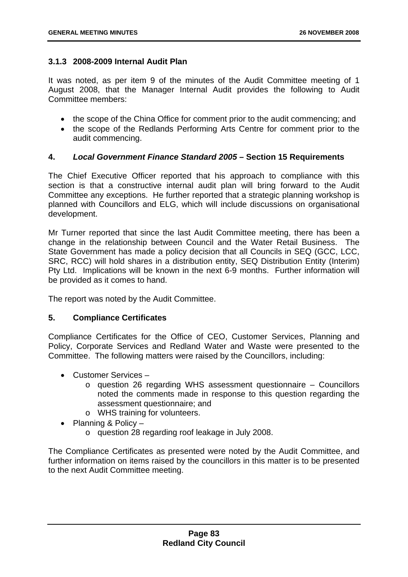# **3.1.3 2008-2009 Internal Audit Plan**

It was noted, as per item 9 of the minutes of the Audit Committee meeting of 1 August 2008, that the Manager Internal Audit provides the following to Audit Committee members:

- the scope of the China Office for comment prior to the audit commencing; and
- the scope of the Redlands Performing Arts Centre for comment prior to the audit commencing.

## **4.** *Local Government Finance Standard 2005* **– Section 15 Requirements**

The Chief Executive Officer reported that his approach to compliance with this section is that a constructive internal audit plan will bring forward to the Audit Committee any exceptions. He further reported that a strategic planning workshop is planned with Councillors and ELG, which will include discussions on organisational development.

Mr Turner reported that since the last Audit Committee meeting, there has been a change in the relationship between Council and the Water Retail Business. The State Government has made a policy decision that all Councils in SEQ (GCC, LCC, SRC, RCC) will hold shares in a distribution entity, SEQ Distribution Entity (Interim) Pty Ltd. Implications will be known in the next 6-9 months. Further information will be provided as it comes to hand.

The report was noted by the Audit Committee.

#### **5. Compliance Certificates**

Compliance Certificates for the Office of CEO, Customer Services, Planning and Policy, Corporate Services and Redland Water and Waste were presented to the Committee. The following matters were raised by the Councillors, including:

- Customer Services
	- o question 26 regarding WHS assessment questionnaire Councillors noted the comments made in response to this question regarding the assessment questionnaire; and
	- o WHS training for volunteers.
- Planning & Policy
	- o question 28 regarding roof leakage in July 2008.

The Compliance Certificates as presented were noted by the Audit Committee, and further information on items raised by the councillors in this matter is to be presented to the next Audit Committee meeting.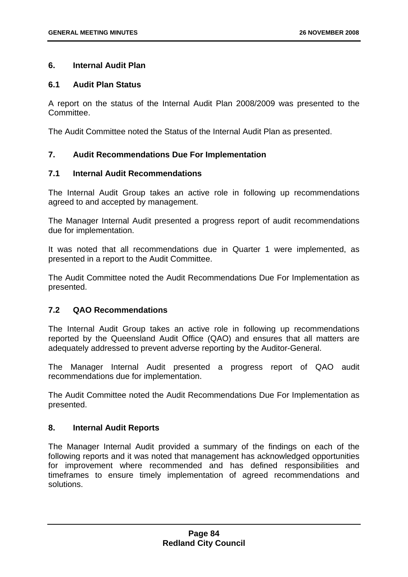## **6. Internal Audit Plan**

### **6.1 Audit Plan Status**

A report on the status of the Internal Audit Plan 2008/2009 was presented to the Committee.

The Audit Committee noted the Status of the Internal Audit Plan as presented.

# **7. Audit Recommendations Due For Implementation**

## **7.1 Internal Audit Recommendations**

The Internal Audit Group takes an active role in following up recommendations agreed to and accepted by management.

The Manager Internal Audit presented a progress report of audit recommendations due for implementation.

It was noted that all recommendations due in Quarter 1 were implemented, as presented in a report to the Audit Committee.

The Audit Committee noted the Audit Recommendations Due For Implementation as presented.

# **7.2 QAO Recommendations**

The Internal Audit Group takes an active role in following up recommendations reported by the Queensland Audit Office (QAO) and ensures that all matters are adequately addressed to prevent adverse reporting by the Auditor-General.

The Manager Internal Audit presented a progress report of QAO audit recommendations due for implementation.

The Audit Committee noted the Audit Recommendations Due For Implementation as presented.

#### **8. Internal Audit Reports**

The Manager Internal Audit provided a summary of the findings on each of the following reports and it was noted that management has acknowledged opportunities for improvement where recommended and has defined responsibilities and timeframes to ensure timely implementation of agreed recommendations and solutions.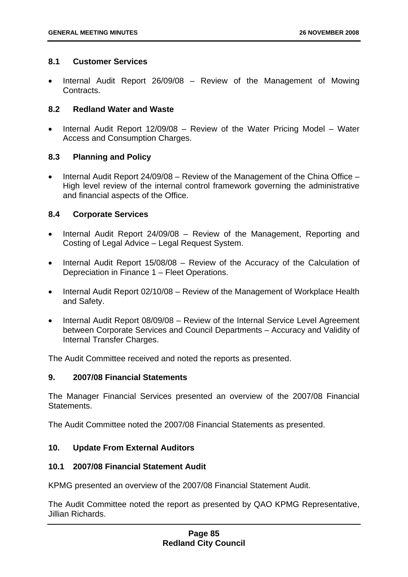### **8.1 Customer Services**

• Internal Audit Report 26/09/08 – Review of the Management of Mowing **Contracts** 

## **8.2 Redland Water and Waste**

• Internal Audit Report 12/09/08 – Review of the Water Pricing Model – Water Access and Consumption Charges.

## **8.3 Planning and Policy**

• Internal Audit Report 24/09/08 – Review of the Management of the China Office – High level review of the internal control framework governing the administrative and financial aspects of the Office.

## **8.4 Corporate Services**

- Internal Audit Report 24/09/08 Review of the Management, Reporting and Costing of Legal Advice – Legal Request System.
- Internal Audit Report 15/08/08 Review of the Accuracy of the Calculation of Depreciation in Finance 1 – Fleet Operations.
- Internal Audit Report 02/10/08 Review of the Management of Workplace Health and Safety.
- Internal Audit Report 08/09/08 Review of the Internal Service Level Agreement between Corporate Services and Council Departments – Accuracy and Validity of Internal Transfer Charges.

The Audit Committee received and noted the reports as presented.

#### **9. 2007/08 Financial Statements**

The Manager Financial Services presented an overview of the 2007/08 Financial Statements.

The Audit Committee noted the 2007/08 Financial Statements as presented.

# **10. Update From External Auditors**

#### **10.1 2007/08 Financial Statement Audit**

KPMG presented an overview of the 2007/08 Financial Statement Audit.

The Audit Committee noted the report as presented by QAO KPMG Representative, Jillian Richards.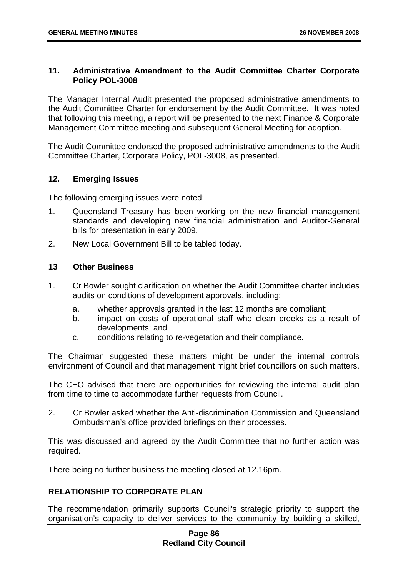## **11. Administrative Amendment to the Audit Committee Charter Corporate Policy POL-3008**

The Manager Internal Audit presented the proposed administrative amendments to the Audit Committee Charter for endorsement by the Audit Committee. It was noted that following this meeting, a report will be presented to the next Finance & Corporate Management Committee meeting and subsequent General Meeting for adoption.

The Audit Committee endorsed the proposed administrative amendments to the Audit Committee Charter, Corporate Policy, POL-3008, as presented.

## **12. Emerging Issues**

The following emerging issues were noted:

- 1. Queensland Treasury has been working on the new financial management standards and developing new financial administration and Auditor-General bills for presentation in early 2009.
- 2. New Local Government Bill to be tabled today.

## **13 Other Business**

- 1. Cr Bowler sought clarification on whether the Audit Committee charter includes audits on conditions of development approvals, including:
	- a. whether approvals granted in the last 12 months are compliant;
	- b. impact on costs of operational staff who clean creeks as a result of developments; and
	- c. conditions relating to re-vegetation and their compliance.

The Chairman suggested these matters might be under the internal controls environment of Council and that management might brief councillors on such matters.

The CEO advised that there are opportunities for reviewing the internal audit plan from time to time to accommodate further requests from Council.

2. Cr Bowler asked whether the Anti-discrimination Commission and Queensland Ombudsman's office provided briefings on their processes.

This was discussed and agreed by the Audit Committee that no further action was required.

There being no further business the meeting closed at 12.16pm.

# **RELATIONSHIP TO CORPORATE PLAN**

The recommendation primarily supports Council's strategic priority to support the organisation's capacity to deliver services to the community by building a skilled,

## **Page 86 Redland City Council**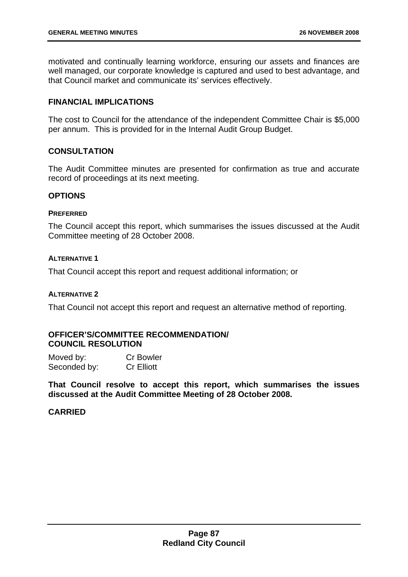motivated and continually learning workforce, ensuring our assets and finances are well managed, our corporate knowledge is captured and used to best advantage, and that Council market and communicate its' services effectively.

### **FINANCIAL IMPLICATIONS**

The cost to Council for the attendance of the independent Committee Chair is \$5,000 per annum. This is provided for in the Internal Audit Group Budget.

## **CONSULTATION**

The Audit Committee minutes are presented for confirmation as true and accurate record of proceedings at its next meeting.

#### **OPTIONS**

#### **PREFERRED**

The Council accept this report, which summarises the issues discussed at the Audit Committee meeting of 28 October 2008.

#### **ALTERNATIVE 1**

That Council accept this report and request additional information; or

#### **ALTERNATIVE 2**

That Council not accept this report and request an alternative method of reporting.

## **OFFICER'S/COMMITTEE RECOMMENDATION/ COUNCIL RESOLUTION**

| Moved by:    | <b>Cr Bowler</b>  |
|--------------|-------------------|
| Seconded by: | <b>Cr Elliott</b> |

**That Council resolve to accept this report, which summarises the issues discussed at the Audit Committee Meeting of 28 October 2008.**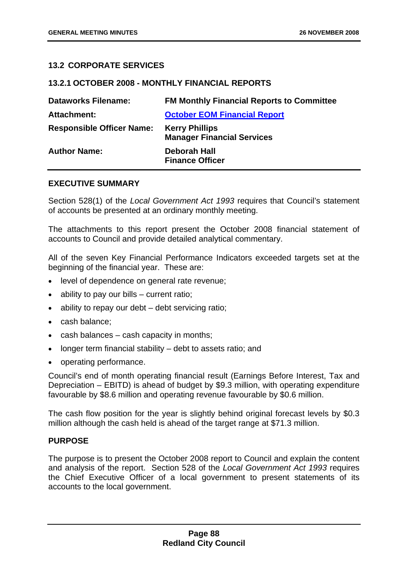## **13.2 CORPORATE SERVICES**

#### **13.2.1 OCTOBER 2008 - MONTHLY FINANCIAL REPORTS**

| <b>Dataworks Filename:</b>       | <b>FM Monthly Financial Reports to Committee</b>           |
|----------------------------------|------------------------------------------------------------|
| <b>Attachment:</b>               | <b>October EOM Financial Report</b>                        |
| <b>Responsible Officer Name:</b> | <b>Kerry Phillips</b><br><b>Manager Financial Services</b> |
| <b>Author Name:</b>              | Deborah Hall<br><b>Finance Officer</b>                     |

## **EXECUTIVE SUMMARY**

Section 528(1) of the *Local Government Act 1993* requires that Council's statement of accounts be presented at an ordinary monthly meeting.

The attachments to this report present the October 2008 financial statement of accounts to Council and provide detailed analytical commentary.

All of the seven Key Financial Performance Indicators exceeded targets set at the beginning of the financial year. These are:

- level of dependence on general rate revenue;
- ability to pay our bills  $-$  current ratio;
- ability to repay our debt debt servicing ratio;
- cash balance;
- cash balances cash capacity in months;
- longer term financial stability debt to assets ratio; and
- operating performance.

Council's end of month operating financial result (Earnings Before Interest, Tax and Depreciation – EBITD) is ahead of budget by \$9.3 million, with operating expenditure favourable by \$8.6 million and operating revenue favourable by \$0.6 million.

The cash flow position for the year is slightly behind original forecast levels by \$0.3 million although the cash held is ahead of the target range at \$71.3 million.

#### **PURPOSE**

The purpose is to present the October 2008 report to Council and explain the content and analysis of the report. Section 528 of the *Local Government Act 1993* requires the Chief Executive Officer of a local government to present statements of its accounts to the local government.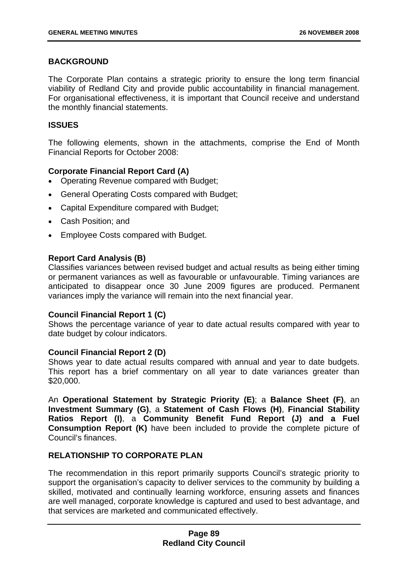## **BACKGROUND**

The Corporate Plan contains a strategic priority to ensure the long term financial viability of Redland City and provide public accountability in financial management. For organisational effectiveness, it is important that Council receive and understand the monthly financial statements.

### **ISSUES**

The following elements, shown in the attachments, comprise the End of Month Financial Reports for October 2008:

# **Corporate Financial Report Card (A)**

- Operating Revenue compared with Budget;
- General Operating Costs compared with Budget;
- Capital Expenditure compared with Budget;
- Cash Position; and
- Employee Costs compared with Budget.

#### **Report Card Analysis (B)**

Classifies variances between revised budget and actual results as being either timing or permanent variances as well as favourable or unfavourable. Timing variances are anticipated to disappear once 30 June 2009 figures are produced. Permanent variances imply the variance will remain into the next financial year.

#### **Council Financial Report 1 (C)**

Shows the percentage variance of year to date actual results compared with year to date budget by colour indicators.

#### **Council Financial Report 2 (D)**

Shows year to date actual results compared with annual and year to date budgets. This report has a brief commentary on all year to date variances greater than \$20,000.

An **Operational Statement by Strategic Priority (E)**; a **Balance Sheet (F)**, an **Investment Summary (G)**, a **Statement of Cash Flows (H)**, **Financial Stability Ratios Report (I)**, a **Community Benefit Fund Report (J) and a Fuel Consumption Report (K)** have been included to provide the complete picture of Council's finances.

## **RELATIONSHIP TO CORPORATE PLAN**

The recommendation in this report primarily supports Council's strategic priority to support the organisation's capacity to deliver services to the community by building a skilled, motivated and continually learning workforce, ensuring assets and finances are well managed, corporate knowledge is captured and used to best advantage, and that services are marketed and communicated effectively.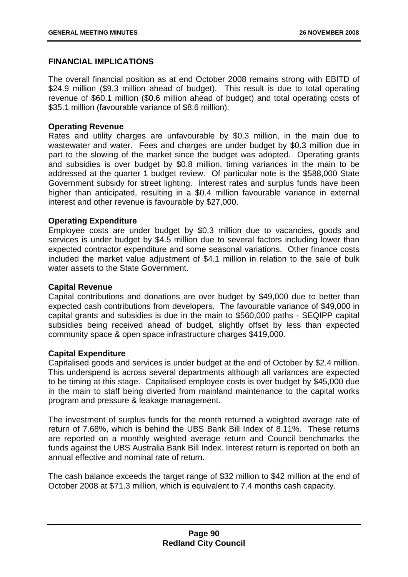### **FINANCIAL IMPLICATIONS**

The overall financial position as at end October 2008 remains strong with EBITD of \$24.9 million (\$9.3 million ahead of budget). This result is due to total operating revenue of \$60.1 million (\$0.6 million ahead of budget) and total operating costs of \$35.1 million (favourable variance of \$8.6 million).

#### **Operating Revenue**

Rates and utility charges are unfavourable by \$0.3 million, in the main due to wastewater and water. Fees and charges are under budget by \$0.3 million due in part to the slowing of the market since the budget was adopted. Operating grants and subsidies is over budget by \$0.8 million, timing variances in the main to be addressed at the quarter 1 budget review. Of particular note is the \$588,000 State Government subsidy for street lighting. Interest rates and surplus funds have been higher than anticipated, resulting in a \$0.4 million favourable variance in external interest and other revenue is favourable by \$27,000.

## **Operating Expenditure**

Employee costs are under budget by \$0.3 million due to vacancies, goods and services is under budget by \$4.5 million due to several factors including lower than expected contractor expenditure and some seasonal variations. Other finance costs included the market value adjustment of \$4.1 million in relation to the sale of bulk water assets to the State Government.

#### **Capital Revenue**

Capital contributions and donations are over budget by \$49,000 due to better than expected cash contributions from developers. The favourable variance of \$49,000 in capital grants and subsidies is due in the main to \$560,000 paths - SEQIPP capital subsidies being received ahead of budget, slightly offset by less than expected community space & open space infrastructure charges \$419,000.

#### **Capital Expenditure**

Capitalised goods and services is under budget at the end of October by \$2.4 million. This underspend is across several departments although all variances are expected to be timing at this stage. Capitalised employee costs is over budget by \$45,000 due in the main to staff being diverted from mainland maintenance to the capital works program and pressure & leakage management.

The investment of surplus funds for the month returned a weighted average rate of return of 7.68%, which is behind the UBS Bank Bill Index of 8.11%. These returns are reported on a monthly weighted average return and Council benchmarks the funds against the UBS Australia Bank Bill Index. Interest return is reported on both an annual effective and nominal rate of return.

The cash balance exceeds the target range of \$32 million to \$42 million at the end of October 2008 at \$71.3 million, which is equivalent to 7.4 months cash capacity.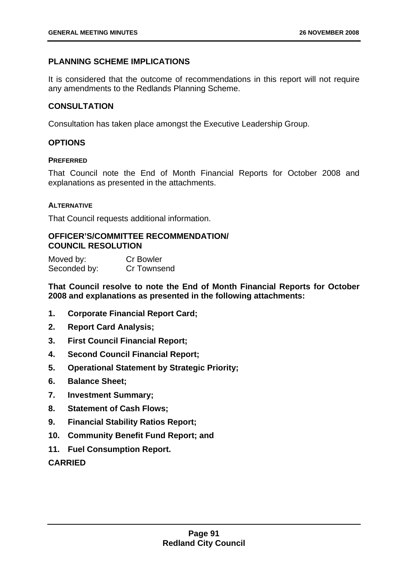# **PLANNING SCHEME IMPLICATIONS**

It is considered that the outcome of recommendations in this report will not require any amendments to the Redlands Planning Scheme.

# **CONSULTATION**

Consultation has taken place amongst the Executive Leadership Group.

### **OPTIONS**

#### **PREFERRED**

That Council note the End of Month Financial Reports for October 2008 and explanations as presented in the attachments.

#### **ALTERNATIVE**

That Council requests additional information.

### **OFFICER'S/COMMITTEE RECOMMENDATION/ COUNCIL RESOLUTION**

| Moved by:    | <b>Cr Bowler</b> |
|--------------|------------------|
| Seconded by: | Cr Townsend      |

**That Council resolve to note the End of Month Financial Reports for October 2008 and explanations as presented in the following attachments:** 

- **1. Corporate Financial Report Card;**
- **2. Report Card Analysis;**
- **3. First Council Financial Report;**
- **4. Second Council Financial Report;**
- **5. Operational Statement by Strategic Priority;**
- **6. Balance Sheet;**
- **7. Investment Summary;**
- **8. Statement of Cash Flows;**
- **9. Financial Stability Ratios Report;**
- **10. Community Benefit Fund Report; and**
- **11. Fuel Consumption Report.**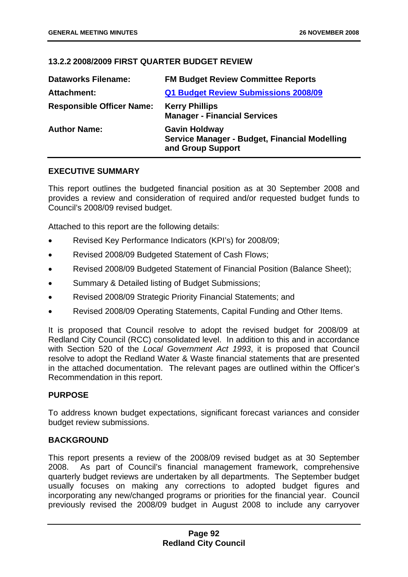## **13.2.2 2008/2009 FIRST QUARTER BUDGET REVIEW**

| <b>Dataworks Filename:</b>       | <b>FM Budget Review Committee Reports</b>                                                  |
|----------------------------------|--------------------------------------------------------------------------------------------|
| Attachment:                      | <b>Q1 Budget Review Submissions 2008/09</b>                                                |
| <b>Responsible Officer Name:</b> | <b>Kerry Phillips</b><br><b>Manager - Financial Services</b>                               |
| <b>Author Name:</b>              | <b>Gavin Holdway</b><br>Service Manager - Budget, Financial Modelling<br>and Group Support |

#### **EXECUTIVE SUMMARY**

This report outlines the budgeted financial position as at 30 September 2008 and provides a review and consideration of required and/or requested budget funds to Council's 2008/09 revised budget.

Attached to this report are the following details:

- Revised Key Performance Indicators (KPI's) for 2008/09;
- Revised 2008/09 Budgeted Statement of Cash Flows;
- Revised 2008/09 Budgeted Statement of Financial Position (Balance Sheet);
- Summary & Detailed listing of Budget Submissions;
- Revised 2008/09 Strategic Priority Financial Statements; and
- Revised 2008/09 Operating Statements, Capital Funding and Other Items.

It is proposed that Council resolve to adopt the revised budget for 2008/09 at Redland City Council (RCC) consolidated level. In addition to this and in accordance with Section 520 of the *Local Government Act 1993*, it is proposed that Council resolve to adopt the Redland Water & Waste financial statements that are presented in the attached documentation. The relevant pages are outlined within the Officer's Recommendation in this report.

#### **PURPOSE**

To address known budget expectations, significant forecast variances and consider budget review submissions.

#### **BACKGROUND**

This report presents a review of the 2008/09 revised budget as at 30 September 2008. As part of Council's financial management framework, comprehensive quarterly budget reviews are undertaken by all departments. The September budget usually focuses on making any corrections to adopted budget figures and incorporating any new/changed programs or priorities for the financial year. Council previously revised the 2008/09 budget in August 2008 to include any carryover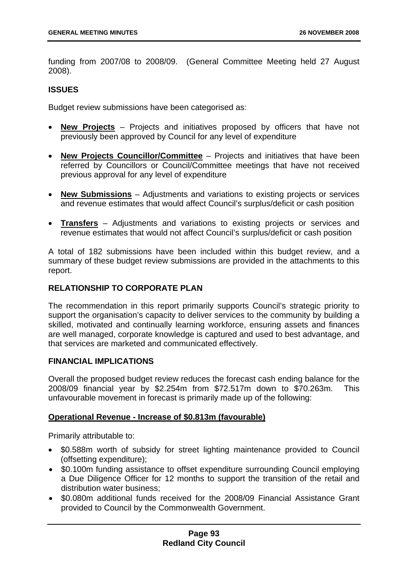funding from 2007/08 to 2008/09. (General Committee Meeting held 27 August 2008).

#### **ISSUES**

Budget review submissions have been categorised as:

- **New Projects** Projects and initiatives proposed by officers that have not previously been approved by Council for any level of expenditure
- **New Projects Councillor/Committee** Projects and initiatives that have been referred by Councillors or Council/Committee meetings that have not received previous approval for any level of expenditure
- **New Submissions** Adjustments and variations to existing projects or services and revenue estimates that would affect Council's surplus/deficit or cash position
- **Transfers** Adjustments and variations to existing projects or services and revenue estimates that would not affect Council's surplus/deficit or cash position

A total of 182 submissions have been included within this budget review, and a summary of these budget review submissions are provided in the attachments to this report.

#### **RELATIONSHIP TO CORPORATE PLAN**

The recommendation in this report primarily supports Council's strategic priority to support the organisation's capacity to deliver services to the community by building a skilled, motivated and continually learning workforce, ensuring assets and finances are well managed, corporate knowledge is captured and used to best advantage, and that services are marketed and communicated effectively.

#### **FINANCIAL IMPLICATIONS**

Overall the proposed budget review reduces the forecast cash ending balance for the 2008/09 financial year by \$2.254m from \$72.517m down to \$70.263m. This unfavourable movement in forecast is primarily made up of the following:

#### **Operational Revenue - Increase of \$0.813m (favourable)**

Primarily attributable to:

- \$0.588m worth of subsidy for street lighting maintenance provided to Council (offsetting expenditure);
- \$0.100m funding assistance to offset expenditure surrounding Council employing a Due Diligence Officer for 12 months to support the transition of the retail and distribution water business;
- \$0.080m additional funds received for the 2008/09 Financial Assistance Grant provided to Council by the Commonwealth Government.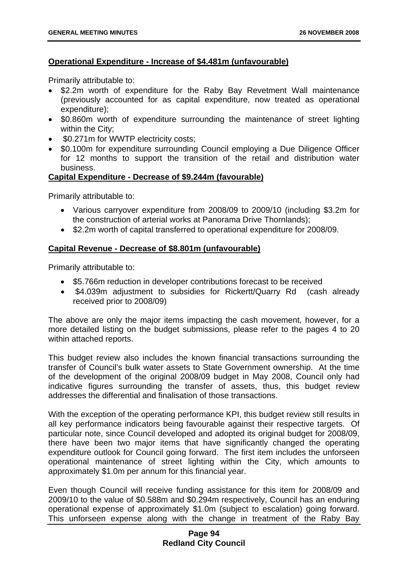### **Operational Expenditure - Increase of \$4.481m (unfavourable)**

Primarily attributable to:

- \$2.2m worth of expenditure for the Raby Bay Revetment Wall maintenance (previously accounted for as capital expenditure, now treated as operational expenditure);
- \$0.860m worth of expenditure surrounding the maintenance of street lighting within the City;
- \$0.271m for WWTP electricity costs;
- \$0.100m for expenditure surrounding Council employing a Due Diligence Officer for 12 months to support the transition of the retail and distribution water business.

## **Capital Expenditure - Decrease of \$9.244m (favourable)**

Primarily attributable to:

- Various carryover expenditure from 2008/09 to 2009/10 (including \$3.2m for the construction of arterial works at Panorama Drive Thornlands);
- \$2.2m worth of capital transferred to operational expenditure for 2008/09.

## **Capital Revenue - Decrease of \$8.801m (unfavourable)**

Primarily attributable to:

- \$5.766m reduction in developer contributions forecast to be received
- \$4.039m adjustment to subsidies for Rickertt/Quarry Rd (cash already received prior to 2008/09)

The above are only the major items impacting the cash movement, however, for a more detailed listing on the budget submissions, please refer to the pages 4 to 20 within attached reports.

This budget review also includes the known financial transactions surrounding the transfer of Council's bulk water assets to State Government ownership. At the time of the development of the original 2008/09 budget in May 2008, Council only had indicative figures surrounding the transfer of assets, thus, this budget review addresses the differential and finalisation of those transactions.

With the exception of the operating performance KPI, this budget review still results in all key performance indicators being favourable against their respective targets. Of particular note, since Council developed and adopted its original budget for 2008/09, there have been two major items that have significantly changed the operating expenditure outlook for Council going forward. The first item includes the unforseen operational maintenance of street lighting within the City, which amounts to approximately \$1.0m per annum for this financial year.

Even though Council will receive funding assistance for this item for 2008/09 and 2009/10 to the value of \$0.588m and \$0.294m respectively, Council has an enduring operational expense of approximately \$1.0m (subject to escalation) going forward. This unforseen expense along with the change in treatment of the Raby Bay

## **Page 94 Redland City Council**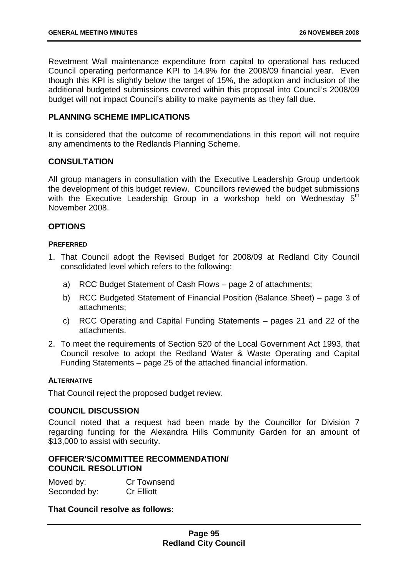Revetment Wall maintenance expenditure from capital to operational has reduced Council operating performance KPI to 14.9% for the 2008/09 financial year. Even though this KPI is slightly below the target of 15%, the adoption and inclusion of the additional budgeted submissions covered within this proposal into Council's 2008/09 budget will not impact Council's ability to make payments as they fall due.

# **PLANNING SCHEME IMPLICATIONS**

It is considered that the outcome of recommendations in this report will not require any amendments to the Redlands Planning Scheme.

## **CONSULTATION**

All group managers in consultation with the Executive Leadership Group undertook the development of this budget review. Councillors reviewed the budget submissions with the Executive Leadership Group in a workshop held on Wednesday  $5<sup>th</sup>$ November 2008.

# **OPTIONS**

#### **PREFERRED**

- 1. That Council adopt the Revised Budget for 2008/09 at Redland City Council consolidated level which refers to the following:
	- a) RCC Budget Statement of Cash Flows page 2 of attachments;
	- b) RCC Budgeted Statement of Financial Position (Balance Sheet) page 3 of attachments;
	- c) RCC Operating and Capital Funding Statements pages 21 and 22 of the attachments.
- 2. To meet the requirements of Section 520 of the Local Government Act 1993, that Council resolve to adopt the Redland Water & Waste Operating and Capital Funding Statements – page 25 of the attached financial information.

#### **ALTERNATIVE**

That Council reject the proposed budget review.

### **COUNCIL DISCUSSION**

Council noted that a request had been made by the Councillor for Division 7 regarding funding for the Alexandra Hills Community Garden for an amount of \$13,000 to assist with security.

#### **OFFICER'S/COMMITTEE RECOMMENDATION/ COUNCIL RESOLUTION**

| Moved by:    | Cr Townsend       |
|--------------|-------------------|
| Seconded by: | <b>Cr Elliott</b> |

# **That Council resolve as follows:**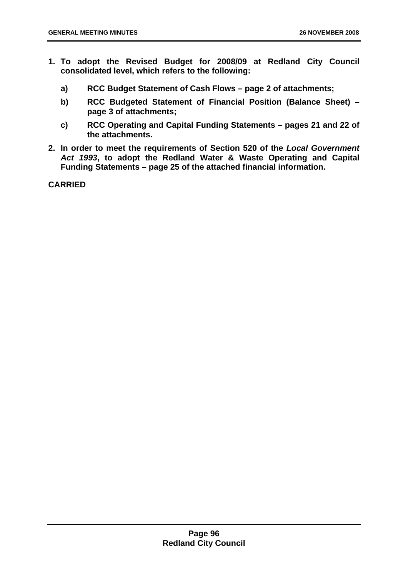- **1. To adopt the Revised Budget for 2008/09 at Redland City Council consolidated level, which refers to the following:** 
	- **a) RCC Budget Statement of Cash Flows page 2 of attachments;**
	- **b) RCC Budgeted Statement of Financial Position (Balance Sheet) page 3 of attachments;**
	- **c) RCC Operating and Capital Funding Statements pages 21 and 22 of the attachments.**
- **2. In order to meet the requirements of Section 520 of the** *Local Government Act 1993***, to adopt the Redland Water & Waste Operating and Capital Funding Statements – page 25 of the attached financial information.**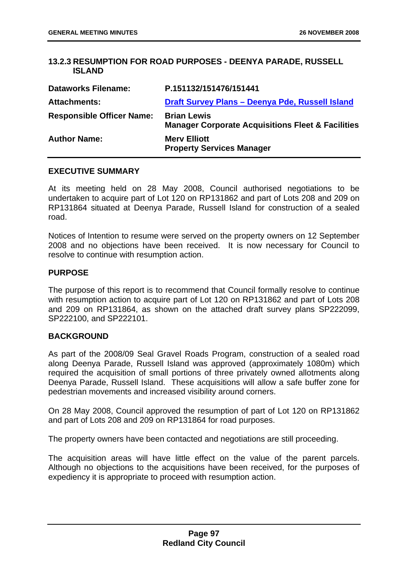# **13.2.3 RESUMPTION FOR ROAD PURPOSES - DEENYA PARADE, RUSSELL ISLAND**

| <b>Dataworks Filename:</b>       | P.151132/151476/151441                                                             |
|----------------------------------|------------------------------------------------------------------------------------|
| <b>Attachments:</b>              | Draft Survey Plans - Deenya Pde, Russell Island                                    |
| <b>Responsible Officer Name:</b> | <b>Brian Lewis</b><br><b>Manager Corporate Acquisitions Fleet &amp; Facilities</b> |
| <b>Author Name:</b>              | <b>Mery Elliott</b><br><b>Property Services Manager</b>                            |

#### **EXECUTIVE SUMMARY**

At its meeting held on 28 May 2008, Council authorised negotiations to be undertaken to acquire part of Lot 120 on RP131862 and part of Lots 208 and 209 on RP131864 situated at Deenya Parade, Russell Island for construction of a sealed road.

Notices of Intention to resume were served on the property owners on 12 September 2008 and no objections have been received. It is now necessary for Council to resolve to continue with resumption action.

#### **PURPOSE**

The purpose of this report is to recommend that Council formally resolve to continue with resumption action to acquire part of Lot 120 on RP131862 and part of Lots 208 and 209 on RP131864, as shown on the attached draft survey plans SP222099, SP222100, and SP222101.

#### **BACKGROUND**

As part of the 2008/09 Seal Gravel Roads Program, construction of a sealed road along Deenya Parade, Russell Island was approved (approximately 1080m) which required the acquisition of small portions of three privately owned allotments along Deenya Parade, Russell Island. These acquisitions will allow a safe buffer zone for pedestrian movements and increased visibility around corners.

On 28 May 2008, Council approved the resumption of part of Lot 120 on RP131862 and part of Lots 208 and 209 on RP131864 for road purposes.

The property owners have been contacted and negotiations are still proceeding.

The acquisition areas will have little effect on the value of the parent parcels. Although no objections to the acquisitions have been received, for the purposes of expediency it is appropriate to proceed with resumption action.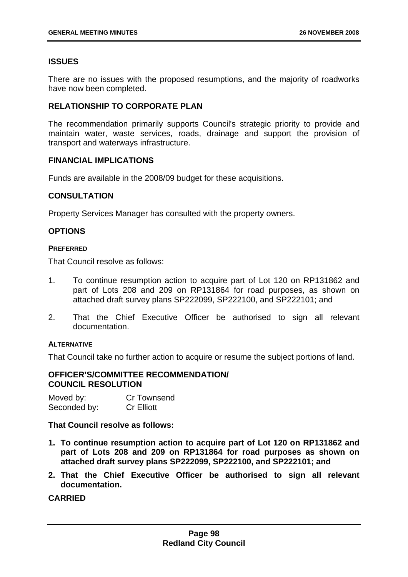## **ISSUES**

There are no issues with the proposed resumptions, and the majority of roadworks have now been completed.

### **RELATIONSHIP TO CORPORATE PLAN**

The recommendation primarily supports Council's strategic priority to provide and maintain water, waste services, roads, drainage and support the provision of transport and waterways infrastructure.

#### **FINANCIAL IMPLICATIONS**

Funds are available in the 2008/09 budget for these acquisitions.

#### **CONSULTATION**

Property Services Manager has consulted with the property owners.

## **OPTIONS**

#### **PREFERRED**

That Council resolve as follows:

- 1. To continue resumption action to acquire part of Lot 120 on RP131862 and part of Lots 208 and 209 on RP131864 for road purposes, as shown on attached draft survey plans SP222099, SP222100, and SP222101; and
- 2. That the Chief Executive Officer be authorised to sign all relevant documentation.

#### **ALTERNATIVE**

That Council take no further action to acquire or resume the subject portions of land.

### **OFFICER'S/COMMITTEE RECOMMENDATION/ COUNCIL RESOLUTION**

Moved by: Cr Townsend Seconded by: Cr Elliott

**That Council resolve as follows:** 

- **1. To continue resumption action to acquire part of Lot 120 on RP131862 and part of Lots 208 and 209 on RP131864 for road purposes as shown on attached draft survey plans SP222099, SP222100, and SP222101; and**
- **2. That the Chief Executive Officer be authorised to sign all relevant documentation.**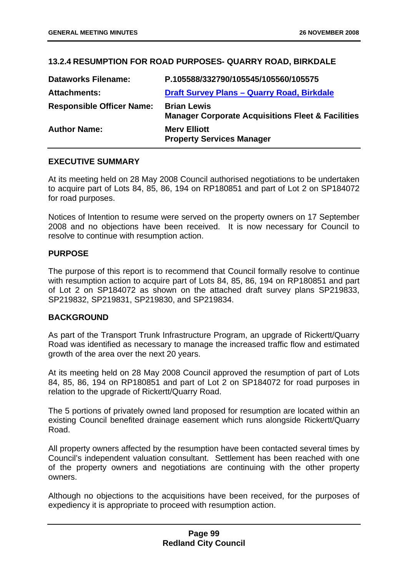# **13.2.4 RESUMPTION FOR ROAD PURPOSES- QUARRY ROAD, BIRKDALE**

| <b>Dataworks Filename:</b>       | P.105588/332790/105545/105560/105575                                               |
|----------------------------------|------------------------------------------------------------------------------------|
| <b>Attachments:</b>              | <b>Draft Survey Plans - Quarry Road, Birkdale</b>                                  |
| <b>Responsible Officer Name:</b> | <b>Brian Lewis</b><br><b>Manager Corporate Acquisitions Fleet &amp; Facilities</b> |
| <b>Author Name:</b>              | <b>Mery Elliott</b><br><b>Property Services Manager</b>                            |

## **EXECUTIVE SUMMARY**

At its meeting held on 28 May 2008 Council authorised negotiations to be undertaken to acquire part of Lots 84, 85, 86, 194 on RP180851 and part of Lot 2 on SP184072 for road purposes.

Notices of Intention to resume were served on the property owners on 17 September 2008 and no objections have been received. It is now necessary for Council to resolve to continue with resumption action.

## **PURPOSE**

The purpose of this report is to recommend that Council formally resolve to continue with resumption action to acquire part of Lots 84, 85, 86, 194 on RP180851 and part of Lot 2 on SP184072 as shown on the attached draft survey plans SP219833, SP219832, SP219831, SP219830, and SP219834.

#### **BACKGROUND**

As part of the Transport Trunk Infrastructure Program, an upgrade of Rickertt/Quarry Road was identified as necessary to manage the increased traffic flow and estimated growth of the area over the next 20 years.

At its meeting held on 28 May 2008 Council approved the resumption of part of Lots 84, 85, 86, 194 on RP180851 and part of Lot 2 on SP184072 for road purposes in relation to the upgrade of Rickertt/Quarry Road.

The 5 portions of privately owned land proposed for resumption are located within an existing Council benefited drainage easement which runs alongside Rickertt/Quarry Road.

All property owners affected by the resumption have been contacted several times by Council's independent valuation consultant. Settlement has been reached with one of the property owners and negotiations are continuing with the other property owners.

Although no objections to the acquisitions have been received, for the purposes of expediency it is appropriate to proceed with resumption action.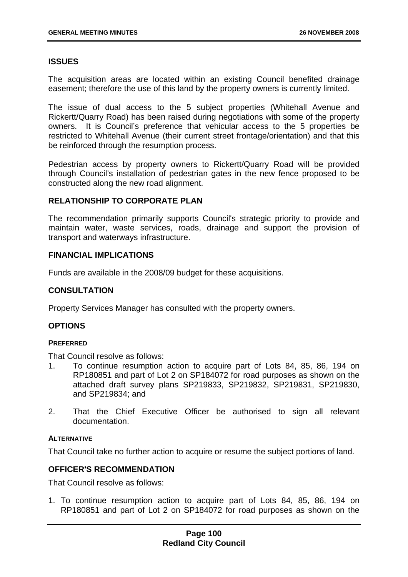## **ISSUES**

The acquisition areas are located within an existing Council benefited drainage easement; therefore the use of this land by the property owners is currently limited.

The issue of dual access to the 5 subject properties (Whitehall Avenue and Rickertt/Quarry Road) has been raised during negotiations with some of the property owners. It is Council's preference that vehicular access to the 5 properties be restricted to Whitehall Avenue (their current street frontage/orientation) and that this be reinforced through the resumption process.

Pedestrian access by property owners to Rickertt/Quarry Road will be provided through Council's installation of pedestrian gates in the new fence proposed to be constructed along the new road alignment.

## **RELATIONSHIP TO CORPORATE PLAN**

The recommendation primarily supports Council's strategic priority to provide and maintain water, waste services, roads, drainage and support the provision of transport and waterways infrastructure.

#### **FINANCIAL IMPLICATIONS**

Funds are available in the 2008/09 budget for these acquisitions.

### **CONSULTATION**

Property Services Manager has consulted with the property owners.

#### **OPTIONS**

#### **PREFERRED**

That Council resolve as follows:

- 1. To continue resumption action to acquire part of Lots 84, 85, 86, 194 on RP180851 and part of Lot 2 on SP184072 for road purposes as shown on the attached draft survey plans SP219833, SP219832, SP219831, SP219830, and SP219834; and
- 2. That the Chief Executive Officer be authorised to sign all relevant documentation.

#### **ALTERNATIVE**

That Council take no further action to acquire or resume the subject portions of land.

#### **OFFICER'S RECOMMENDATION**

That Council resolve as follows:

1. To continue resumption action to acquire part of Lots 84, 85, 86, 194 on RP180851 and part of Lot 2 on SP184072 for road purposes as shown on the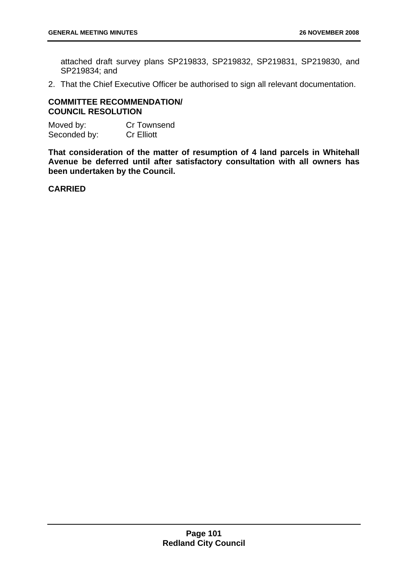attached draft survey plans SP219833, SP219832, SP219831, SP219830, and SP219834; and

2. That the Chief Executive Officer be authorised to sign all relevant documentation.

# **COMMITTEE RECOMMENDATION/ COUNCIL RESOLUTION**

Moved by: Cr Townsend Seconded by: Cr Elliott

**That consideration of the matter of resumption of 4 land parcels in Whitehall Avenue be deferred until after satisfactory consultation with all owners has been undertaken by the Council.**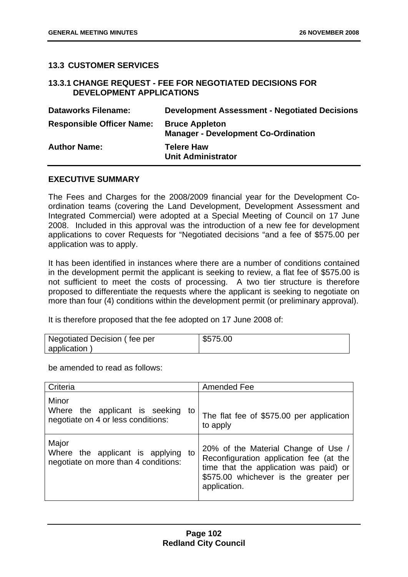## **13.3 CUSTOMER SERVICES**

### **13.3.1 CHANGE REQUEST - FEE FOR NEGOTIATED DECISIONS FOR DEVELOPMENT APPLICATIONS**

| <b>Dataworks Filename:</b>       | <b>Development Assessment - Negotiated Decisions</b>                |
|----------------------------------|---------------------------------------------------------------------|
| <b>Responsible Officer Name:</b> | <b>Bruce Appleton</b><br><b>Manager - Development Co-Ordination</b> |
| <b>Author Name:</b>              | <b>Telere Haw</b><br><b>Unit Administrator</b>                      |

#### **EXECUTIVE SUMMARY**

The Fees and Charges for the 2008/2009 financial year for the Development Coordination teams (covering the Land Development, Development Assessment and Integrated Commercial) were adopted at a Special Meeting of Council on 17 June 2008. Included in this approval was the introduction of a new fee for development applications to cover Requests for "Negotiated decisions "and a fee of \$575.00 per application was to apply.

It has been identified in instances where there are a number of conditions contained in the development permit the applicant is seeking to review, a flat fee of \$575.00 is not sufficient to meet the costs of processing. A two tier structure is therefore proposed to differentiate the requests where the applicant is seeking to negotiate on more than four (4) conditions within the development permit (or preliminary approval).

It is therefore proposed that the fee adopted on 17 June 2008 of:

| Negotiated Decision (fee per | \$575.00 |
|------------------------------|----------|
| application,                 |          |

be amended to read as follows:

| Criteria                                                                            | Amended Fee                                                                                                                                                                       |
|-------------------------------------------------------------------------------------|-----------------------------------------------------------------------------------------------------------------------------------------------------------------------------------|
| Minor<br>Where the applicant is seeking<br>to<br>negotiate on 4 or less conditions: | The flat fee of \$575.00 per application<br>to apply                                                                                                                              |
| Major<br>Where the applicant is applying to<br>negotiate on more than 4 conditions: | 20% of the Material Change of Use /<br>Reconfiguration application fee (at the<br>time that the application was paid) or<br>\$575.00 whichever is the greater per<br>application. |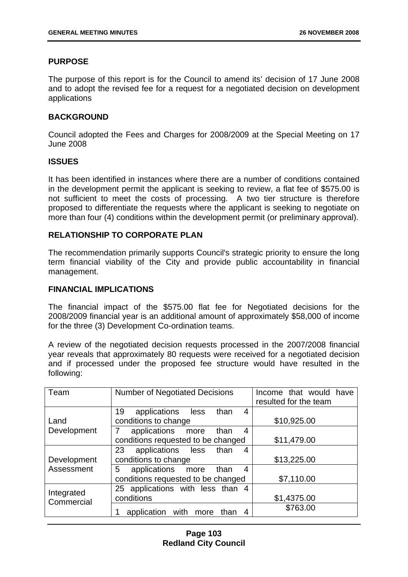### **PURPOSE**

The purpose of this report is for the Council to amend its' decision of 17 June 2008 and to adopt the revised fee for a request for a negotiated decision on development applications

## **BACKGROUND**

Council adopted the Fees and Charges for 2008/2009 at the Special Meeting on 17 June 2008

### **ISSUES**

It has been identified in instances where there are a number of conditions contained in the development permit the applicant is seeking to review, a flat fee of \$575.00 is not sufficient to meet the costs of processing. A two tier structure is therefore proposed to differentiate the requests where the applicant is seeking to negotiate on more than four (4) conditions within the development permit (or preliminary approval).

## **RELATIONSHIP TO CORPORATE PLAN**

The recommendation primarily supports Council's strategic priority to ensure the long term financial viability of the City and provide public accountability in financial management.

#### **FINANCIAL IMPLICATIONS**

The financial impact of the \$575.00 flat fee for Negotiated decisions for the 2008/2009 financial year is an additional amount of approximately \$58,000 of income for the three (3) Development Co-ordination teams.

A review of the negotiated decision requests processed in the 2007/2008 financial year reveals that approximately 80 requests were received for a negotiated decision and if processed under the proposed fee structure would have resulted in the following:

| Team                                           | <b>Number of Negotiated Decisions</b><br>Income that would have<br>resulted for the team |
|------------------------------------------------|------------------------------------------------------------------------------------------|
|                                                | 19<br>applications<br>than<br>4<br>less                                                  |
| Land                                           | conditions to change<br>\$10,925.00                                                      |
| Development                                    | applications<br>than<br>4<br>more                                                        |
|                                                | conditions requested to be changed<br>\$11,479.00                                        |
|                                                | 23<br>applications less<br>than<br>4                                                     |
| Development                                    | conditions to change<br>\$13,225.00                                                      |
| Assessment                                     | 5<br>applications<br>than<br>4<br>more                                                   |
|                                                | conditions requested to be changed<br>\$7,110.00                                         |
| 25 applications with less than 4<br>Integrated |                                                                                          |
| Commercial                                     | conditions<br>\$1,4375.00                                                                |
|                                                | \$763.00<br>with<br>application<br>than<br>4<br>more                                     |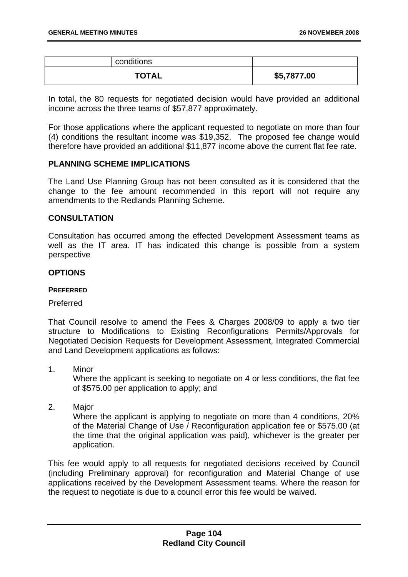| conditions   |             |
|--------------|-------------|
| <b>TOTAL</b> | \$5,7877.00 |

In total, the 80 requests for negotiated decision would have provided an additional income across the three teams of \$57,877 approximately.

For those applications where the applicant requested to negotiate on more than four (4) conditions the resultant income was \$19,352. The proposed fee change would therefore have provided an additional \$11,877 income above the current flat fee rate.

### **PLANNING SCHEME IMPLICATIONS**

The Land Use Planning Group has not been consulted as it is considered that the change to the fee amount recommended in this report will not require any amendments to the Redlands Planning Scheme.

### **CONSULTATION**

Consultation has occurred among the effected Development Assessment teams as well as the IT area. IT has indicated this change is possible from a system perspective

### **OPTIONS**

### **PREFERRED**

Preferred

That Council resolve to amend the Fees & Charges 2008/09 to apply a two tier structure to Modifications to Existing Reconfigurations Permits/Approvals for Negotiated Decision Requests for Development Assessment, Integrated Commercial and Land Development applications as follows:

1. Minor

Where the applicant is seeking to negotiate on 4 or less conditions, the flat fee of \$575.00 per application to apply; and

2. Major

Where the applicant is applying to negotiate on more than 4 conditions, 20% of the Material Change of Use / Reconfiguration application fee or \$575.00 (at the time that the original application was paid), whichever is the greater per application.

This fee would apply to all requests for negotiated decisions received by Council (including Preliminary approval) for reconfiguration and Material Change of use applications received by the Development Assessment teams. Where the reason for the request to negotiate is due to a council error this fee would be waived.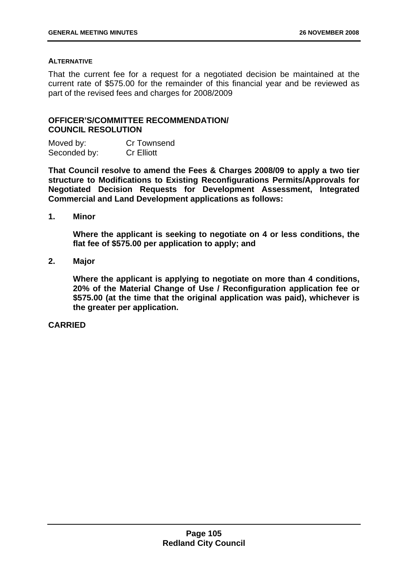#### **ALTERNATIVE**

That the current fee for a request for a negotiated decision be maintained at the current rate of \$575.00 for the remainder of this financial year and be reviewed as part of the revised fees and charges for 2008/2009

## **OFFICER'S/COMMITTEE RECOMMENDATION/ COUNCIL RESOLUTION**

| Moved by:    | Cr Townsend       |
|--------------|-------------------|
| Seconded by: | <b>Cr Elliott</b> |

**That Council resolve to amend the Fees & Charges 2008/09 to apply a two tier structure to Modifications to Existing Reconfigurations Permits/Approvals for Negotiated Decision Requests for Development Assessment, Integrated Commercial and Land Development applications as follows:** 

**1. Minor** 

**Where the applicant is seeking to negotiate on 4 or less conditions, the flat fee of \$575.00 per application to apply; and** 

**2. Major** 

**Where the applicant is applying to negotiate on more than 4 conditions, 20% of the Material Change of Use / Reconfiguration application fee or \$575.00 (at the time that the original application was paid), whichever is the greater per application.**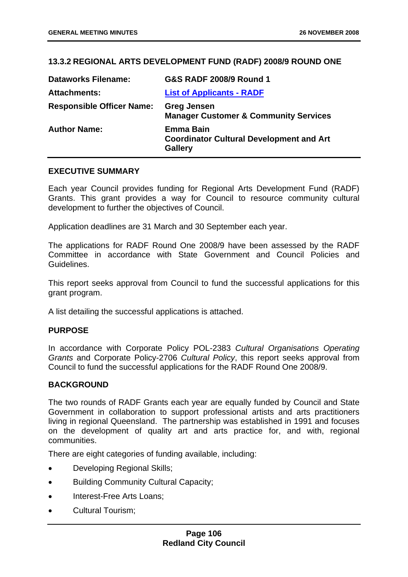### **13.3.2 REGIONAL ARTS DEVELOPMENT FUND (RADF) 2008/9 ROUND ONE**

| <b>Dataworks Filename:</b>       | G&S RADF 2008/9 Round 1                                                               |
|----------------------------------|---------------------------------------------------------------------------------------|
| <b>Attachments:</b>              | <b>List of Applicants - RADF</b>                                                      |
| <b>Responsible Officer Name:</b> | <b>Greg Jensen</b><br><b>Manager Customer &amp; Community Services</b>                |
| <b>Author Name:</b>              | <b>Emma Bain</b><br><b>Coordinator Cultural Development and Art</b><br><b>Gallery</b> |

#### **EXECUTIVE SUMMARY**

Each year Council provides funding for Regional Arts Development Fund (RADF) Grants. This grant provides a way for Council to resource community cultural development to further the objectives of Council.

Application deadlines are 31 March and 30 September each year.

The applications for RADF Round One 2008/9 have been assessed by the RADF Committee in accordance with State Government and Council Policies and Guidelines.

This report seeks approval from Council to fund the successful applications for this grant program.

A list detailing the successful applications is attached.

### **PURPOSE**

In accordance with Corporate Policy POL-2383 *Cultural Organisations Operating Grants* and Corporate Policy-2706 *Cultural Policy*, this report seeks approval from Council to fund the successful applications for the RADF Round One 2008/9.

### **BACKGROUND**

The two rounds of RADF Grants each year are equally funded by Council and State Government in collaboration to support professional artists and arts practitioners living in regional Queensland. The partnership was established in 1991 and focuses on the development of quality art and arts practice for, and with, regional communities.

There are eight categories of funding available, including:

- Developing Regional Skills;
- Building Community Cultural Capacity;
- Interest-Free Arts Loans;
- Cultural Tourism;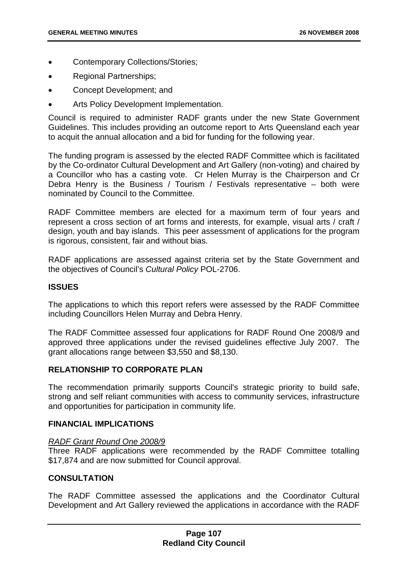- Contemporary Collections/Stories;
- Regional Partnerships;
- Concept Development; and
- Arts Policy Development Implementation.

Council is required to administer RADF grants under the new State Government Guidelines. This includes providing an outcome report to Arts Queensland each year to acquit the annual allocation and a bid for funding for the following year.

The funding program is assessed by the elected RADF Committee which is facilitated by the Co-ordinator Cultural Development and Art Gallery (non-voting) and chaired by a Councillor who has a casting vote. Cr Helen Murray is the Chairperson and Cr Debra Henry is the Business / Tourism / Festivals representative – both were nominated by Council to the Committee.

RADF Committee members are elected for a maximum term of four years and represent a cross section of art forms and interests, for example, visual arts / craft / design, youth and bay islands. This peer assessment of applications for the program is rigorous, consistent, fair and without bias.

RADF applications are assessed against criteria set by the State Government and the objectives of Council's *Cultural Policy* POL-2706.

### **ISSUES**

The applications to which this report refers were assessed by the RADF Committee including Councillors Helen Murray and Debra Henry.

The RADF Committee assessed four applications for RADF Round One 2008/9 and approved three applications under the revised guidelines effective July 2007. The grant allocations range between \$3,550 and \$8,130.

### **RELATIONSHIP TO CORPORATE PLAN**

The recommendation primarily supports Council's strategic priority to build safe, strong and self reliant communities with access to community services, infrastructure and opportunities for participation in community life.

### **FINANCIAL IMPLICATIONS**

### *RADF Grant Round One 2008/9*

Three RADF applications were recommended by the RADF Committee totalling \$17,874 and are now submitted for Council approval.

### **CONSULTATION**

The RADF Committee assessed the applications and the Coordinator Cultural Development and Art Gallery reviewed the applications in accordance with the RADF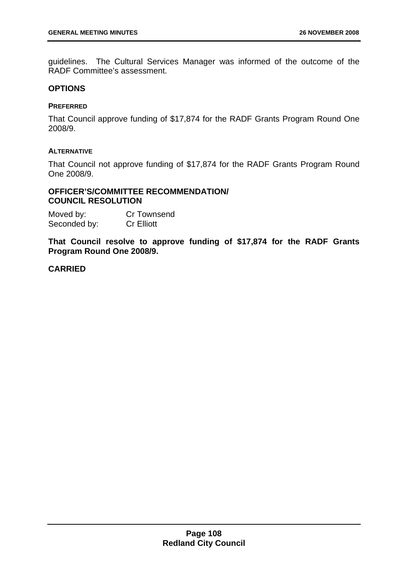guidelines. The Cultural Services Manager was informed of the outcome of the RADF Committee's assessment.

### **OPTIONS**

#### **PREFERRED**

That Council approve funding of \$17,874 for the RADF Grants Program Round One 2008/9.

#### **ALTERNATIVE**

That Council not approve funding of \$17,874 for the RADF Grants Program Round One 2008/9.

## **OFFICER'S/COMMITTEE RECOMMENDATION/ COUNCIL RESOLUTION**

| Moved by:    | Cr Townsend       |
|--------------|-------------------|
| Seconded by: | <b>Cr Elliott</b> |

**That Council resolve to approve funding of \$17,874 for the RADF Grants Program Round One 2008/9.**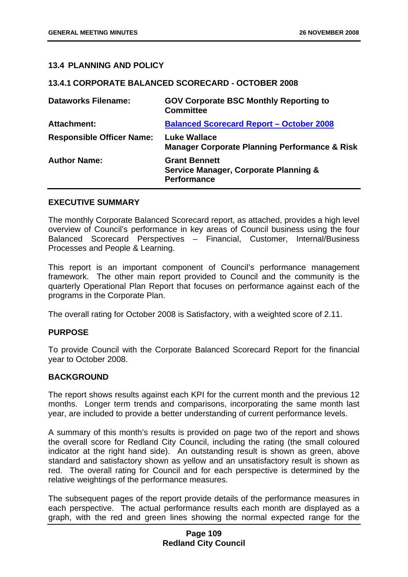### **13.4 PLANNING AND POLICY**

### **13.4.1 CORPORATE BALANCED SCORECARD - OCTOBER 2008**

| <b>Dataworks Filename:</b>       | <b>GOV Corporate BSC Monthly Reporting to</b><br><b>Committee</b>                   |
|----------------------------------|-------------------------------------------------------------------------------------|
| <b>Attachment:</b>               | <b>Balanced Scorecard Report - October 2008</b>                                     |
| <b>Responsible Officer Name:</b> | <b>Luke Wallace</b><br><b>Manager Corporate Planning Performance &amp; Risk</b>     |
| <b>Author Name:</b>              | <b>Grant Bennett</b><br>Service Manager, Corporate Planning &<br><b>Performance</b> |

#### **EXECUTIVE SUMMARY**

The monthly Corporate Balanced Scorecard report, as attached, provides a high level overview of Council's performance in key areas of Council business using the four Balanced Scorecard Perspectives – Financial, Customer, Internal/Business Processes and People & Learning.

This report is an important component of Council's performance management framework. The other main report provided to Council and the community is the quarterly Operational Plan Report that focuses on performance against each of the programs in the Corporate Plan.

The overall rating for October 2008 is Satisfactory, with a weighted score of 2.11.

### **PURPOSE**

To provide Council with the Corporate Balanced Scorecard Report for the financial year to October 2008.

### **BACKGROUND**

The report shows results against each KPI for the current month and the previous 12 months. Longer term trends and comparisons, incorporating the same month last year, are included to provide a better understanding of current performance levels.

A summary of this month's results is provided on page two of the report and shows the overall score for Redland City Council, including the rating (the small coloured indicator at the right hand side). An outstanding result is shown as green, above standard and satisfactory shown as yellow and an unsatisfactory result is shown as red. The overall rating for Council and for each perspective is determined by the relative weightings of the performance measures.

The subsequent pages of the report provide details of the performance measures in each perspective. The actual performance results each month are displayed as a graph, with the red and green lines showing the normal expected range for the

## **Page 109 Redland City Council**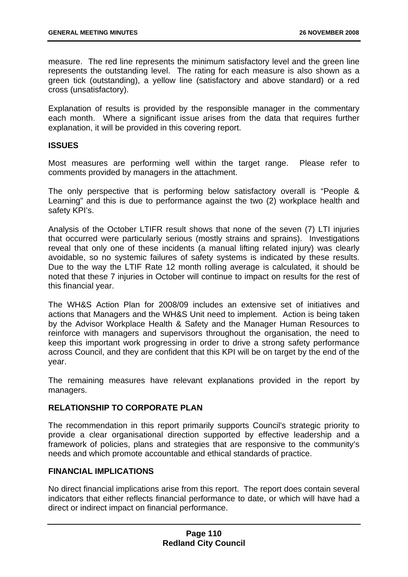measure. The red line represents the minimum satisfactory level and the green line represents the outstanding level. The rating for each measure is also shown as a green tick (outstanding), a yellow line (satisfactory and above standard) or a red cross (unsatisfactory).

Explanation of results is provided by the responsible manager in the commentary each month. Where a significant issue arises from the data that requires further explanation, it will be provided in this covering report.

### **ISSUES**

Most measures are performing well within the target range. Please refer to comments provided by managers in the attachment.

The only perspective that is performing below satisfactory overall is "People & Learning" and this is due to performance against the two (2) workplace health and safety KPI's.

Analysis of the October LTIFR result shows that none of the seven (7) LTI injuries that occurred were particularly serious (mostly strains and sprains). Investigations reveal that only one of these incidents (a manual lifting related injury) was clearly avoidable, so no systemic failures of safety systems is indicated by these results. Due to the way the LTIF Rate 12 month rolling average is calculated, it should be noted that these 7 injuries in October will continue to impact on results for the rest of this financial year.

The WH&S Action Plan for 2008/09 includes an extensive set of initiatives and actions that Managers and the WH&S Unit need to implement. Action is being taken by the Advisor Workplace Health & Safety and the Manager Human Resources to reinforce with managers and supervisors throughout the organisation, the need to keep this important work progressing in order to drive a strong safety performance across Council, and they are confident that this KPI will be on target by the end of the year.

The remaining measures have relevant explanations provided in the report by managers.

### **RELATIONSHIP TO CORPORATE PLAN**

The recommendation in this report primarily supports Council's strategic priority to provide a clear organisational direction supported by effective leadership and a framework of policies, plans and strategies that are responsive to the community's needs and which promote accountable and ethical standards of practice.

### **FINANCIAL IMPLICATIONS**

No direct financial implications arise from this report. The report does contain several indicators that either reflects financial performance to date, or which will have had a direct or indirect impact on financial performance.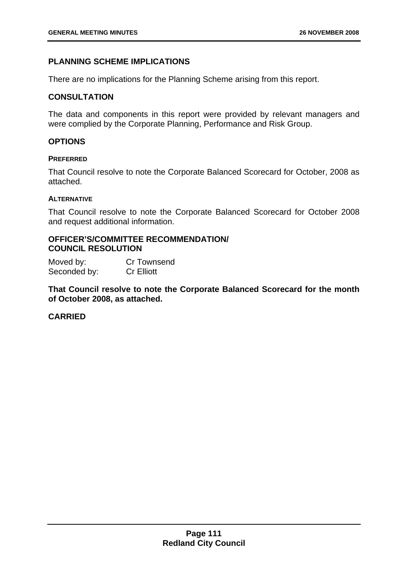## **PLANNING SCHEME IMPLICATIONS**

There are no implications for the Planning Scheme arising from this report.

## **CONSULTATION**

The data and components in this report were provided by relevant managers and were complied by the Corporate Planning, Performance and Risk Group.

### **OPTIONS**

#### **PREFERRED**

That Council resolve to note the Corporate Balanced Scorecard for October, 2008 as attached.

#### **ALTERNATIVE**

That Council resolve to note the Corporate Balanced Scorecard for October 2008 and request additional information.

### **OFFICER'S/COMMITTEE RECOMMENDATION/ COUNCIL RESOLUTION**

Moved by: Cr Townsend Seconded by: Cr Elliott

**That Council resolve to note the Corporate Balanced Scorecard for the month of October 2008, as attached.**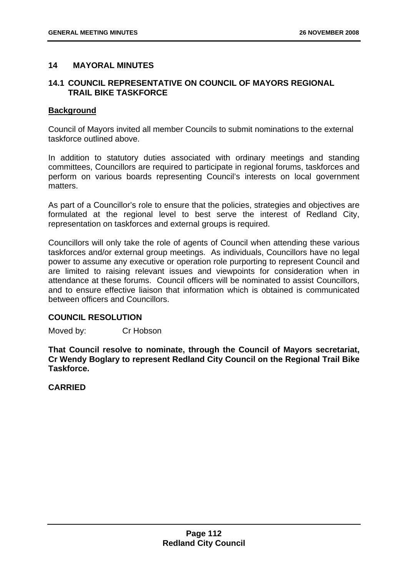### **14 MAYORAL MINUTES**

## **14.1 COUNCIL REPRESENTATIVE ON COUNCIL OF MAYORS REGIONAL TRAIL BIKE TASKFORCE**

### **Background**

Council of Mayors invited all member Councils to submit nominations to the external taskforce outlined above.

In addition to statutory duties associated with ordinary meetings and standing committees, Councillors are required to participate in regional forums, taskforces and perform on various boards representing Council's interests on local government matters.

As part of a Councillor's role to ensure that the policies, strategies and objectives are formulated at the regional level to best serve the interest of Redland City, representation on taskforces and external groups is required.

Councillors will only take the role of agents of Council when attending these various taskforces and/or external group meetings. As individuals, Councillors have no legal power to assume any executive or operation role purporting to represent Council and are limited to raising relevant issues and viewpoints for consideration when in attendance at these forums. Council officers will be nominated to assist Councillors, and to ensure effective liaison that information which is obtained is communicated between officers and Councillors.

### **COUNCIL RESOLUTION**

Moved by: Cr Hobson

**That Council resolve to nominate, through the Council of Mayors secretariat, Cr Wendy Boglary to represent Redland City Council on the Regional Trail Bike Taskforce.**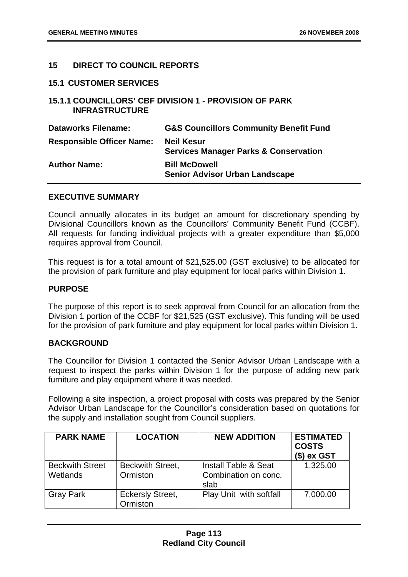## **15 DIRECT TO COUNCIL REPORTS**

#### **15.1 CUSTOMER SERVICES**

### **15.1.1 COUNCILLORS' CBF DIVISION 1 - PROVISION OF PARK INFRASTRUCTURE**

| <b>Dataworks Filename:</b>       | <b>G&amp;S Councillors Community Benefit Fund</b>                     |
|----------------------------------|-----------------------------------------------------------------------|
| <b>Responsible Officer Name:</b> | <b>Neil Kesur</b><br><b>Services Manager Parks &amp; Conservation</b> |
| <b>Author Name:</b>              | <b>Bill McDowell</b><br><b>Senior Advisor Urban Landscape</b>         |

#### **EXECUTIVE SUMMARY**

Council annually allocates in its budget an amount for discretionary spending by Divisional Councillors known as the Councillors' Community Benefit Fund (CCBF). All requests for funding individual projects with a greater expenditure than \$5,000 requires approval from Council.

This request is for a total amount of \$21,525.00 (GST exclusive) to be allocated for the provision of park furniture and play equipment for local parks within Division 1.

### **PURPOSE**

The purpose of this report is to seek approval from Council for an allocation from the Division 1 portion of the CCBF for \$21,525 (GST exclusive). This funding will be used for the provision of park furniture and play equipment for local parks within Division 1.

### **BACKGROUND**

The Councillor for Division 1 contacted the Senior Advisor Urban Landscape with a request to inspect the parks within Division 1 for the purpose of adding new park furniture and play equipment where it was needed.

Following a site inspection, a project proposal with costs was prepared by the Senior Advisor Urban Landscape for the Councillor's consideration based on quotations for the supply and installation sought from Council suppliers.

| <b>PARK NAME</b>                   | <b>LOCATION</b>                     | <b>NEW ADDITION</b>                                             | <b>ESTIMATED</b><br><b>COSTS</b><br>\$) ex GST |
|------------------------------------|-------------------------------------|-----------------------------------------------------------------|------------------------------------------------|
| <b>Beckwith Street</b><br>Wetlands | Beckwith Street,<br>Ormiston        | <b>Install Table &amp; Seat</b><br>Combination on conc.<br>slab | 1,325.00                                       |
| <b>Gray Park</b>                   | <b>Eckersly Street,</b><br>Ormiston | Play Unit with softfall                                         | 7,000.00                                       |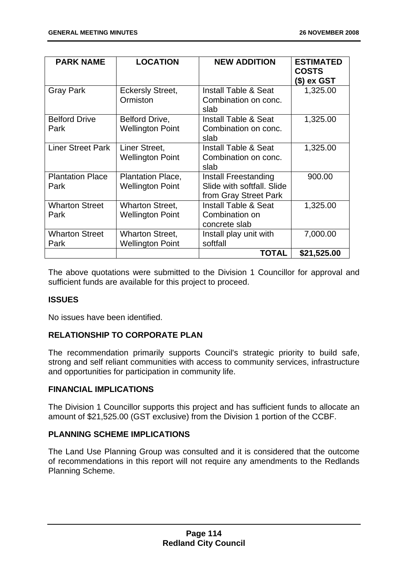| <b>PARK NAME</b>                | <b>LOCATION</b>                                     | <b>NEW ADDITION</b>                                                         | <b>ESTIMATED</b><br><b>COSTS</b><br>(\$) ex GST |
|---------------------------------|-----------------------------------------------------|-----------------------------------------------------------------------------|-------------------------------------------------|
| <b>Gray Park</b>                | <b>Eckersly Street,</b><br>Ormiston                 | <b>Install Table &amp; Seat</b><br>Combination on conc.<br>slab             | 1,325.00                                        |
| <b>Belford Drive</b><br>Park    | Belford Drive,<br><b>Wellington Point</b>           | <b>Install Table &amp; Seat</b><br>Combination on conc.<br>slab             | 1,325.00                                        |
| <b>Liner Street Park</b>        | Liner Street,<br><b>Wellington Point</b>            | <b>Install Table &amp; Seat</b><br>Combination on conc.<br>slab             | 1,325.00                                        |
| <b>Plantation Place</b><br>Park | <b>Plantation Place,</b><br><b>Wellington Point</b> | Install Freestanding<br>Slide with softfall. Slide<br>from Gray Street Park | 900.00                                          |
| <b>Wharton Street</b><br>Park   | <b>Wharton Street,</b><br><b>Wellington Point</b>   | <b>Install Table &amp; Seat</b><br>Combination on<br>concrete slab          | 1,325.00                                        |
| <b>Wharton Street</b><br>Park   | <b>Wharton Street,</b><br><b>Wellington Point</b>   | Install play unit with<br>softfall                                          | 7,000.00                                        |
|                                 |                                                     | <b>TOTAL</b>                                                                | \$21,525.00                                     |

The above quotations were submitted to the Division 1 Councillor for approval and sufficient funds are available for this project to proceed.

## **ISSUES**

No issues have been identified.

## **RELATIONSHIP TO CORPORATE PLAN**

The recommendation primarily supports Council's strategic priority to build safe, strong and self reliant communities with access to community services, infrastructure and opportunities for participation in community life.

### **FINANCIAL IMPLICATIONS**

The Division 1 Councillor supports this project and has sufficient funds to allocate an amount of \$21,525.00 (GST exclusive) from the Division 1 portion of the CCBF.

### **PLANNING SCHEME IMPLICATIONS**

The Land Use Planning Group was consulted and it is considered that the outcome of recommendations in this report will not require any amendments to the Redlands Planning Scheme.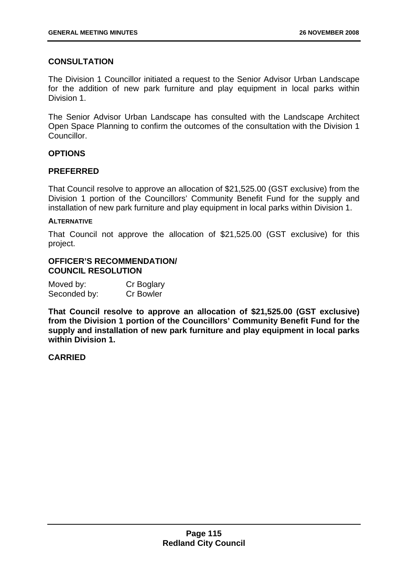## **CONSULTATION**

The Division 1 Councillor initiated a request to the Senior Advisor Urban Landscape for the addition of new park furniture and play equipment in local parks within Division 1.

The Senior Advisor Urban Landscape has consulted with the Landscape Architect Open Space Planning to confirm the outcomes of the consultation with the Division 1 Councillor.

### **OPTIONS**

#### **PREFERRED**

That Council resolve to approve an allocation of \$21,525.00 (GST exclusive) from the Division 1 portion of the Councillors' Community Benefit Fund for the supply and installation of new park furniture and play equipment in local parks within Division 1.

#### **ALTERNATIVE**

That Council not approve the allocation of \$21,525.00 (GST exclusive) for this project.

## **OFFICER'S RECOMMENDATION/ COUNCIL RESOLUTION**

| Moved by:    | Cr Boglary       |
|--------------|------------------|
| Seconded by: | <b>Cr Bowler</b> |

**That Council resolve to approve an allocation of \$21,525.00 (GST exclusive) from the Division 1 portion of the Councillors' Community Benefit Fund for the supply and installation of new park furniture and play equipment in local parks within Division 1.**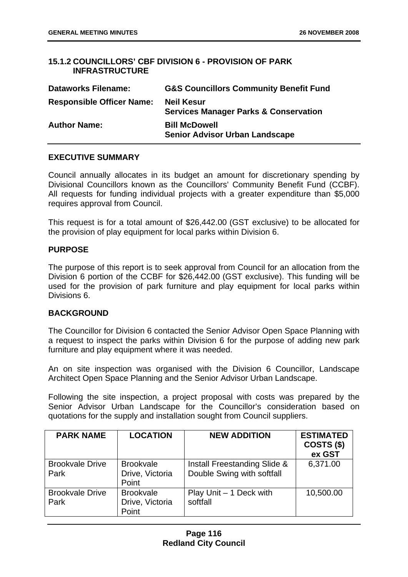# **15.1.2 COUNCILLORS' CBF DIVISION 6 - PROVISION OF PARK INFRASTRUCTURE**

| <b>Dataworks Filename:</b>       | <b>G&amp;S Councillors Community Benefit Fund</b>                     |
|----------------------------------|-----------------------------------------------------------------------|
| <b>Responsible Officer Name:</b> | <b>Neil Kesur</b><br><b>Services Manager Parks &amp; Conservation</b> |
| <b>Author Name:</b>              | <b>Bill McDowell</b><br><b>Senior Advisor Urban Landscape</b>         |

### **EXECUTIVE SUMMARY**

Council annually allocates in its budget an amount for discretionary spending by Divisional Councillors known as the Councillors' Community Benefit Fund (CCBF). All requests for funding individual projects with a greater expenditure than \$5,000 requires approval from Council.

This request is for a total amount of \$26,442.00 (GST exclusive) to be allocated for the provision of play equipment for local parks within Division 6.

### **PURPOSE**

The purpose of this report is to seek approval from Council for an allocation from the Division 6 portion of the CCBF for \$26,442.00 (GST exclusive). This funding will be used for the provision of park furniture and play equipment for local parks within Divisions 6.

## **BACKGROUND**

The Councillor for Division 6 contacted the Senior Advisor Open Space Planning with a request to inspect the parks within Division 6 for the purpose of adding new park furniture and play equipment where it was needed.

An on site inspection was organised with the Division 6 Councillor, Landscape Architect Open Space Planning and the Senior Advisor Urban Landscape.

Following the site inspection, a project proposal with costs was prepared by the Senior Advisor Urban Landscape for the Councillor's consideration based on quotations for the supply and installation sought from Council suppliers.

| <b>PARK NAME</b>               | <b>LOCATION</b>                              | <b>NEW ADDITION</b>                                        | <b>ESTIMATED</b><br>COSTS (\$)<br>ex GST |
|--------------------------------|----------------------------------------------|------------------------------------------------------------|------------------------------------------|
| <b>Brookvale Drive</b><br>Park | <b>Brookvale</b><br>Drive, Victoria<br>Point | Install Freestanding Slide &<br>Double Swing with softfall | 6,371.00                                 |
| <b>Brookvale Drive</b><br>Park | <b>Brookvale</b><br>Drive, Victoria<br>Point | Play Unit - 1 Deck with<br>softfall                        | 10,500.00                                |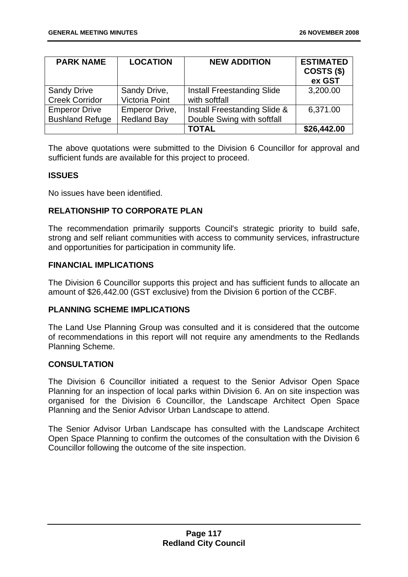| <b>PARK NAME</b>       | <b>LOCATION</b>       | <b>NEW ADDITION</b>               | <b>ESTIMATED</b><br>COSTS (\$)<br>ex GST |
|------------------------|-----------------------|-----------------------------------|------------------------------------------|
| <b>Sandy Drive</b>     | Sandy Drive,          | <b>Install Freestanding Slide</b> | 3,200.00                                 |
| <b>Creek Corridor</b>  | <b>Victoria Point</b> | with softfall                     |                                          |
| <b>Emperor Drive</b>   | <b>Emperor Drive,</b> | Install Freestanding Slide &      | 6,371.00                                 |
| <b>Bushland Refuge</b> | <b>Redland Bay</b>    | Double Swing with softfall        |                                          |
|                        |                       | <b>TOTAL</b>                      | \$26,442.00                              |

The above quotations were submitted to the Division 6 Councillor for approval and sufficient funds are available for this project to proceed.

### **ISSUES**

No issues have been identified.

### **RELATIONSHIP TO CORPORATE PLAN**

The recommendation primarily supports Council's strategic priority to build safe, strong and self reliant communities with access to community services, infrastructure and opportunities for participation in community life.

### **FINANCIAL IMPLICATIONS**

The Division 6 Councillor supports this project and has sufficient funds to allocate an amount of \$26,442.00 (GST exclusive) from the Division 6 portion of the CCBF.

### **PLANNING SCHEME IMPLICATIONS**

The Land Use Planning Group was consulted and it is considered that the outcome of recommendations in this report will not require any amendments to the Redlands Planning Scheme.

### **CONSULTATION**

The Division 6 Councillor initiated a request to the Senior Advisor Open Space Planning for an inspection of local parks within Division 6. An on site inspection was organised for the Division 6 Councillor, the Landscape Architect Open Space Planning and the Senior Advisor Urban Landscape to attend.

The Senior Advisor Urban Landscape has consulted with the Landscape Architect Open Space Planning to confirm the outcomes of the consultation with the Division 6 Councillor following the outcome of the site inspection.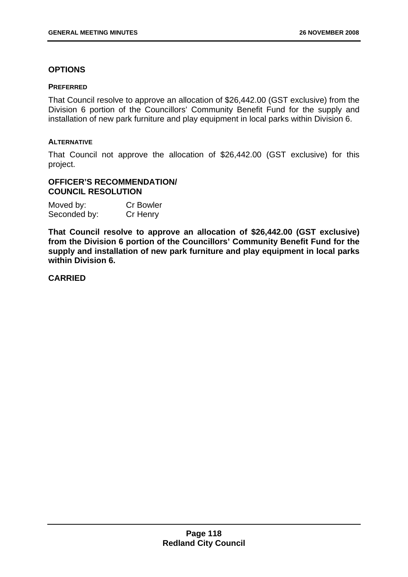### **OPTIONS**

#### **PREFERRED**

That Council resolve to approve an allocation of \$26,442.00 (GST exclusive) from the Division 6 portion of the Councillors' Community Benefit Fund for the supply and installation of new park furniture and play equipment in local parks within Division 6.

### **ALTERNATIVE**

That Council not approve the allocation of \$26,442.00 (GST exclusive) for this project.

#### **OFFICER'S RECOMMENDATION/ COUNCIL RESOLUTION**

| Moved by:    | <b>Cr Bowler</b> |
|--------------|------------------|
| Seconded by: | Cr Henry         |

**That Council resolve to approve an allocation of \$26,442.00 (GST exclusive) from the Division 6 portion of the Councillors' Community Benefit Fund for the supply and installation of new park furniture and play equipment in local parks within Division 6.**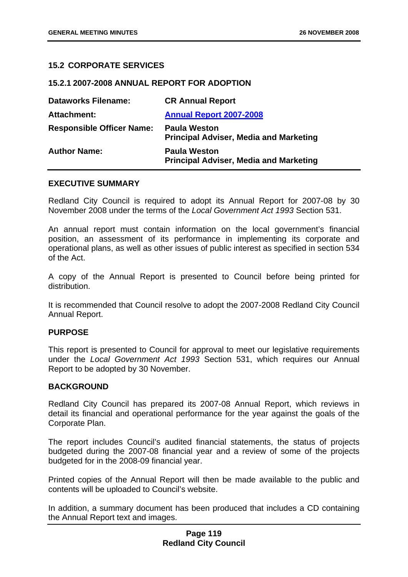### **15.2 CORPORATE SERVICES**

### **15.2.1 2007-2008 ANNUAL REPORT FOR ADOPTION**

| <b>Dataworks Filename:</b>       | <b>CR Annual Report</b>                                              |
|----------------------------------|----------------------------------------------------------------------|
| <b>Attachment:</b>               | <b>Annual Report 2007-2008</b>                                       |
| <b>Responsible Officer Name:</b> | <b>Paula Weston</b><br><b>Principal Adviser, Media and Marketing</b> |
| <b>Author Name:</b>              | <b>Paula Weston</b><br><b>Principal Adviser, Media and Marketing</b> |

### **EXECUTIVE SUMMARY**

Redland City Council is required to adopt its Annual Report for 2007-08 by 30 November 2008 under the terms of the *Local Government Act 1993* Section 531.

An annual report must contain information on the local government's financial position, an assessment of its performance in implementing its corporate and operational plans, as well as other issues of public interest as specified in section 534 of the Act.

A copy of the Annual Report is presented to Council before being printed for distribution.

It is recommended that Council resolve to adopt the 2007-2008 Redland City Council Annual Report.

### **PURPOSE**

This report is presented to Council for approval to meet our legislative requirements under the *Local Government Act 1993* Section 531, which requires our Annual Report to be adopted by 30 November.

### **BACKGROUND**

Redland City Council has prepared its 2007-08 Annual Report, which reviews in detail its financial and operational performance for the year against the goals of the Corporate Plan.

The report includes Council's audited financial statements, the status of projects budgeted during the 2007-08 financial year and a review of some of the projects budgeted for in the 2008-09 financial year.

Printed copies of the Annual Report will then be made available to the public and contents will be uploaded to Council's website.

In addition, a summary document has been produced that includes a CD containing the Annual Report text and images.

### **Page 119 Redland City Council**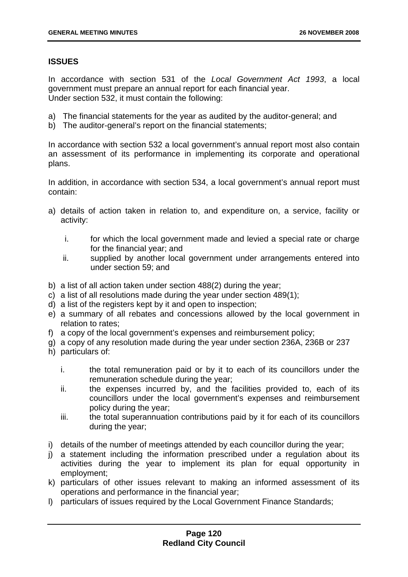## **ISSUES**

In accordance with section 531 of the *Local Government Act 1993*, a local government must prepare an annual report for each financial year. Under section 532, it must contain the following:

- a) The financial statements for the year as audited by the auditor-general; and
- b) The auditor-general's report on the financial statements;

In accordance with section 532 a local government's annual report most also contain an assessment of its performance in implementing its corporate and operational plans.

In addition, in accordance with section 534, a local government's annual report must contain:

- a) details of action taken in relation to, and expenditure on, a service, facility or activity:
	- i. for which the local government made and levied a special rate or charge for the financial year; and
	- ii. supplied by another local government under arrangements entered into under section 59; and
- b) a list of all action taken under section 488(2) during the year;
- c) a list of all resolutions made during the year under section 489(1);
- d) a list of the registers kept by it and open to inspection;
- e) a summary of all rebates and concessions allowed by the local government in relation to rates;
- f) a copy of the local government's expenses and reimbursement policy;
- g) a copy of any resolution made during the year under section 236A, 236B or 237
- h) particulars of:
	- i. the total remuneration paid or by it to each of its councillors under the remuneration schedule during the year;
	- ii. the expenses incurred by, and the facilities provided to, each of its councillors under the local government's expenses and reimbursement policy during the year;
	- iii. the total superannuation contributions paid by it for each of its councillors during the year;
- i) details of the number of meetings attended by each councillor during the year;
- j) a statement including the information prescribed under a regulation about its activities during the year to implement its plan for equal opportunity in employment;
- k) particulars of other issues relevant to making an informed assessment of its operations and performance in the financial year;
- l) particulars of issues required by the Local Government Finance Standards;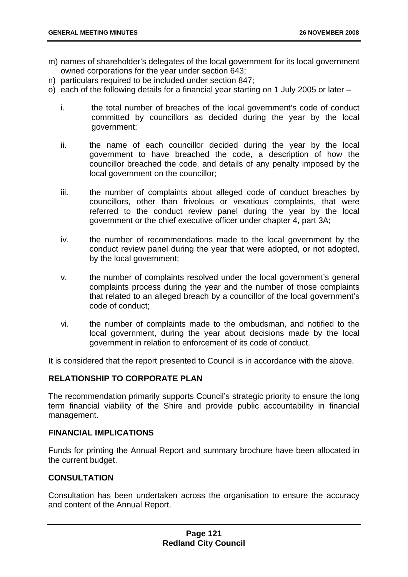- m) names of shareholder's delegates of the local government for its local government owned corporations for the year under section 643;
- n) particulars required to be included under section 847;
- o) each of the following details for a financial year starting on 1 July 2005 or later
	- i. the total number of breaches of the local government's code of conduct committed by councillors as decided during the year by the local government;
	- ii. the name of each councillor decided during the year by the local government to have breached the code, a description of how the councillor breached the code, and details of any penalty imposed by the local government on the councillor:
	- iii. the number of complaints about alleged code of conduct breaches by councillors, other than frivolous or vexatious complaints, that were referred to the conduct review panel during the year by the local government or the chief executive officer under chapter 4, part 3A;
	- iv. the number of recommendations made to the local government by the conduct review panel during the year that were adopted, or not adopted, by the local government;
	- v. the number of complaints resolved under the local government's general complaints process during the year and the number of those complaints that related to an alleged breach by a councillor of the local government's code of conduct;
	- vi. the number of complaints made to the ombudsman, and notified to the local government, during the year about decisions made by the local government in relation to enforcement of its code of conduct.

It is considered that the report presented to Council is in accordance with the above.

### **RELATIONSHIP TO CORPORATE PLAN**

The recommendation primarily supports Council's strategic priority to ensure the long term financial viability of the Shire and provide public accountability in financial management.

### **FINANCIAL IMPLICATIONS**

Funds for printing the Annual Report and summary brochure have been allocated in the current budget.

### **CONSULTATION**

Consultation has been undertaken across the organisation to ensure the accuracy and content of the Annual Report.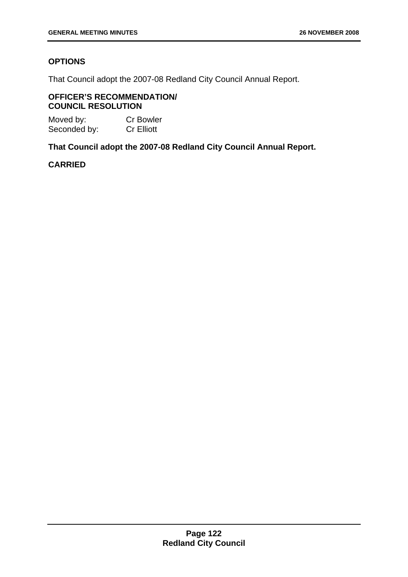# **OPTIONS**

That Council adopt the 2007-08 Redland City Council Annual Report.

## **OFFICER'S RECOMMENDATION/ COUNCIL RESOLUTION**

| Moved by:    | <b>Cr Bowler</b>  |
|--------------|-------------------|
| Seconded by: | <b>Cr Elliott</b> |

**That Council adopt the 2007-08 Redland City Council Annual Report.**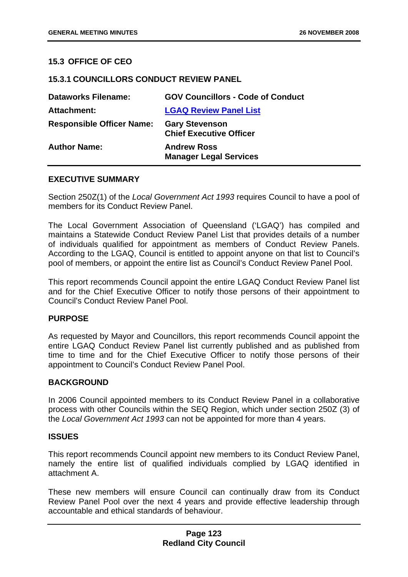### **15.3 OFFICE OF CEO**

#### **15.3.1 COUNCILLORS CONDUCT REVIEW PANEL**

| <b>Dataworks Filename:</b>       | <b>GOV Councillors - Code of Conduct</b>                |
|----------------------------------|---------------------------------------------------------|
| <b>Attachment:</b>               | <b>LGAQ Review Panel List</b>                           |
| <b>Responsible Officer Name:</b> | <b>Gary Stevenson</b><br><b>Chief Executive Officer</b> |
| <b>Author Name:</b>              | <b>Andrew Ross</b><br><b>Manager Legal Services</b>     |

#### **EXECUTIVE SUMMARY**

Section 250Z(1) of the *Local Government Act 1993* requires Council to have a pool of members for its Conduct Review Panel.

The Local Government Association of Queensland ('LGAQ') has compiled and maintains a Statewide Conduct Review Panel List that provides details of a number of individuals qualified for appointment as members of Conduct Review Panels. According to the LGAQ, Council is entitled to appoint anyone on that list to Council's pool of members, or appoint the entire list as Council's Conduct Review Panel Pool.

This report recommends Council appoint the entire LGAQ Conduct Review Panel list and for the Chief Executive Officer to notify those persons of their appointment to Council's Conduct Review Panel Pool.

### **PURPOSE**

As requested by Mayor and Councillors, this report recommends Council appoint the entire LGAQ Conduct Review Panel list currently published and as published from time to time and for the Chief Executive Officer to notify those persons of their appointment to Council's Conduct Review Panel Pool.

### **BACKGROUND**

In 2006 Council appointed members to its Conduct Review Panel in a collaborative process with other Councils within the SEQ Region, which under section 250Z (3) of the *Local Government Act 1993* can not be appointed for more than 4 years.

#### **ISSUES**

This report recommends Council appoint new members to its Conduct Review Panel, namely the entire list of qualified individuals complied by LGAQ identified in attachment A.

These new members will ensure Council can continually draw from its Conduct Review Panel Pool over the next 4 years and provide effective leadership through accountable and ethical standards of behaviour.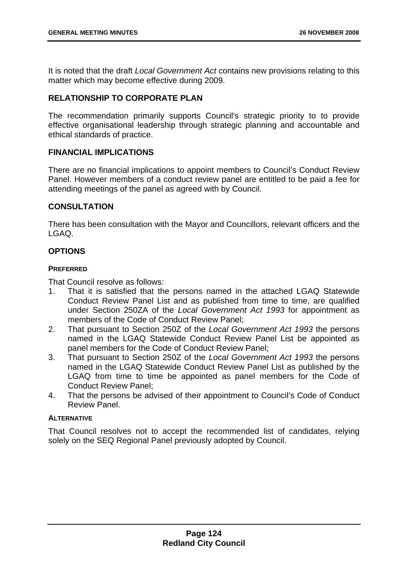It is noted that the draft *Local Government Act* contains new provisions relating to this matter which may become effective during 2009.

## **RELATIONSHIP TO CORPORATE PLAN**

The recommendation primarily supports Council's strategic priority to to provide effective organisational leadership through strategic planning and accountable and ethical standards of practice.

### **FINANCIAL IMPLICATIONS**

There are no financial implications to appoint members to Council's Conduct Review Panel. However members of a conduct review panel are entitled to be paid a fee for attending meetings of the panel as agreed with by Council.

### **CONSULTATION**

There has been consultation with the Mayor and Councillors, relevant officers and the LGAQ.

## **OPTIONS**

#### **PREFERRED**

That Council resolve as follows:

- 1. That it is satisfied that the persons named in the attached LGAQ Statewide Conduct Review Panel List and as published from time to time, are qualified under Section 250ZA of the *Local Government Act 1993* for appointment as members of the Code of Conduct Review Panel;
- 2. That pursuant to Section 250Z of the *Local Government Act 1993* the persons named in the LGAQ Statewide Conduct Review Panel List be appointed as panel members for the Code of Conduct Review Panel;
- 3. That pursuant to Section 250Z of the *Local Government Act 1993* the persons named in the LGAQ Statewide Conduct Review Panel List as published by the LGAQ from time to time be appointed as panel members for the Code of Conduct Review Panel;
- 4. That the persons be advised of their appointment to Council's Code of Conduct Review Panel.

### **ALTERNATIVE**

That Council resolves not to accept the recommended list of candidates, relying solely on the SEQ Regional Panel previously adopted by Council.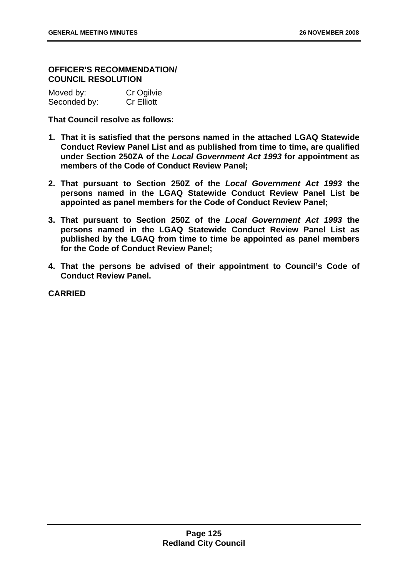## **OFFICER'S RECOMMENDATION/ COUNCIL RESOLUTION**

| Moved by:    | Cr Ogilvie        |
|--------------|-------------------|
| Seconded by: | <b>Cr Elliott</b> |

**That Council resolve as follows:** 

- **1. That it is satisfied that the persons named in the attached LGAQ Statewide Conduct Review Panel List and as published from time to time, are qualified under Section 250ZA of the** *Local Government Act 1993* **for appointment as members of the Code of Conduct Review Panel;**
- **2. That pursuant to Section 250Z of the** *Local Government Act 1993* **the persons named in the LGAQ Statewide Conduct Review Panel List be appointed as panel members for the Code of Conduct Review Panel;**
- **3. That pursuant to Section 250Z of the** *Local Government Act 1993* **the persons named in the LGAQ Statewide Conduct Review Panel List as published by the LGAQ from time to time be appointed as panel members for the Code of Conduct Review Panel;**
- **4. That the persons be advised of their appointment to Council's Code of Conduct Review Panel.**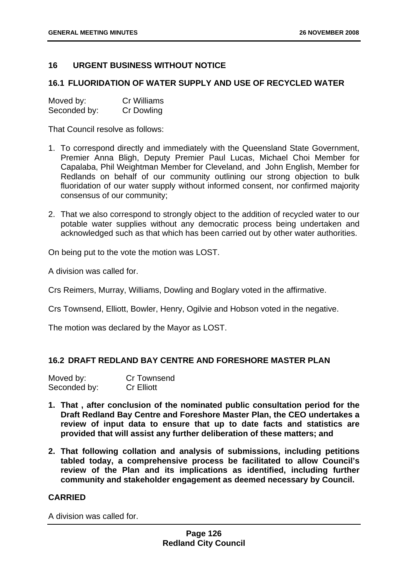## **16 URGENT BUSINESS WITHOUT NOTICE**

#### **16.1 FLUORIDATION OF WATER SUPPLY AND USE OF RECYCLED WATER**

| Moved by:    | Cr Williams       |
|--------------|-------------------|
| Seconded by: | <b>Cr Dowling</b> |

That Council resolve as follows:

- 1. To correspond directly and immediately with the Queensland State Government, Premier Anna Bligh, Deputy Premier Paul Lucas, Michael Choi Member for Capalaba, Phil Weightman Member for Cleveland, and John English, Member for Redlands on behalf of our community outlining our strong objection to bulk fluoridation of our water supply without informed consent, nor confirmed majority consensus of our community;
- 2. That we also correspond to strongly object to the addition of recycled water to our potable water supplies without any democratic process being undertaken and acknowledged such as that which has been carried out by other water authorities.

On being put to the vote the motion was LOST.

A division was called for.

Crs Reimers, Murray, Williams, Dowling and Boglary voted in the affirmative.

Crs Townsend, Elliott, Bowler, Henry, Ogilvie and Hobson voted in the negative.

The motion was declared by the Mayor as LOST.

### **16.2 DRAFT REDLAND BAY CENTRE AND FORESHORE MASTER PLAN**

| Moved by:    | Cr Townsend       |
|--------------|-------------------|
| Seconded by: | <b>Cr Elliott</b> |

- **1. That , after conclusion of the nominated public consultation period for the Draft Redland Bay Centre and Foreshore Master Plan, the CEO undertakes a review of input data to ensure that up to date facts and statistics are provided that will assist any further deliberation of these matters; and**
- **2. That following collation and analysis of submissions, including petitions tabled today, a comprehensive process be facilitated to allow Council's review of the Plan and its implications as identified, including further community and stakeholder engagement as deemed necessary by Council.**

### **CARRIED**

A division was called for.